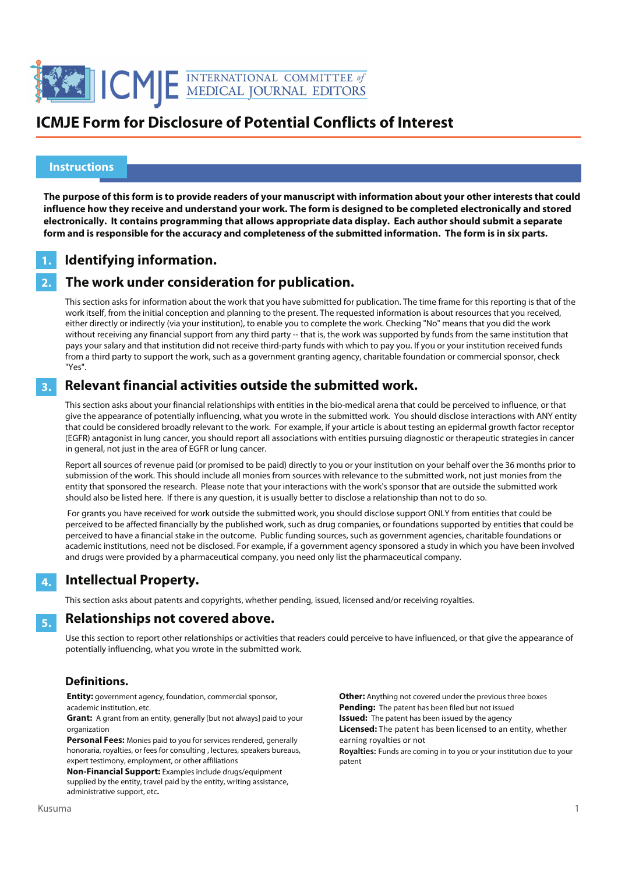

### **Instructions**

 l

> **The purpose of this form is to provide readers of your manuscript with information about your other interests that could influence how they receive and understand your work. The form is designed to be completed electronically and stored electronically. It contains programming that allows appropriate data display. Each author should submit a separate form and is responsible for the accuracy and completeness of the submitted information. The form is in six parts.**

#### **Identifying information. 1.**

#### **The work under consideration for publication. 2.**

This section asks for information about the work that you have submitted for publication. The time frame for this reporting is that of the work itself, from the initial conception and planning to the present. The requested information is about resources that you received, either directly or indirectly (via your institution), to enable you to complete the work. Checking "No" means that you did the work without receiving any financial support from any third party -- that is, the work was supported by funds from the same institution that pays your salary and that institution did not receive third-party funds with which to pay you. If you or your institution received funds from a third party to support the work, such as a government granting agency, charitable foundation or commercial sponsor, check "Yes".

#### **Relevant financial activities outside the submitted work. 3.**

This section asks about your financial relationships with entities in the bio-medical arena that could be perceived to influence, or that give the appearance of potentially influencing, what you wrote in the submitted work. You should disclose interactions with ANY entity that could be considered broadly relevant to the work. For example, if your article is about testing an epidermal growth factor receptor (EGFR) antagonist in lung cancer, you should report all associations with entities pursuing diagnostic or therapeutic strategies in cancer in general, not just in the area of EGFR or lung cancer.

Report all sources of revenue paid (or promised to be paid) directly to you or your institution on your behalf over the 36 months prior to submission of the work. This should include all monies from sources with relevance to the submitted work, not just monies from the entity that sponsored the research. Please note that your interactions with the work's sponsor that are outside the submitted work should also be listed here. If there is any question, it is usually better to disclose a relationship than not to do so.

 For grants you have received for work outside the submitted work, you should disclose support ONLY from entities that could be perceived to be affected financially by the published work, such as drug companies, or foundations supported by entities that could be perceived to have a financial stake in the outcome. Public funding sources, such as government agencies, charitable foundations or academic institutions, need not be disclosed. For example, if a government agency sponsored a study in which you have been involved and drugs were provided by a pharmaceutical company, you need only list the pharmaceutical company.

#### **Intellectual Property. 4.**

This section asks about patents and copyrights, whether pending, issued, licensed and/or receiving royalties.

#### **Relationships not covered above. 5.**

Use this section to report other relationships or activities that readers could perceive to have influenced, or that give the appearance of potentially influencing, what you wrote in the submitted work.

## **Definitions.**

**Entity:** government agency, foundation, commercial sponsor, academic institution, etc.

**Grant:** A grant from an entity, generally [but not always] paid to your organization

**Personal Fees:** Monies paid to you for services rendered, generally honoraria, royalties, or fees for consulting , lectures, speakers bureaus, expert testimony, employment, or other affiliations

**Non-Financial Support:** Examples include drugs/equipment supplied by the entity, travel paid by the entity, writing assistance, administrative support, etc**.**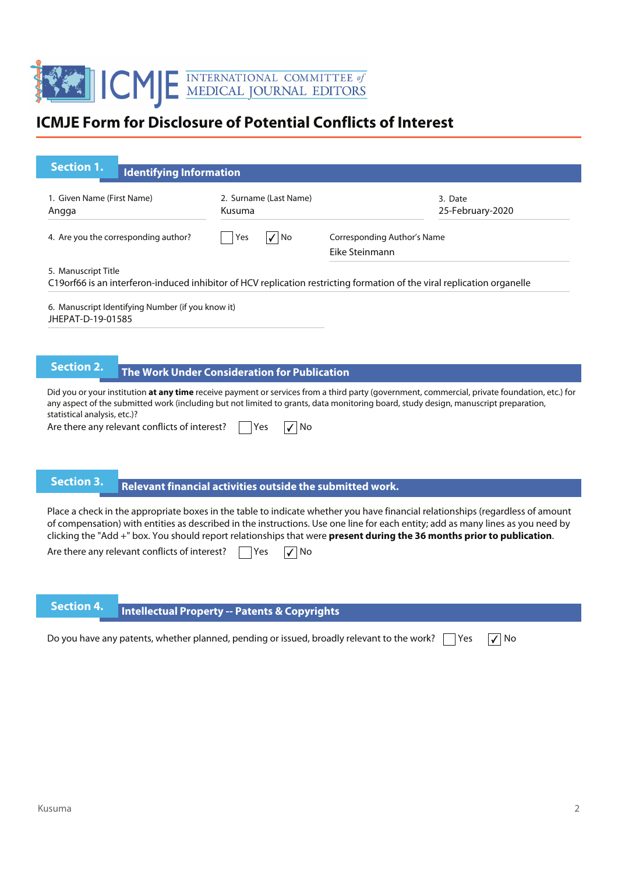

| <b>Section 1.</b>                                                                                                                                                                                                                                                                                                                                                                                                                                                                                                      | <b>Identifying Information</b>                    |                                                          |                                                                                                                         |  |  |
|------------------------------------------------------------------------------------------------------------------------------------------------------------------------------------------------------------------------------------------------------------------------------------------------------------------------------------------------------------------------------------------------------------------------------------------------------------------------------------------------------------------------|---------------------------------------------------|----------------------------------------------------------|-------------------------------------------------------------------------------------------------------------------------|--|--|
| 1. Given Name (First Name)<br>Angga                                                                                                                                                                                                                                                                                                                                                                                                                                                                                    |                                                   | 2. Surname (Last Name)<br>Kusuma                         | 3. Date<br>25-February-2020                                                                                             |  |  |
| 4. Are you the corresponding author?                                                                                                                                                                                                                                                                                                                                                                                                                                                                                   |                                                   | $\sqrt{ N}$<br>Yes                                       | Corresponding Author's Name<br>Eike Steinmann                                                                           |  |  |
| 5. Manuscript Title                                                                                                                                                                                                                                                                                                                                                                                                                                                                                                    |                                                   |                                                          | C19orf66 is an interferon-induced inhibitor of HCV replication restricting formation of the viral replication organelle |  |  |
| JHEPAT-D-19-01585                                                                                                                                                                                                                                                                                                                                                                                                                                                                                                      | 6. Manuscript Identifying Number (if you know it) |                                                          |                                                                                                                         |  |  |
|                                                                                                                                                                                                                                                                                                                                                                                                                                                                                                                        |                                                   |                                                          |                                                                                                                         |  |  |
| <b>Section 2.</b>                                                                                                                                                                                                                                                                                                                                                                                                                                                                                                      |                                                   | The Work Under Consideration for Publication             |                                                                                                                         |  |  |
| Did you or your institution at any time receive payment or services from a third party (government, commercial, private foundation, etc.) for<br>any aspect of the submitted work (including but not limited to grants, data monitoring board, study design, manuscript preparation,<br>statistical analysis, etc.)?<br>Are there any relevant conflicts of interest?<br>No<br>Yes<br>$\sqrt{}$                                                                                                                        |                                                   |                                                          |                                                                                                                         |  |  |
| <b>Section 3.</b>                                                                                                                                                                                                                                                                                                                                                                                                                                                                                                      |                                                   |                                                          |                                                                                                                         |  |  |
| Relevant financial activities outside the submitted work.<br>Place a check in the appropriate boxes in the table to indicate whether you have financial relationships (regardless of amount<br>of compensation) with entities as described in the instructions. Use one line for each entity; add as many lines as you need by<br>clicking the "Add +" box. You should report relationships that were present during the 36 months prior to publication.<br>Are there any relevant conflicts of interest?<br>No<br>Yes |                                                   |                                                          |                                                                                                                         |  |  |
| <b>Section 4.</b>                                                                                                                                                                                                                                                                                                                                                                                                                                                                                                      |                                                   | <b>Intellectual Property -- Patents &amp; Copyrights</b> |                                                                                                                         |  |  |
|                                                                                                                                                                                                                                                                                                                                                                                                                                                                                                                        |                                                   |                                                          | Do you have any patents, whether planned, pending or issued, broadly relevant to the work?<br>$\sqrt{ NQ}$<br>Yes       |  |  |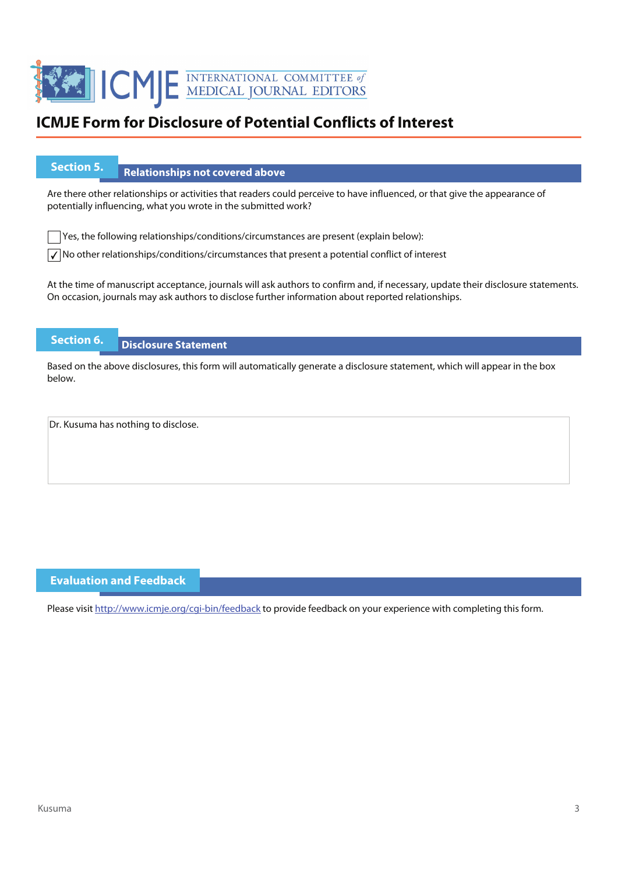

# **Section 5.** Relationships not covered above

Are there other relationships or activities that readers could perceive to have influenced, or that give the appearance of potentially influencing, what you wrote in the submitted work?

 $\Box$  Yes, the following relationships/conditions/circumstances are present (explain below):

 $\sqrt{\phantom{a}}$  No other relationships/conditions/circumstances that present a potential conflict of interest

At the time of manuscript acceptance, journals will ask authors to confirm and, if necessary, update their disclosure statements. On occasion, journals may ask authors to disclose further information about reported relationships.

## **Section 6. Disclosure Statement**

Based on the above disclosures, this form will automatically generate a disclosure statement, which will appear in the box below.

Dr. Kusuma has nothing to disclose.

## **Evaluation and Feedback**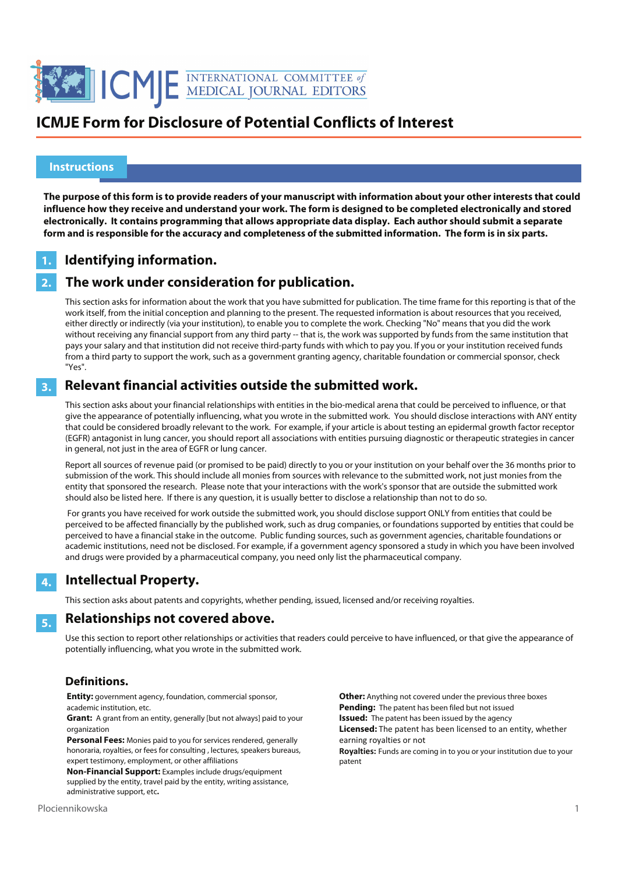

### **Instructions**

 l

> **The purpose of this form is to provide readers of your manuscript with information about your other interests that could influence how they receive and understand your work. The form is designed to be completed electronically and stored electronically. It contains programming that allows appropriate data display. Each author should submit a separate form and is responsible for the accuracy and completeness of the submitted information. The form is in six parts.**

#### **Identifying information. 1.**

#### **The work under consideration for publication. 2.**

This section asks for information about the work that you have submitted for publication. The time frame for this reporting is that of the work itself, from the initial conception and planning to the present. The requested information is about resources that you received, either directly or indirectly (via your institution), to enable you to complete the work. Checking "No" means that you did the work without receiving any financial support from any third party -- that is, the work was supported by funds from the same institution that pays your salary and that institution did not receive third-party funds with which to pay you. If you or your institution received funds from a third party to support the work, such as a government granting agency, charitable foundation or commercial sponsor, check "Yes".

#### **Relevant financial activities outside the submitted work. 3.**

This section asks about your financial relationships with entities in the bio-medical arena that could be perceived to influence, or that give the appearance of potentially influencing, what you wrote in the submitted work. You should disclose interactions with ANY entity that could be considered broadly relevant to the work. For example, if your article is about testing an epidermal growth factor receptor (EGFR) antagonist in lung cancer, you should report all associations with entities pursuing diagnostic or therapeutic strategies in cancer in general, not just in the area of EGFR or lung cancer.

Report all sources of revenue paid (or promised to be paid) directly to you or your institution on your behalf over the 36 months prior to submission of the work. This should include all monies from sources with relevance to the submitted work, not just monies from the entity that sponsored the research. Please note that your interactions with the work's sponsor that are outside the submitted work should also be listed here. If there is any question, it is usually better to disclose a relationship than not to do so.

 For grants you have received for work outside the submitted work, you should disclose support ONLY from entities that could be perceived to be affected financially by the published work, such as drug companies, or foundations supported by entities that could be perceived to have a financial stake in the outcome. Public funding sources, such as government agencies, charitable foundations or academic institutions, need not be disclosed. For example, if a government agency sponsored a study in which you have been involved and drugs were provided by a pharmaceutical company, you need only list the pharmaceutical company.

#### **Intellectual Property. 4.**

This section asks about patents and copyrights, whether pending, issued, licensed and/or receiving royalties.

#### **Relationships not covered above. 5.**

Use this section to report other relationships or activities that readers could perceive to have influenced, or that give the appearance of potentially influencing, what you wrote in the submitted work.

## **Definitions.**

**Entity:** government agency, foundation, commercial sponsor, academic institution, etc.

**Grant:** A grant from an entity, generally [but not always] paid to your organization

**Personal Fees:** Monies paid to you for services rendered, generally honoraria, royalties, or fees for consulting , lectures, speakers bureaus, expert testimony, employment, or other affiliations

**Non-Financial Support:** Examples include drugs/equipment supplied by the entity, travel paid by the entity, writing assistance, administrative support, etc**.**

**Other:** Anything not covered under the previous three boxes **Pending:** The patent has been filed but not issued **Issued:** The patent has been issued by the agency **Licensed:** The patent has been licensed to an entity, whether earning royalties or not **Royalties:** Funds are coming in to you or your institution due to your patent

Plociennikowska 1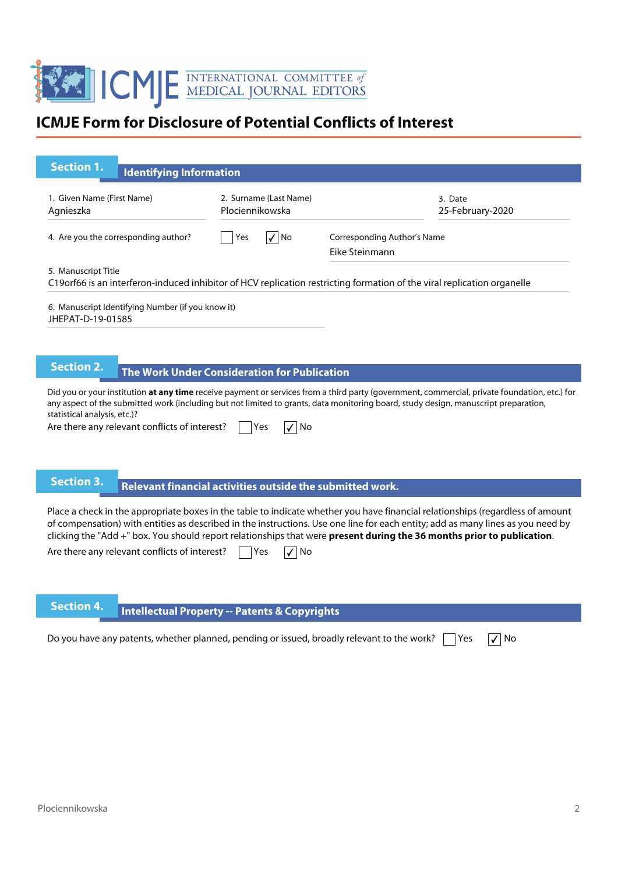

| <b>Section 1.</b>                                                                                                                                                                                                                                                                                                                                                                                                                                                   | <b>Identifying Information</b>                    |                                                           |                                                                                                                         |                             |  |
|---------------------------------------------------------------------------------------------------------------------------------------------------------------------------------------------------------------------------------------------------------------------------------------------------------------------------------------------------------------------------------------------------------------------------------------------------------------------|---------------------------------------------------|-----------------------------------------------------------|-------------------------------------------------------------------------------------------------------------------------|-----------------------------|--|
| 1. Given Name (First Name)<br>Agnieszka                                                                                                                                                                                                                                                                                                                                                                                                                             |                                                   | 2. Surname (Last Name)<br>Plociennikowska                 |                                                                                                                         | 3. Date<br>25-February-2020 |  |
|                                                                                                                                                                                                                                                                                                                                                                                                                                                                     | 4. Are you the corresponding author?              | $\sqrt{\log n}$<br>Yes                                    | Corresponding Author's Name<br>Eike Steinmann                                                                           |                             |  |
| 5. Manuscript Title                                                                                                                                                                                                                                                                                                                                                                                                                                                 |                                                   |                                                           | C19orf66 is an interferon-induced inhibitor of HCV replication restricting formation of the viral replication organelle |                             |  |
| JHEPAT-D-19-01585                                                                                                                                                                                                                                                                                                                                                                                                                                                   | 6. Manuscript Identifying Number (if you know it) |                                                           |                                                                                                                         |                             |  |
|                                                                                                                                                                                                                                                                                                                                                                                                                                                                     |                                                   |                                                           |                                                                                                                         |                             |  |
| <b>Section 2.</b>                                                                                                                                                                                                                                                                                                                                                                                                                                                   |                                                   | The Work Under Consideration for Publication              |                                                                                                                         |                             |  |
| Did you or your institution at any time receive payment or services from a third party (government, commercial, private foundation, etc.) for<br>any aspect of the submitted work (including but not limited to grants, data monitoring board, study design, manuscript preparation,<br>statistical analysis, etc.)?<br>Are there any relevant conflicts of interest?<br>$\sqrt{}$ No<br><b>Yes</b>                                                                 |                                                   |                                                           |                                                                                                                         |                             |  |
| <b>Section 3.</b>                                                                                                                                                                                                                                                                                                                                                                                                                                                   |                                                   |                                                           |                                                                                                                         |                             |  |
|                                                                                                                                                                                                                                                                                                                                                                                                                                                                     |                                                   | Relevant financial activities outside the submitted work. |                                                                                                                         |                             |  |
| Place a check in the appropriate boxes in the table to indicate whether you have financial relationships (regardless of amount<br>of compensation) with entities as described in the instructions. Use one line for each entity; add as many lines as you need by<br>clicking the "Add +" box. You should report relationships that were present during the 36 months prior to publication.<br>Are there any relevant conflicts of interest?<br>$\sqrt{ NQ}$<br>Yes |                                                   |                                                           |                                                                                                                         |                             |  |
|                                                                                                                                                                                                                                                                                                                                                                                                                                                                     |                                                   |                                                           |                                                                                                                         |                             |  |
| <b>Section 4.</b>                                                                                                                                                                                                                                                                                                                                                                                                                                                   |                                                   | <b>Intellectual Property -- Patents &amp; Copyrights</b>  |                                                                                                                         |                             |  |
| Do you have any patents, whether planned, pending or issued, broadly relevant to the work?<br>$\sqrt{ N_{0}}$<br><b>Yes</b>                                                                                                                                                                                                                                                                                                                                         |                                                   |                                                           |                                                                                                                         |                             |  |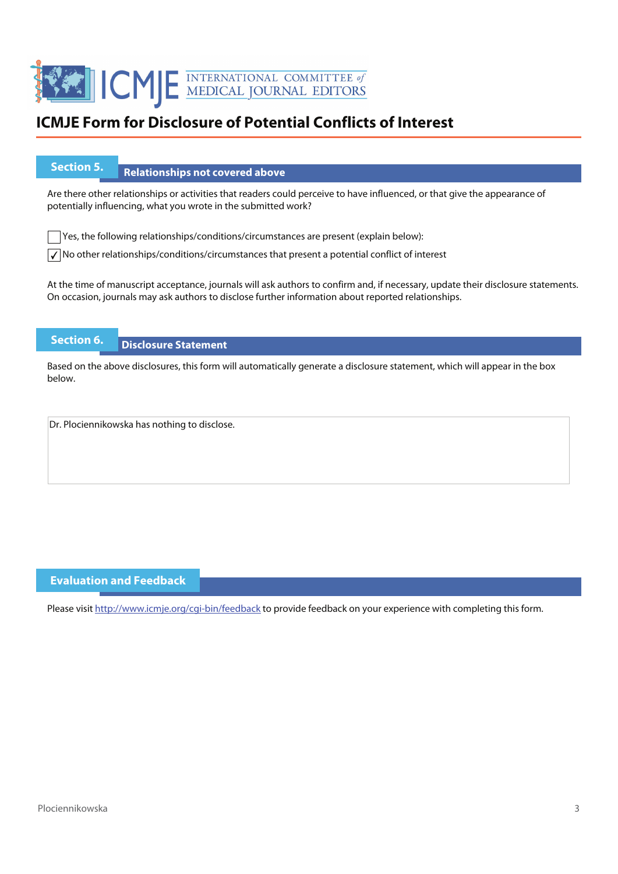

# **Section 5.** Relationships not covered above

Are there other relationships or activities that readers could perceive to have influenced, or that give the appearance of potentially influencing, what you wrote in the submitted work?

 $\Box$  Yes, the following relationships/conditions/circumstances are present (explain below):

 $\sqrt{\phantom{a}}$  No other relationships/conditions/circumstances that present a potential conflict of interest

At the time of manuscript acceptance, journals will ask authors to confirm and, if necessary, update their disclosure statements. On occasion, journals may ask authors to disclose further information about reported relationships.

## **Section 6. Disclosure Statement**

Based on the above disclosures, this form will automatically generate a disclosure statement, which will appear in the box below.

Dr. Plociennikowska has nothing to disclose.

## **Evaluation and Feedback**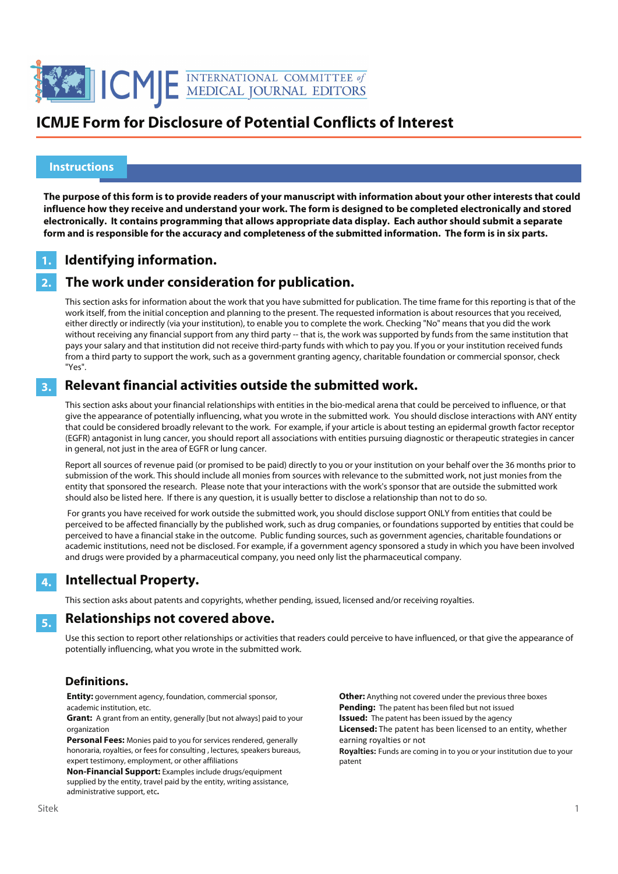

### **Instructions**

 l

> **The purpose of this form is to provide readers of your manuscript with information about your other interests that could influence how they receive and understand your work. The form is designed to be completed electronically and stored electronically. It contains programming that allows appropriate data display. Each author should submit a separate form and is responsible for the accuracy and completeness of the submitted information. The form is in six parts.**

#### **Identifying information. 1.**

#### **The work under consideration for publication. 2.**

This section asks for information about the work that you have submitted for publication. The time frame for this reporting is that of the work itself, from the initial conception and planning to the present. The requested information is about resources that you received, either directly or indirectly (via your institution), to enable you to complete the work. Checking "No" means that you did the work without receiving any financial support from any third party -- that is, the work was supported by funds from the same institution that pays your salary and that institution did not receive third-party funds with which to pay you. If you or your institution received funds from a third party to support the work, such as a government granting agency, charitable foundation or commercial sponsor, check "Yes".

#### **Relevant financial activities outside the submitted work. 3.**

This section asks about your financial relationships with entities in the bio-medical arena that could be perceived to influence, or that give the appearance of potentially influencing, what you wrote in the submitted work. You should disclose interactions with ANY entity that could be considered broadly relevant to the work. For example, if your article is about testing an epidermal growth factor receptor (EGFR) antagonist in lung cancer, you should report all associations with entities pursuing diagnostic or therapeutic strategies in cancer in general, not just in the area of EGFR or lung cancer.

Report all sources of revenue paid (or promised to be paid) directly to you or your institution on your behalf over the 36 months prior to submission of the work. This should include all monies from sources with relevance to the submitted work, not just monies from the entity that sponsored the research. Please note that your interactions with the work's sponsor that are outside the submitted work should also be listed here. If there is any question, it is usually better to disclose a relationship than not to do so.

 For grants you have received for work outside the submitted work, you should disclose support ONLY from entities that could be perceived to be affected financially by the published work, such as drug companies, or foundations supported by entities that could be perceived to have a financial stake in the outcome. Public funding sources, such as government agencies, charitable foundations or academic institutions, need not be disclosed. For example, if a government agency sponsored a study in which you have been involved and drugs were provided by a pharmaceutical company, you need only list the pharmaceutical company.

#### **Intellectual Property. 4.**

This section asks about patents and copyrights, whether pending, issued, licensed and/or receiving royalties.

#### **Relationships not covered above. 5.**

Use this section to report other relationships or activities that readers could perceive to have influenced, or that give the appearance of potentially influencing, what you wrote in the submitted work.

## **Definitions.**

**Entity:** government agency, foundation, commercial sponsor, academic institution, etc.

**Grant:** A grant from an entity, generally [but not always] paid to your organization

**Personal Fees:** Monies paid to you for services rendered, generally honoraria, royalties, or fees for consulting , lectures, speakers bureaus, expert testimony, employment, or other affiliations

**Non-Financial Support:** Examples include drugs/equipment supplied by the entity, travel paid by the entity, writing assistance, administrative support, etc**.**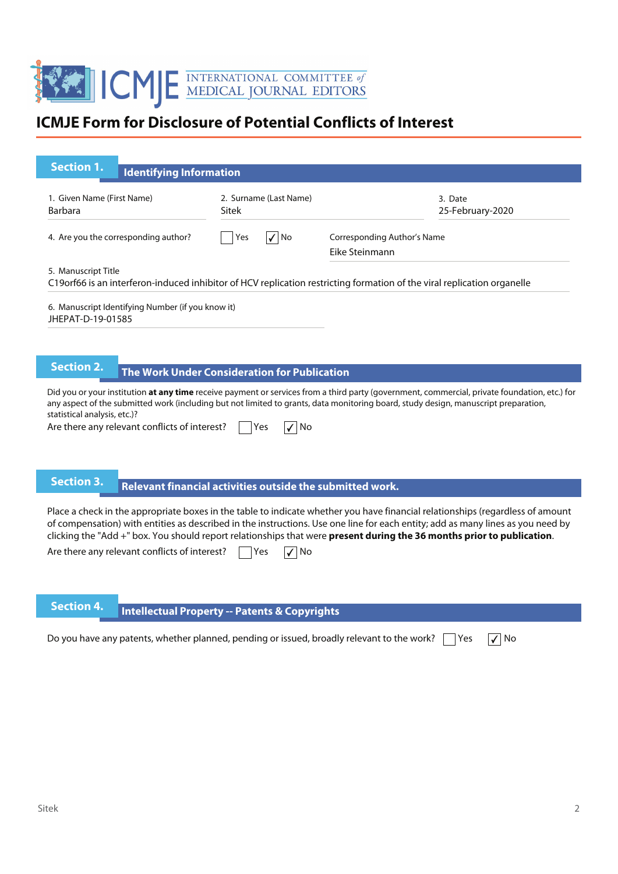

| <b>Section 1.</b>                                                                                                                                                                                                                                                                                                                                                                                                                                                                                                                   | <b>Identifying Information</b>                    |                                                          |                                                                                                                          |  |  |
|-------------------------------------------------------------------------------------------------------------------------------------------------------------------------------------------------------------------------------------------------------------------------------------------------------------------------------------------------------------------------------------------------------------------------------------------------------------------------------------------------------------------------------------|---------------------------------------------------|----------------------------------------------------------|--------------------------------------------------------------------------------------------------------------------------|--|--|
| 1. Given Name (First Name)<br>Barbara                                                                                                                                                                                                                                                                                                                                                                                                                                                                                               |                                                   | 2. Surname (Last Name)<br><b>Sitek</b>                   | 3. Date<br>25-February-2020                                                                                              |  |  |
|                                                                                                                                                                                                                                                                                                                                                                                                                                                                                                                                     | 4. Are you the corresponding author?              | $\sqrt{ NQ}$<br>Yes                                      | Corresponding Author's Name<br>Eike Steinmann                                                                            |  |  |
| 5. Manuscript Title                                                                                                                                                                                                                                                                                                                                                                                                                                                                                                                 |                                                   |                                                          | C19orf66 is an interferon-induced inhibitor of HCV replication restricting formation of the viral replication organelle  |  |  |
| JHEPAT-D-19-01585                                                                                                                                                                                                                                                                                                                                                                                                                                                                                                                   | 6. Manuscript Identifying Number (if you know it) |                                                          |                                                                                                                          |  |  |
|                                                                                                                                                                                                                                                                                                                                                                                                                                                                                                                                     |                                                   |                                                          |                                                                                                                          |  |  |
| <b>Section 2.</b>                                                                                                                                                                                                                                                                                                                                                                                                                                                                                                                   |                                                   | <b>The Work Under Consideration for Publication</b>      |                                                                                                                          |  |  |
| Did you or your institution at any time receive payment or services from a third party (government, commercial, private foundation, etc.) for<br>any aspect of the submitted work (including but not limited to grants, data monitoring board, study design, manuscript preparation,<br>statistical analysis, etc.)?<br>Are there any relevant conflicts of interest?<br>No<br>Yes                                                                                                                                                  |                                                   |                                                          |                                                                                                                          |  |  |
| <b>Section 3.</b>                                                                                                                                                                                                                                                                                                                                                                                                                                                                                                                   |                                                   |                                                          |                                                                                                                          |  |  |
| Relevant financial activities outside the submitted work.<br>Place a check in the appropriate boxes in the table to indicate whether you have financial relationships (regardless of amount<br>of compensation) with entities as described in the instructions. Use one line for each entity; add as many lines as you need by<br>clicking the "Add +" box. You should report relationships that were present during the 36 months prior to publication.<br>Are there any relevant conflicts of interest?<br>$\sqrt{}$<br>No<br>Yes |                                                   |                                                          |                                                                                                                          |  |  |
| <b>Section 4.</b>                                                                                                                                                                                                                                                                                                                                                                                                                                                                                                                   |                                                   | <b>Intellectual Property -- Patents &amp; Copyrights</b> |                                                                                                                          |  |  |
|                                                                                                                                                                                                                                                                                                                                                                                                                                                                                                                                     |                                                   |                                                          | Do you have any patents, whether planned, pending or issued, broadly relevant to the work?<br>$\sqrt{ NQ}$<br><b>Yes</b> |  |  |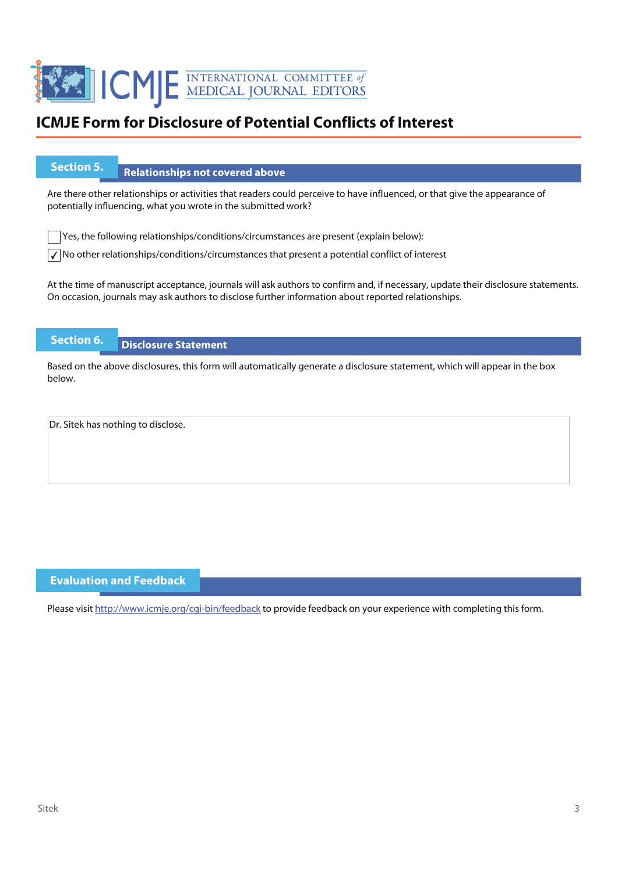

# **Section 5. Relationships not covered above**

Are there other relationships or activities that readers could perceive to have influenced, or that give the appearance of potentially influencing, what you wrote in the submitted work?

Yes, the following relationships/conditions/circumstances are present (explain below):

 $\sqrt{\phantom{a}}$  No other relationships/conditions/circumstances that present a potential conflict of interest

At the time of manuscript acceptance, journals will ask authors to confirm and, if necessary, update their disclosure statements. On occasion, journals may ask authors to disclose further information about reported relationships.

## **Section 6. Disclosure Statement**

Based on the above disclosures, this form will automatically generate a disclosure statement, which will appear in the box below.

Dr. Sitek has nothing to disclose.

## **Evaluation and Feedback**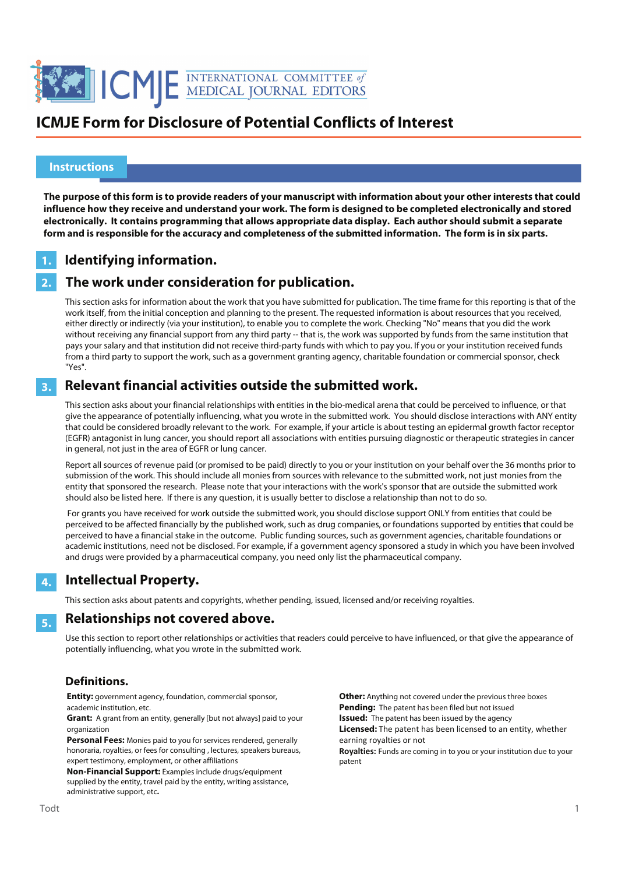

### **Instructions**

 l

> **The purpose of this form is to provide readers of your manuscript with information about your other interests that could influence how they receive and understand your work. The form is designed to be completed electronically and stored electronically. It contains programming that allows appropriate data display. Each author should submit a separate form and is responsible for the accuracy and completeness of the submitted information. The form is in six parts.**

#### **Identifying information. 1.**

#### **The work under consideration for publication. 2.**

This section asks for information about the work that you have submitted for publication. The time frame for this reporting is that of the work itself, from the initial conception and planning to the present. The requested information is about resources that you received, either directly or indirectly (via your institution), to enable you to complete the work. Checking "No" means that you did the work without receiving any financial support from any third party -- that is, the work was supported by funds from the same institution that pays your salary and that institution did not receive third-party funds with which to pay you. If you or your institution received funds from a third party to support the work, such as a government granting agency, charitable foundation or commercial sponsor, check "Yes".

#### **Relevant financial activities outside the submitted work. 3.**

This section asks about your financial relationships with entities in the bio-medical arena that could be perceived to influence, or that give the appearance of potentially influencing, what you wrote in the submitted work. You should disclose interactions with ANY entity that could be considered broadly relevant to the work. For example, if your article is about testing an epidermal growth factor receptor (EGFR) antagonist in lung cancer, you should report all associations with entities pursuing diagnostic or therapeutic strategies in cancer in general, not just in the area of EGFR or lung cancer.

Report all sources of revenue paid (or promised to be paid) directly to you or your institution on your behalf over the 36 months prior to submission of the work. This should include all monies from sources with relevance to the submitted work, not just monies from the entity that sponsored the research. Please note that your interactions with the work's sponsor that are outside the submitted work should also be listed here. If there is any question, it is usually better to disclose a relationship than not to do so.

 For grants you have received for work outside the submitted work, you should disclose support ONLY from entities that could be perceived to be affected financially by the published work, such as drug companies, or foundations supported by entities that could be perceived to have a financial stake in the outcome. Public funding sources, such as government agencies, charitable foundations or academic institutions, need not be disclosed. For example, if a government agency sponsored a study in which you have been involved and drugs were provided by a pharmaceutical company, you need only list the pharmaceutical company.

#### **Intellectual Property. 4.**

This section asks about patents and copyrights, whether pending, issued, licensed and/or receiving royalties.

#### **Relationships not covered above. 5.**

Use this section to report other relationships or activities that readers could perceive to have influenced, or that give the appearance of potentially influencing, what you wrote in the submitted work.

## **Definitions.**

**Entity:** government agency, foundation, commercial sponsor, academic institution, etc.

**Grant:** A grant from an entity, generally [but not always] paid to your organization

**Personal Fees:** Monies paid to you for services rendered, generally honoraria, royalties, or fees for consulting , lectures, speakers bureaus, expert testimony, employment, or other affiliations

**Non-Financial Support:** Examples include drugs/equipment supplied by the entity, travel paid by the entity, writing assistance, administrative support, etc**.**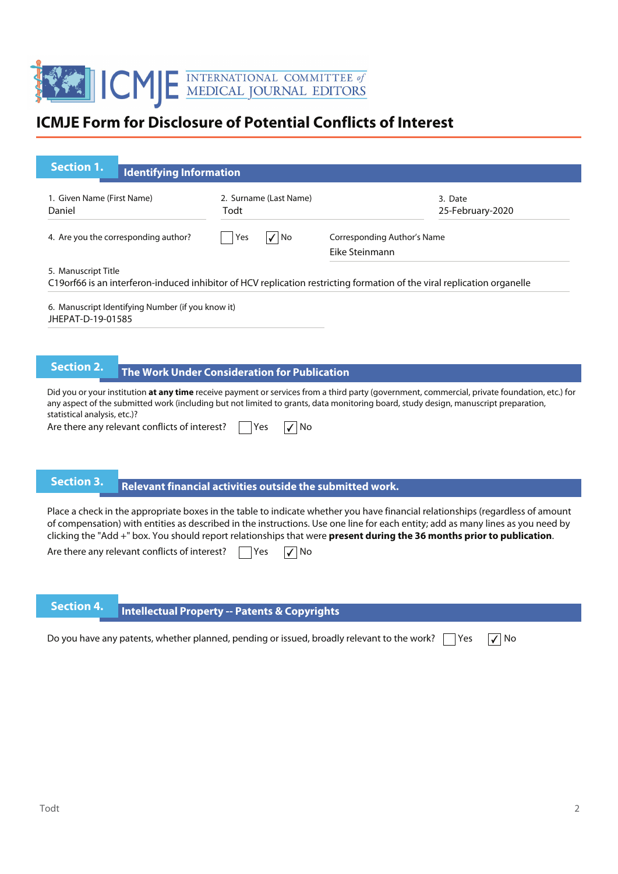

| <b>Section 1.</b><br><b>Identifying Information</b>                                                                                                                                                                                                                                                                                                                                                                                                       |                                                           |                                                                                                                           |  |  |  |
|-----------------------------------------------------------------------------------------------------------------------------------------------------------------------------------------------------------------------------------------------------------------------------------------------------------------------------------------------------------------------------------------------------------------------------------------------------------|-----------------------------------------------------------|---------------------------------------------------------------------------------------------------------------------------|--|--|--|
| 1. Given Name (First Name)<br>Daniel                                                                                                                                                                                                                                                                                                                                                                                                                      | 2. Surname (Last Name)<br>Todt                            | 3. Date<br>25-February-2020                                                                                               |  |  |  |
| 4. Are you the corresponding author?                                                                                                                                                                                                                                                                                                                                                                                                                      | $\sqrt{ N}$<br>Yes                                        | Corresponding Author's Name<br>Eike Steinmann                                                                             |  |  |  |
| 5. Manuscript Title                                                                                                                                                                                                                                                                                                                                                                                                                                       |                                                           | C19 or f66 is an interferon-induced inhibitor of HCV replication restricting formation of the viral replication organelle |  |  |  |
| 6. Manuscript Identifying Number (if you know it)<br>JHEPAT-D-19-01585                                                                                                                                                                                                                                                                                                                                                                                    |                                                           |                                                                                                                           |  |  |  |
|                                                                                                                                                                                                                                                                                                                                                                                                                                                           |                                                           |                                                                                                                           |  |  |  |
| <b>Section 2.</b>                                                                                                                                                                                                                                                                                                                                                                                                                                         | The Work Under Consideration for Publication              |                                                                                                                           |  |  |  |
| Did you or your institution at any time receive payment or services from a third party (government, commercial, private foundation, etc.) for<br>any aspect of the submitted work (including but not limited to grants, data monitoring board, study design, manuscript preparation,<br>statistical analysis, etc.)?<br>Are there any relevant conflicts of interest?<br>$\sqrt{ N}$<br>Yes                                                               |                                                           |                                                                                                                           |  |  |  |
|                                                                                                                                                                                                                                                                                                                                                                                                                                                           |                                                           |                                                                                                                           |  |  |  |
| <b>Section 3.</b>                                                                                                                                                                                                                                                                                                                                                                                                                                         | Relevant financial activities outside the submitted work. |                                                                                                                           |  |  |  |
| Place a check in the appropriate boxes in the table to indicate whether you have financial relationships (regardless of amount<br>of compensation) with entities as described in the instructions. Use one line for each entity; add as many lines as you need by<br>clicking the "Add +" box. You should report relationships that were present during the 36 months prior to publication.<br>Are there any relevant conflicts of interest?<br>No<br>Yes |                                                           |                                                                                                                           |  |  |  |
| <b>Section 4.</b>                                                                                                                                                                                                                                                                                                                                                                                                                                         |                                                           |                                                                                                                           |  |  |  |
|                                                                                                                                                                                                                                                                                                                                                                                                                                                           | <b>Intellectual Property -- Patents &amp; Copyrights</b>  |                                                                                                                           |  |  |  |
| Do you have any patents, whether planned, pending or issued, broadly relevant to the work?<br>$\sqrt{ NQ}$<br>Yes                                                                                                                                                                                                                                                                                                                                         |                                                           |                                                                                                                           |  |  |  |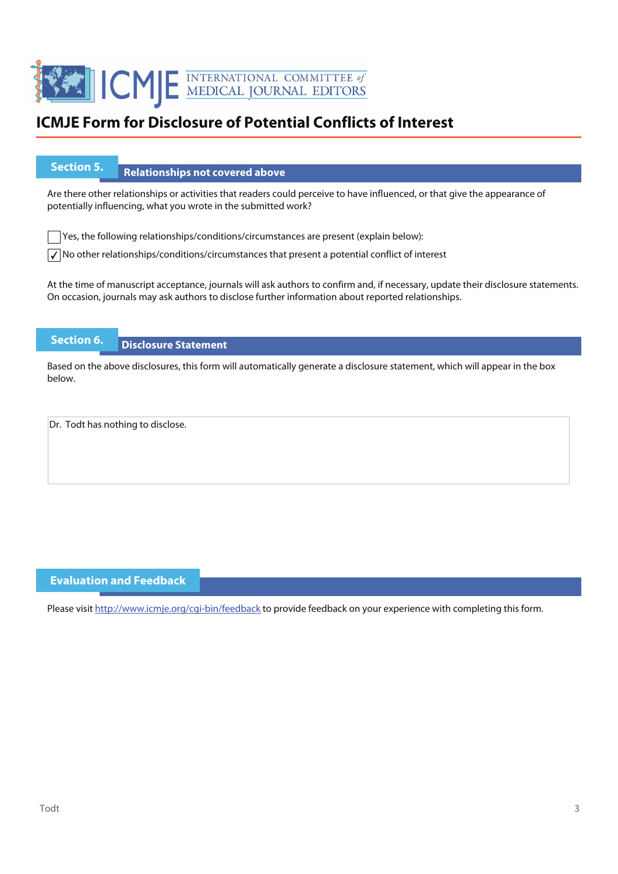

# **Section 5. Relationships not covered above**

Are there other relationships or activities that readers could perceive to have influenced, or that give the appearance of potentially influencing, what you wrote in the submitted work?

 $\Box$  Yes, the following relationships/conditions/circumstances are present (explain below):

 $\sqrt{\phantom{a}}$  No other relationships/conditions/circumstances that present a potential conflict of interest

At the time of manuscript acceptance, journals will ask authors to confirm and, if necessary, update their disclosure statements. On occasion, journals may ask authors to disclose further information about reported relationships.

## **Section 6. Disclosure Statement**

Based on the above disclosures, this form will automatically generate a disclosure statement, which will appear in the box below.

Dr. Todt has nothing to disclose.

## **Evaluation and Feedback**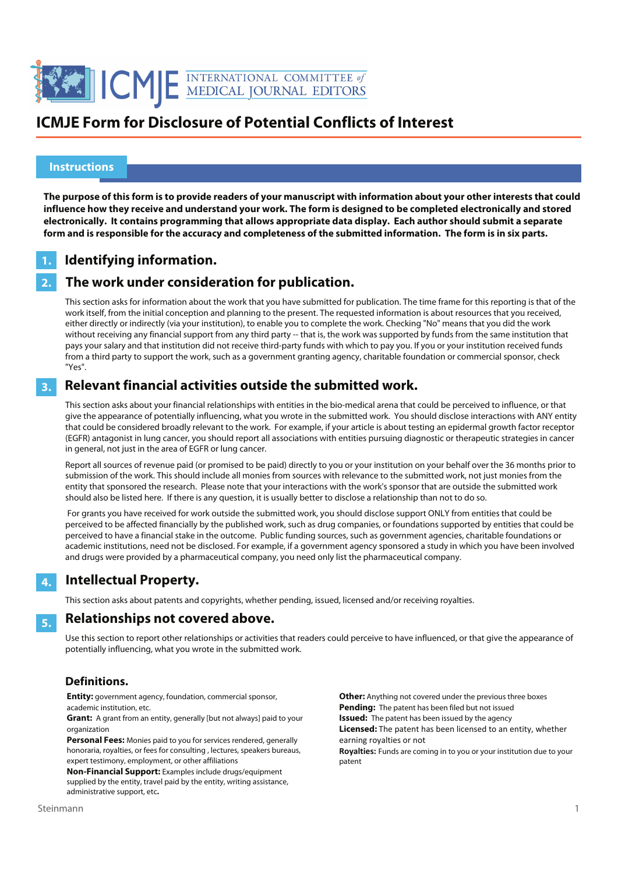

### **Instructions**

 l

> **The purpose of this form is to provide readers of your manuscript with information about your other interests that could influence how they receive and understand your work. The form is designed to be completed electronically and stored electronically. It contains programming that allows appropriate data display. Each author should submit a separate form and is responsible for the accuracy and completeness of the submitted information. The form is in six parts.**

#### **Identifying information. 1.**

#### **The work under consideration for publication. 2.**

This section asks for information about the work that you have submitted for publication. The time frame for this reporting is that of the work itself, from the initial conception and planning to the present. The requested information is about resources that you received, either directly or indirectly (via your institution), to enable you to complete the work. Checking "No" means that you did the work without receiving any financial support from any third party -- that is, the work was supported by funds from the same institution that pays your salary and that institution did not receive third-party funds with which to pay you. If you or your institution received funds from a third party to support the work, such as a government granting agency, charitable foundation or commercial sponsor, check "Yes".

#### **Relevant financial activities outside the submitted work. 3.**

This section asks about your financial relationships with entities in the bio-medical arena that could be perceived to influence, or that give the appearance of potentially influencing, what you wrote in the submitted work. You should disclose interactions with ANY entity that could be considered broadly relevant to the work. For example, if your article is about testing an epidermal growth factor receptor (EGFR) antagonist in lung cancer, you should report all associations with entities pursuing diagnostic or therapeutic strategies in cancer in general, not just in the area of EGFR or lung cancer.

Report all sources of revenue paid (or promised to be paid) directly to you or your institution on your behalf over the 36 months prior to submission of the work. This should include all monies from sources with relevance to the submitted work, not just monies from the entity that sponsored the research. Please note that your interactions with the work's sponsor that are outside the submitted work should also be listed here. If there is any question, it is usually better to disclose a relationship than not to do so.

 For grants you have received for work outside the submitted work, you should disclose support ONLY from entities that could be perceived to be affected financially by the published work, such as drug companies, or foundations supported by entities that could be perceived to have a financial stake in the outcome. Public funding sources, such as government agencies, charitable foundations or academic institutions, need not be disclosed. For example, if a government agency sponsored a study in which you have been involved and drugs were provided by a pharmaceutical company, you need only list the pharmaceutical company.

#### **Intellectual Property. 4.**

This section asks about patents and copyrights, whether pending, issued, licensed and/or receiving royalties.

#### **Relationships not covered above. 5.**

Use this section to report other relationships or activities that readers could perceive to have influenced, or that give the appearance of potentially influencing, what you wrote in the submitted work.

## **Definitions.**

**Entity:** government agency, foundation, commercial sponsor, academic institution, etc.

**Grant:** A grant from an entity, generally [but not always] paid to your organization

**Personal Fees:** Monies paid to you for services rendered, generally honoraria, royalties, or fees for consulting , lectures, speakers bureaus, expert testimony, employment, or other affiliations

**Non-Financial Support:** Examples include drugs/equipment supplied by the entity, travel paid by the entity, writing assistance, administrative support, etc**.**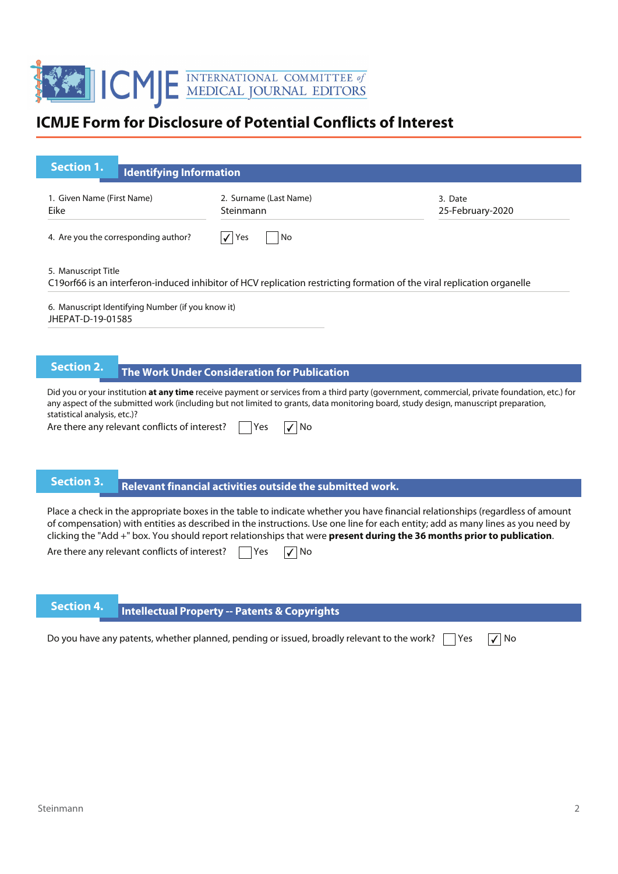

| <b>Section 1.</b><br><b>Identifying Information</b>                                                                                                                                                                                                                                                                                                                                                                                                       |                                                                                                                         |                             |  |  |  |  |
|-----------------------------------------------------------------------------------------------------------------------------------------------------------------------------------------------------------------------------------------------------------------------------------------------------------------------------------------------------------------------------------------------------------------------------------------------------------|-------------------------------------------------------------------------------------------------------------------------|-----------------------------|--|--|--|--|
| 1. Given Name (First Name)<br>Eike                                                                                                                                                                                                                                                                                                                                                                                                                        | 2. Surname (Last Name)<br>Steinmann                                                                                     | 3. Date<br>25-February-2020 |  |  |  |  |
| 4. Are you the corresponding author?                                                                                                                                                                                                                                                                                                                                                                                                                      | $\sqrt{\vert$ Yes<br>No                                                                                                 |                             |  |  |  |  |
| 5. Manuscript Title                                                                                                                                                                                                                                                                                                                                                                                                                                       | C19orf66 is an interferon-induced inhibitor of HCV replication restricting formation of the viral replication organelle |                             |  |  |  |  |
| 6. Manuscript Identifying Number (if you know it)<br>JHEPAT-D-19-01585                                                                                                                                                                                                                                                                                                                                                                                    |                                                                                                                         |                             |  |  |  |  |
|                                                                                                                                                                                                                                                                                                                                                                                                                                                           |                                                                                                                         |                             |  |  |  |  |
| <b>Section 2.</b>                                                                                                                                                                                                                                                                                                                                                                                                                                         | The Work Under Consideration for Publication                                                                            |                             |  |  |  |  |
| Did you or your institution at any time receive payment or services from a third party (government, commercial, private foundation, etc.) for<br>any aspect of the submitted work (including but not limited to grants, data monitoring board, study design, manuscript preparation,<br>statistical analysis, etc.)?<br>Are there any relevant conflicts of interest?<br>No<br>Yes                                                                        |                                                                                                                         |                             |  |  |  |  |
| <b>Section 3.</b>                                                                                                                                                                                                                                                                                                                                                                                                                                         | Relevant financial activities outside the submitted work.                                                               |                             |  |  |  |  |
| Place a check in the appropriate boxes in the table to indicate whether you have financial relationships (regardless of amount<br>of compensation) with entities as described in the instructions. Use one line for each entity; add as many lines as you need by<br>clicking the "Add +" box. You should report relationships that were present during the 36 months prior to publication.<br>Are there any relevant conflicts of interest?<br>No<br>Yes |                                                                                                                         |                             |  |  |  |  |
| <b>Section 4.</b>                                                                                                                                                                                                                                                                                                                                                                                                                                         | <b>Intellectual Property -- Patents &amp; Copyrights</b>                                                                |                             |  |  |  |  |
|                                                                                                                                                                                                                                                                                                                                                                                                                                                           | Do you have any patents, whether planned, pending or issued, broadly relevant to the work?                              | No<br>Yes<br>✓              |  |  |  |  |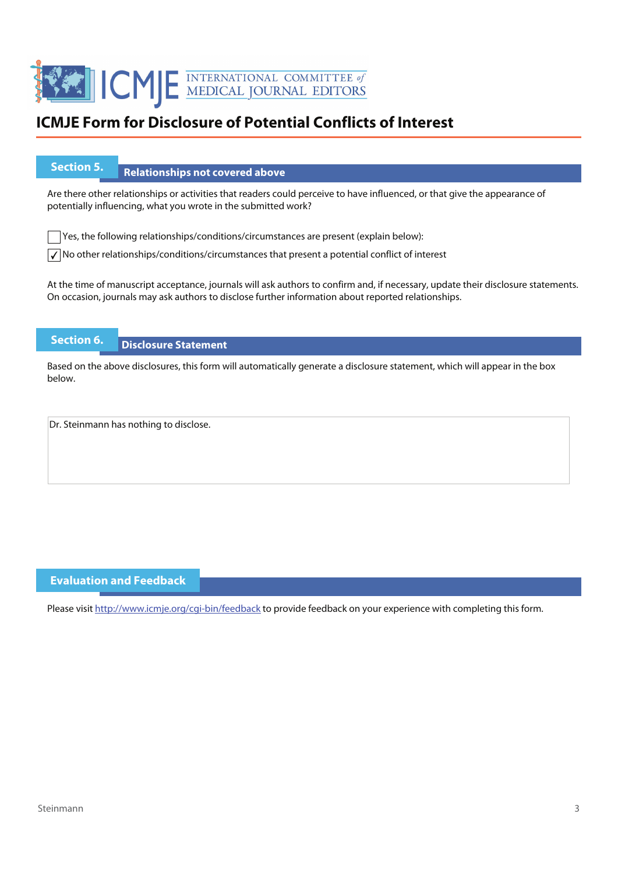

# **Section 5.** Relationships not covered above

Are there other relationships or activities that readers could perceive to have influenced, or that give the appearance of potentially influencing, what you wrote in the submitted work?

 $\Box$  Yes, the following relationships/conditions/circumstances are present (explain below):

 $\sqrt{\phantom{a}}$  No other relationships/conditions/circumstances that present a potential conflict of interest

At the time of manuscript acceptance, journals will ask authors to confirm and, if necessary, update their disclosure statements. On occasion, journals may ask authors to disclose further information about reported relationships.

## **Section 6. Disclosure Statement**

Based on the above disclosures, this form will automatically generate a disclosure statement, which will appear in the box below.

Dr. Steinmann has nothing to disclose.

## **Evaluation and Feedback**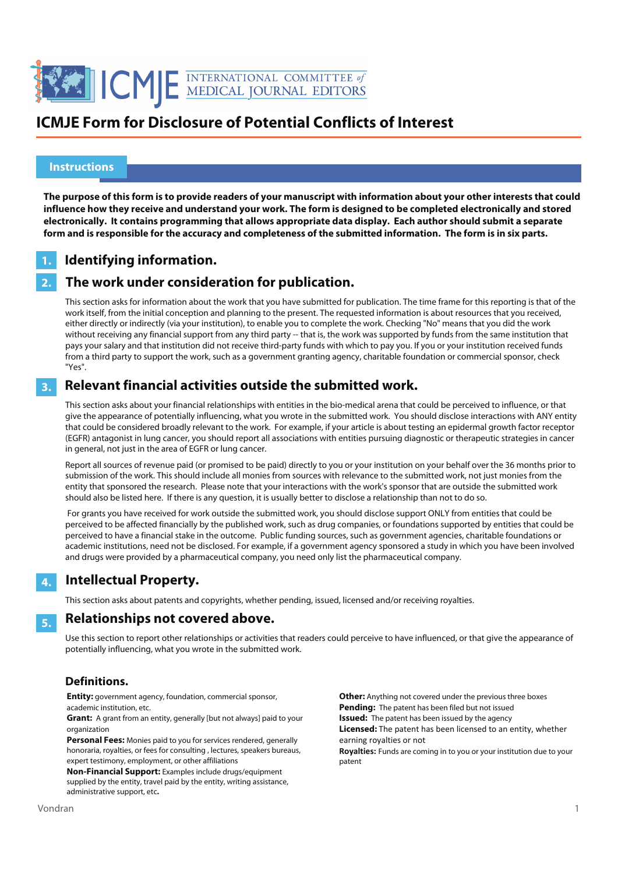

### **Instructions**

 l

> **The purpose of this form is to provide readers of your manuscript with information about your other interests that could influence how they receive and understand your work. The form is designed to be completed electronically and stored electronically. It contains programming that allows appropriate data display. Each author should submit a separate form and is responsible for the accuracy and completeness of the submitted information. The form is in six parts.**

#### **Identifying information. 1.**

#### **The work under consideration for publication. 2.**

This section asks for information about the work that you have submitted for publication. The time frame for this reporting is that of the work itself, from the initial conception and planning to the present. The requested information is about resources that you received, either directly or indirectly (via your institution), to enable you to complete the work. Checking "No" means that you did the work without receiving any financial support from any third party -- that is, the work was supported by funds from the same institution that pays your salary and that institution did not receive third-party funds with which to pay you. If you or your institution received funds from a third party to support the work, such as a government granting agency, charitable foundation or commercial sponsor, check "Yes".

#### **Relevant financial activities outside the submitted work. 3.**

This section asks about your financial relationships with entities in the bio-medical arena that could be perceived to influence, or that give the appearance of potentially influencing, what you wrote in the submitted work. You should disclose interactions with ANY entity that could be considered broadly relevant to the work. For example, if your article is about testing an epidermal growth factor receptor (EGFR) antagonist in lung cancer, you should report all associations with entities pursuing diagnostic or therapeutic strategies in cancer in general, not just in the area of EGFR or lung cancer.

Report all sources of revenue paid (or promised to be paid) directly to you or your institution on your behalf over the 36 months prior to submission of the work. This should include all monies from sources with relevance to the submitted work, not just monies from the entity that sponsored the research. Please note that your interactions with the work's sponsor that are outside the submitted work should also be listed here. If there is any question, it is usually better to disclose a relationship than not to do so.

 For grants you have received for work outside the submitted work, you should disclose support ONLY from entities that could be perceived to be affected financially by the published work, such as drug companies, or foundations supported by entities that could be perceived to have a financial stake in the outcome. Public funding sources, such as government agencies, charitable foundations or academic institutions, need not be disclosed. For example, if a government agency sponsored a study in which you have been involved and drugs were provided by a pharmaceutical company, you need only list the pharmaceutical company.

#### **Intellectual Property. 4.**

This section asks about patents and copyrights, whether pending, issued, licensed and/or receiving royalties.

#### **Relationships not covered above. 5.**

Use this section to report other relationships or activities that readers could perceive to have influenced, or that give the appearance of potentially influencing, what you wrote in the submitted work.

## **Definitions.**

**Entity:** government agency, foundation, commercial sponsor, academic institution, etc.

**Grant:** A grant from an entity, generally [but not always] paid to your organization

**Personal Fees:** Monies paid to you for services rendered, generally honoraria, royalties, or fees for consulting , lectures, speakers bureaus, expert testimony, employment, or other affiliations

**Non-Financial Support:** Examples include drugs/equipment supplied by the entity, travel paid by the entity, writing assistance, administrative support, etc**.**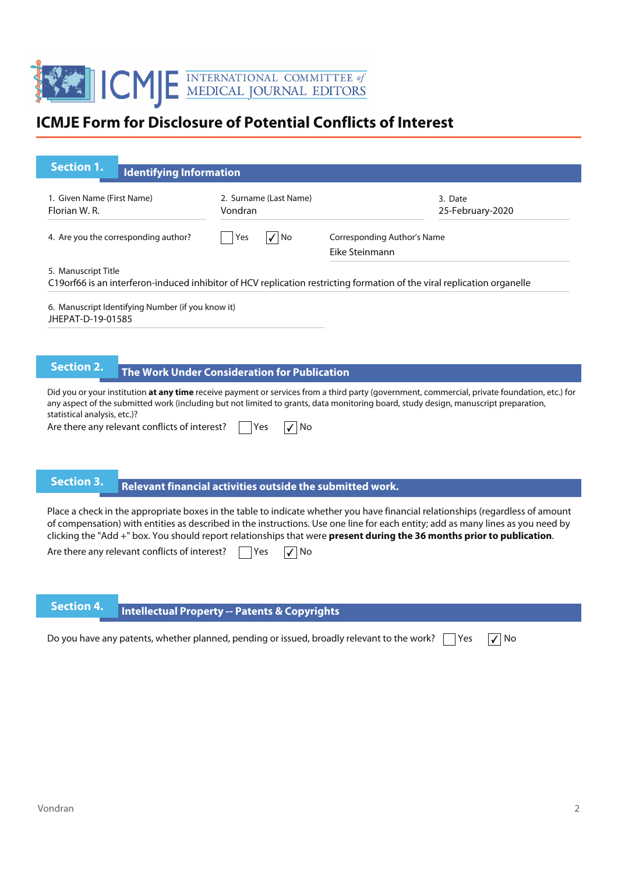

| <b>Section 1.</b>                                                                                                                                                                                                                                                                                                                                                                                                                                                   | <b>Identifying Information</b>                    |                                                           |                                                                                                                         |                             |  |
|---------------------------------------------------------------------------------------------------------------------------------------------------------------------------------------------------------------------------------------------------------------------------------------------------------------------------------------------------------------------------------------------------------------------------------------------------------------------|---------------------------------------------------|-----------------------------------------------------------|-------------------------------------------------------------------------------------------------------------------------|-----------------------------|--|
| 1. Given Name (First Name)<br>Florian W. R.                                                                                                                                                                                                                                                                                                                                                                                                                         |                                                   | 2. Surname (Last Name)<br>Vondran                         |                                                                                                                         | 3. Date<br>25-February-2020 |  |
|                                                                                                                                                                                                                                                                                                                                                                                                                                                                     | 4. Are you the corresponding author?              | $\sqrt{\log n}$<br>Yes                                    | Corresponding Author's Name<br>Eike Steinmann                                                                           |                             |  |
| 5. Manuscript Title                                                                                                                                                                                                                                                                                                                                                                                                                                                 |                                                   |                                                           | C19orf66 is an interferon-induced inhibitor of HCV replication restricting formation of the viral replication organelle |                             |  |
| JHEPAT-D-19-01585                                                                                                                                                                                                                                                                                                                                                                                                                                                   | 6. Manuscript Identifying Number (if you know it) |                                                           |                                                                                                                         |                             |  |
|                                                                                                                                                                                                                                                                                                                                                                                                                                                                     |                                                   |                                                           |                                                                                                                         |                             |  |
| <b>Section 2.</b>                                                                                                                                                                                                                                                                                                                                                                                                                                                   |                                                   | The Work Under Consideration for Publication              |                                                                                                                         |                             |  |
| Did you or your institution at any time receive payment or services from a third party (government, commercial, private foundation, etc.) for<br>any aspect of the submitted work (including but not limited to grants, data monitoring board, study design, manuscript preparation,<br>statistical analysis, etc.)?<br>Are there any relevant conflicts of interest?<br>$\sqrt{}$ No<br><b>Yes</b>                                                                 |                                                   |                                                           |                                                                                                                         |                             |  |
|                                                                                                                                                                                                                                                                                                                                                                                                                                                                     |                                                   |                                                           |                                                                                                                         |                             |  |
| <b>Section 3.</b>                                                                                                                                                                                                                                                                                                                                                                                                                                                   |                                                   | Relevant financial activities outside the submitted work. |                                                                                                                         |                             |  |
| Place a check in the appropriate boxes in the table to indicate whether you have financial relationships (regardless of amount<br>of compensation) with entities as described in the instructions. Use one line for each entity; add as many lines as you need by<br>clicking the "Add +" box. You should report relationships that were present during the 36 months prior to publication.<br>Are there any relevant conflicts of interest?<br>$\sqrt{ NQ}$<br>Yes |                                                   |                                                           |                                                                                                                         |                             |  |
| <b>Section 4.</b>                                                                                                                                                                                                                                                                                                                                                                                                                                                   |                                                   |                                                           |                                                                                                                         |                             |  |
|                                                                                                                                                                                                                                                                                                                                                                                                                                                                     |                                                   | <b>Intellectual Property -- Patents &amp; Copyrights</b>  |                                                                                                                         |                             |  |
| Do you have any patents, whether planned, pending or issued, broadly relevant to the work?<br>$\sqrt{ N_{0}}$<br><b>Yes</b>                                                                                                                                                                                                                                                                                                                                         |                                                   |                                                           |                                                                                                                         |                             |  |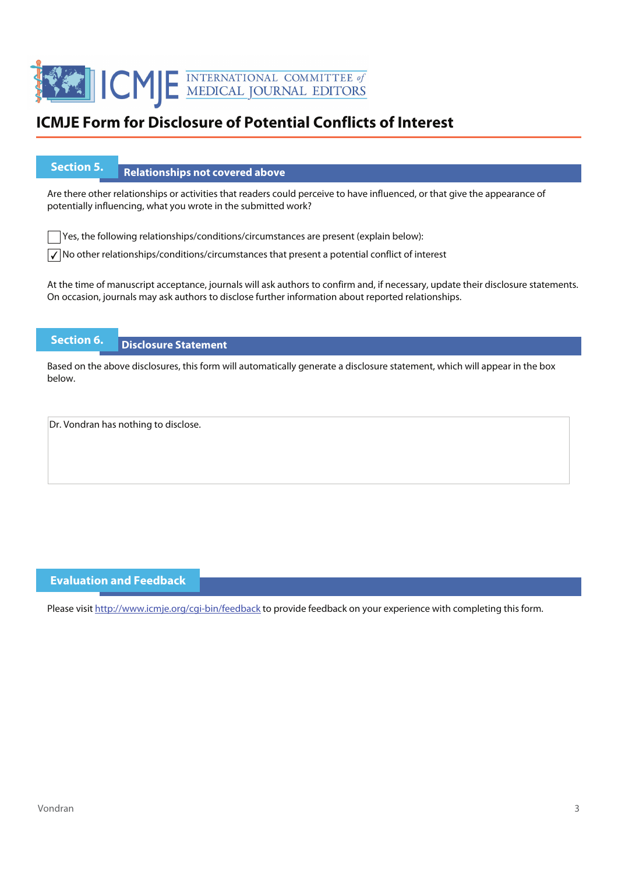

# **Section 5.** Relationships not covered above

Are there other relationships or activities that readers could perceive to have influenced, or that give the appearance of potentially influencing, what you wrote in the submitted work?

 $\Box$  Yes, the following relationships/conditions/circumstances are present (explain below):

 $\sqrt{\phantom{a}}$  No other relationships/conditions/circumstances that present a potential conflict of interest

At the time of manuscript acceptance, journals will ask authors to confirm and, if necessary, update their disclosure statements. On occasion, journals may ask authors to disclose further information about reported relationships.

## **Section 6. Disclosure Statement**

Based on the above disclosures, this form will automatically generate a disclosure statement, which will appear in the box below.

Dr. Vondran has nothing to disclose.

## **Evaluation and Feedback**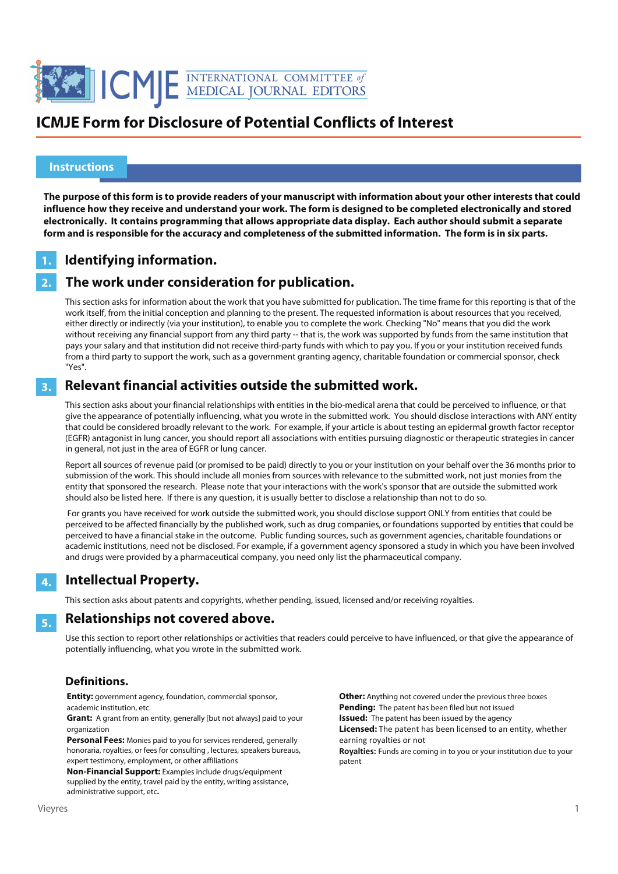

### **Instructions**

 l

> **The purpose of this form is to provide readers of your manuscript with information about your other interests that could influence how they receive and understand your work. The form is designed to be completed electronically and stored electronically. It contains programming that allows appropriate data display. Each author should submit a separate form and is responsible for the accuracy and completeness of the submitted information. The form is in six parts.**

#### **Identifying information. 1.**

#### **The work under consideration for publication. 2.**

This section asks for information about the work that you have submitted for publication. The time frame for this reporting is that of the work itself, from the initial conception and planning to the present. The requested information is about resources that you received, either directly or indirectly (via your institution), to enable you to complete the work. Checking "No" means that you did the work without receiving any financial support from any third party -- that is, the work was supported by funds from the same institution that pays your salary and that institution did not receive third-party funds with which to pay you. If you or your institution received funds from a third party to support the work, such as a government granting agency, charitable foundation or commercial sponsor, check "Yes".

#### **Relevant financial activities outside the submitted work. 3.**

This section asks about your financial relationships with entities in the bio-medical arena that could be perceived to influence, or that give the appearance of potentially influencing, what you wrote in the submitted work. You should disclose interactions with ANY entity that could be considered broadly relevant to the work. For example, if your article is about testing an epidermal growth factor receptor (EGFR) antagonist in lung cancer, you should report all associations with entities pursuing diagnostic or therapeutic strategies in cancer in general, not just in the area of EGFR or lung cancer.

Report all sources of revenue paid (or promised to be paid) directly to you or your institution on your behalf over the 36 months prior to submission of the work. This should include all monies from sources with relevance to the submitted work, not just monies from the entity that sponsored the research. Please note that your interactions with the work's sponsor that are outside the submitted work should also be listed here. If there is any question, it is usually better to disclose a relationship than not to do so.

 For grants you have received for work outside the submitted work, you should disclose support ONLY from entities that could be perceived to be affected financially by the published work, such as drug companies, or foundations supported by entities that could be perceived to have a financial stake in the outcome. Public funding sources, such as government agencies, charitable foundations or academic institutions, need not be disclosed. For example, if a government agency sponsored a study in which you have been involved and drugs were provided by a pharmaceutical company, you need only list the pharmaceutical company.

#### **Intellectual Property. 4.**

This section asks about patents and copyrights, whether pending, issued, licensed and/or receiving royalties.

#### **Relationships not covered above. 5.**

Use this section to report other relationships or activities that readers could perceive to have influenced, or that give the appearance of potentially influencing, what you wrote in the submitted work.

## **Definitions.**

**Entity:** government agency, foundation, commercial sponsor, academic institution, etc.

**Grant:** A grant from an entity, generally [but not always] paid to your organization

**Personal Fees:** Monies paid to you for services rendered, generally honoraria, royalties, or fees for consulting , lectures, speakers bureaus, expert testimony, employment, or other affiliations

**Non-Financial Support:** Examples include drugs/equipment supplied by the entity, travel paid by the entity, writing assistance, administrative support, etc**.**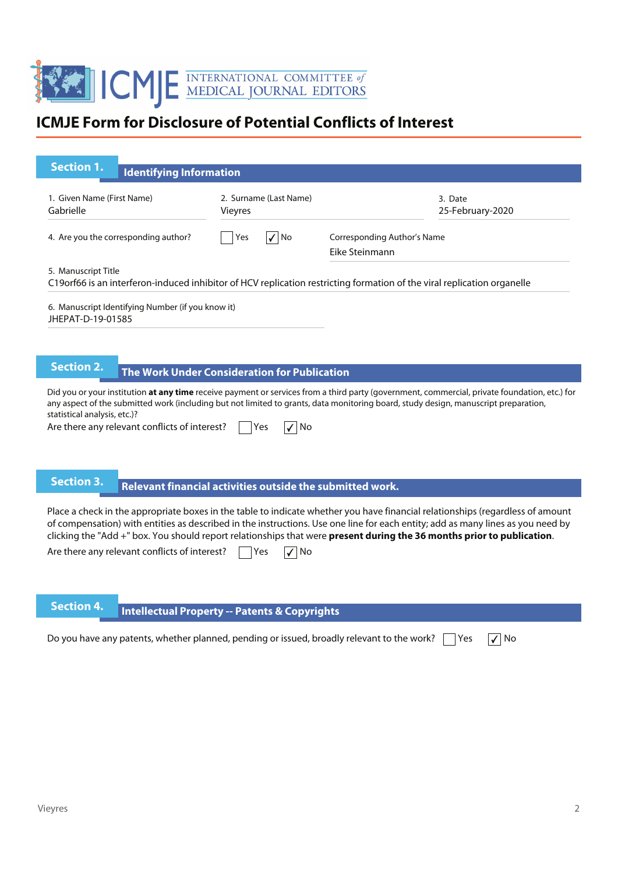

| <b>Section 1.</b>                                                                                                                                                                                                                                                                                                                                                                                                                                                      | <b>Identifying Information</b>                    |                                                           |                                                                                                                         |                             |  |
|------------------------------------------------------------------------------------------------------------------------------------------------------------------------------------------------------------------------------------------------------------------------------------------------------------------------------------------------------------------------------------------------------------------------------------------------------------------------|---------------------------------------------------|-----------------------------------------------------------|-------------------------------------------------------------------------------------------------------------------------|-----------------------------|--|
| 1. Given Name (First Name)<br>Gabrielle                                                                                                                                                                                                                                                                                                                                                                                                                                |                                                   | 2. Surname (Last Name)<br>Vieyres                         |                                                                                                                         | 3. Date<br>25-February-2020 |  |
| 4. Are you the corresponding author?                                                                                                                                                                                                                                                                                                                                                                                                                                   |                                                   | $\sqrt{N}$<br>Yes                                         | Corresponding Author's Name<br>Eike Steinmann                                                                           |                             |  |
| 5. Manuscript Title                                                                                                                                                                                                                                                                                                                                                                                                                                                    |                                                   |                                                           | C19orf66 is an interferon-induced inhibitor of HCV replication restricting formation of the viral replication organelle |                             |  |
| JHEPAT-D-19-01585                                                                                                                                                                                                                                                                                                                                                                                                                                                      | 6. Manuscript Identifying Number (if you know it) |                                                           |                                                                                                                         |                             |  |
|                                                                                                                                                                                                                                                                                                                                                                                                                                                                        |                                                   |                                                           |                                                                                                                         |                             |  |
| <b>Section 2.</b>                                                                                                                                                                                                                                                                                                                                                                                                                                                      |                                                   | <b>The Work Under Consideration for Publication</b>       |                                                                                                                         |                             |  |
| Did you or your institution at any time receive payment or services from a third party (government, commercial, private foundation, etc.) for<br>any aspect of the submitted work (including but not limited to grants, data monitoring board, study design, manuscript preparation,<br>statistical analysis, etc.)?<br>Are there any relevant conflicts of interest?<br>$\sqrt{ }$ No<br>Yes                                                                          |                                                   |                                                           |                                                                                                                         |                             |  |
|                                                                                                                                                                                                                                                                                                                                                                                                                                                                        |                                                   |                                                           |                                                                                                                         |                             |  |
| <b>Section 3.</b>                                                                                                                                                                                                                                                                                                                                                                                                                                                      |                                                   | Relevant financial activities outside the submitted work. |                                                                                                                         |                             |  |
| Place a check in the appropriate boxes in the table to indicate whether you have financial relationships (regardless of amount<br>of compensation) with entities as described in the instructions. Use one line for each entity; add as many lines as you need by<br>clicking the "Add +" box. You should report relationships that were present during the 36 months prior to publication.<br>Are there any relevant conflicts of interest?<br>No<br>Yes<br>$\sqrt{}$ |                                                   |                                                           |                                                                                                                         |                             |  |
| <b>Section 4.</b>                                                                                                                                                                                                                                                                                                                                                                                                                                                      |                                                   |                                                           |                                                                                                                         |                             |  |
|                                                                                                                                                                                                                                                                                                                                                                                                                                                                        |                                                   | <b>Intellectual Property -- Patents &amp; Copyrights</b>  |                                                                                                                         |                             |  |
| Do you have any patents, whether planned, pending or issued, broadly relevant to the work?<br>Yes<br>√∣No                                                                                                                                                                                                                                                                                                                                                              |                                                   |                                                           |                                                                                                                         |                             |  |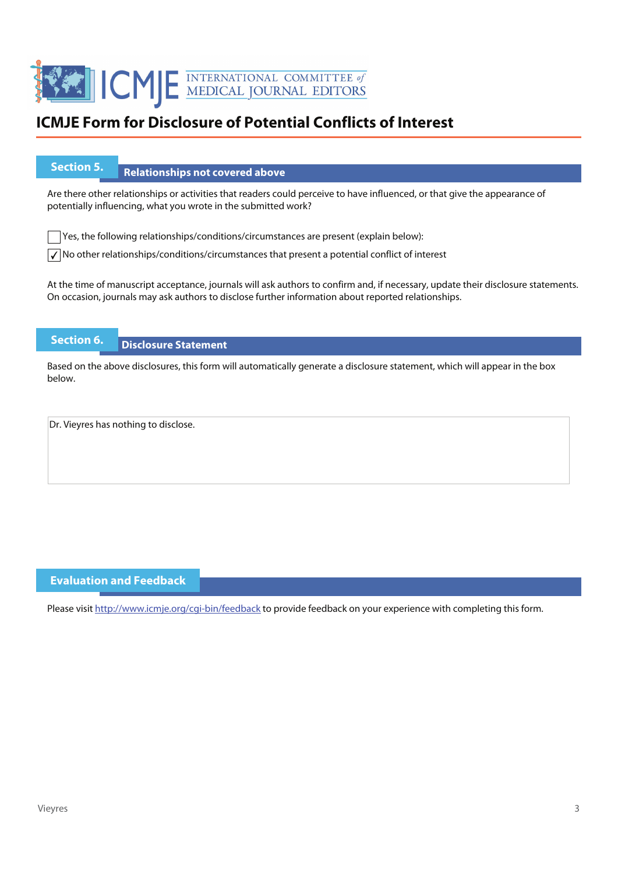

# **Section 5. Relationships not covered above**

Are there other relationships or activities that readers could perceive to have influenced, or that give the appearance of potentially influencing, what you wrote in the submitted work?

 $\Box$  Yes, the following relationships/conditions/circumstances are present (explain below):

 $\sqrt{\phantom{a}}$  No other relationships/conditions/circumstances that present a potential conflict of interest

At the time of manuscript acceptance, journals will ask authors to confirm and, if necessary, update their disclosure statements. On occasion, journals may ask authors to disclose further information about reported relationships.

## **Section 6. Disclosure Statement**

Based on the above disclosures, this form will automatically generate a disclosure statement, which will appear in the box below.

Dr. Vieyres has nothing to disclose.

## **Evaluation and Feedback**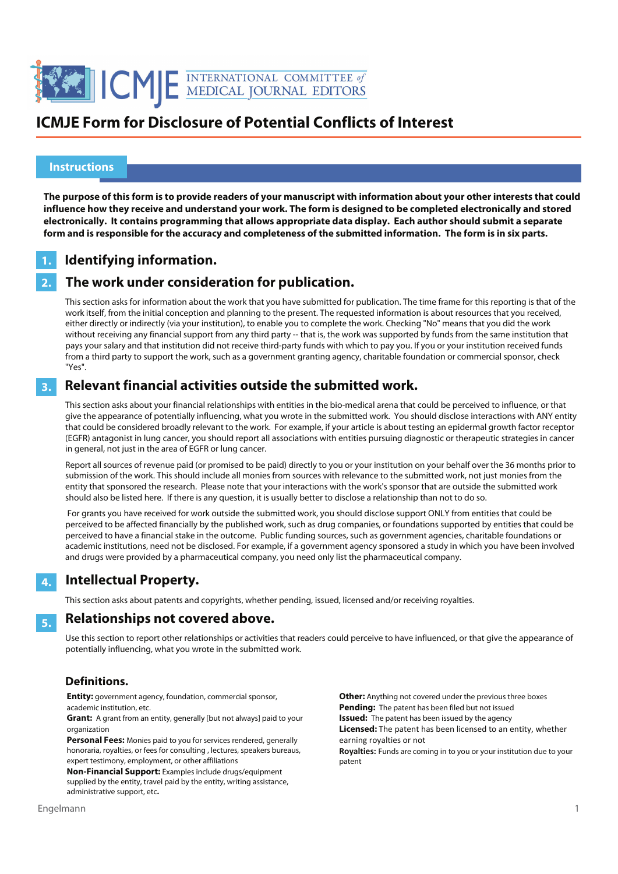

### **Instructions**

 l

> **The purpose of this form is to provide readers of your manuscript with information about your other interests that could influence how they receive and understand your work. The form is designed to be completed electronically and stored electronically. It contains programming that allows appropriate data display. Each author should submit a separate form and is responsible for the accuracy and completeness of the submitted information. The form is in six parts.**

#### **Identifying information. 1.**

#### **The work under consideration for publication. 2.**

This section asks for information about the work that you have submitted for publication. The time frame for this reporting is that of the work itself, from the initial conception and planning to the present. The requested information is about resources that you received, either directly or indirectly (via your institution), to enable you to complete the work. Checking "No" means that you did the work without receiving any financial support from any third party -- that is, the work was supported by funds from the same institution that pays your salary and that institution did not receive third-party funds with which to pay you. If you or your institution received funds from a third party to support the work, such as a government granting agency, charitable foundation or commercial sponsor, check "Yes".

#### **Relevant financial activities outside the submitted work. 3.**

This section asks about your financial relationships with entities in the bio-medical arena that could be perceived to influence, or that give the appearance of potentially influencing, what you wrote in the submitted work. You should disclose interactions with ANY entity that could be considered broadly relevant to the work. For example, if your article is about testing an epidermal growth factor receptor (EGFR) antagonist in lung cancer, you should report all associations with entities pursuing diagnostic or therapeutic strategies in cancer in general, not just in the area of EGFR or lung cancer.

Report all sources of revenue paid (or promised to be paid) directly to you or your institution on your behalf over the 36 months prior to submission of the work. This should include all monies from sources with relevance to the submitted work, not just monies from the entity that sponsored the research. Please note that your interactions with the work's sponsor that are outside the submitted work should also be listed here. If there is any question, it is usually better to disclose a relationship than not to do so.

 For grants you have received for work outside the submitted work, you should disclose support ONLY from entities that could be perceived to be affected financially by the published work, such as drug companies, or foundations supported by entities that could be perceived to have a financial stake in the outcome. Public funding sources, such as government agencies, charitable foundations or academic institutions, need not be disclosed. For example, if a government agency sponsored a study in which you have been involved and drugs were provided by a pharmaceutical company, you need only list the pharmaceutical company.

#### **Intellectual Property. 4.**

This section asks about patents and copyrights, whether pending, issued, licensed and/or receiving royalties.

#### **Relationships not covered above. 5.**

Use this section to report other relationships or activities that readers could perceive to have influenced, or that give the appearance of potentially influencing, what you wrote in the submitted work.

## **Definitions.**

**Entity:** government agency, foundation, commercial sponsor, academic institution, etc.

**Grant:** A grant from an entity, generally [but not always] paid to your organization

**Personal Fees:** Monies paid to you for services rendered, generally honoraria, royalties, or fees for consulting , lectures, speakers bureaus, expert testimony, employment, or other affiliations

**Non-Financial Support:** Examples include drugs/equipment supplied by the entity, travel paid by the entity, writing assistance, administrative support, etc**.**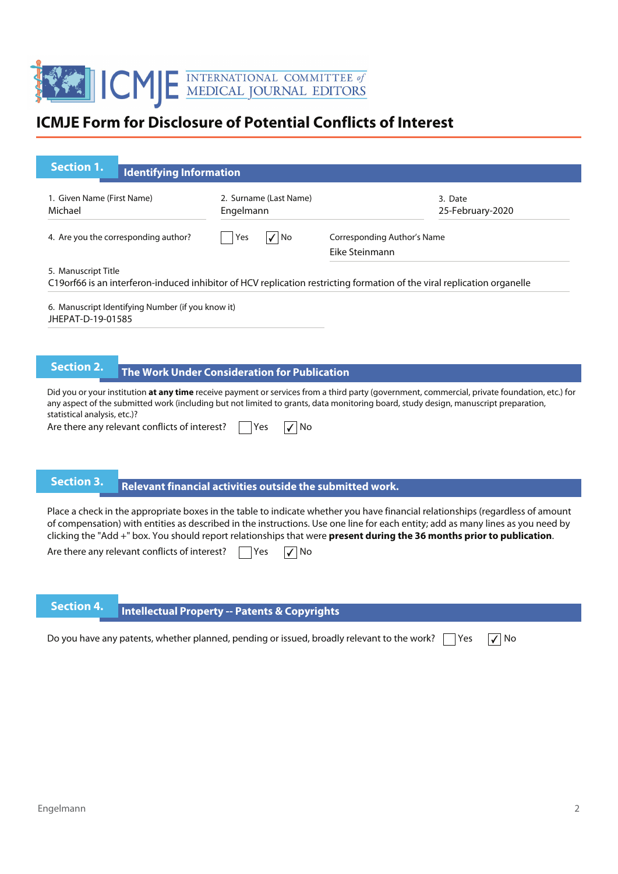

| <b>Section 1.</b>                                                                                                                                                                                                                                                                                                                                                                                                                                                      | <b>Identifying Information</b>                    |                                                           |                                                                                                                                     |                                                                                                                                               |  |
|------------------------------------------------------------------------------------------------------------------------------------------------------------------------------------------------------------------------------------------------------------------------------------------------------------------------------------------------------------------------------------------------------------------------------------------------------------------------|---------------------------------------------------|-----------------------------------------------------------|-------------------------------------------------------------------------------------------------------------------------------------|-----------------------------------------------------------------------------------------------------------------------------------------------|--|
| 1. Given Name (First Name)<br>Michael                                                                                                                                                                                                                                                                                                                                                                                                                                  |                                                   | 2. Surname (Last Name)<br>Engelmann                       |                                                                                                                                     | 3. Date<br>25-February-2020                                                                                                                   |  |
| 4. Are you the corresponding author?                                                                                                                                                                                                                                                                                                                                                                                                                                   |                                                   | $\sqrt{ NQ}$<br>Yes                                       | Corresponding Author's Name<br>Eike Steinmann                                                                                       |                                                                                                                                               |  |
| 5. Manuscript Title                                                                                                                                                                                                                                                                                                                                                                                                                                                    |                                                   |                                                           | C19orf66 is an interferon-induced inhibitor of HCV replication restricting formation of the viral replication organelle             |                                                                                                                                               |  |
| JHEPAT-D-19-01585                                                                                                                                                                                                                                                                                                                                                                                                                                                      | 6. Manuscript Identifying Number (if you know it) |                                                           |                                                                                                                                     |                                                                                                                                               |  |
|                                                                                                                                                                                                                                                                                                                                                                                                                                                                        |                                                   |                                                           |                                                                                                                                     |                                                                                                                                               |  |
| <b>Section 2.</b>                                                                                                                                                                                                                                                                                                                                                                                                                                                      |                                                   | The Work Under Consideration for Publication              |                                                                                                                                     |                                                                                                                                               |  |
| statistical analysis, etc.)?                                                                                                                                                                                                                                                                                                                                                                                                                                           |                                                   |                                                           | any aspect of the submitted work (including but not limited to grants, data monitoring board, study design, manuscript preparation, | Did you or your institution at any time receive payment or services from a third party (government, commercial, private foundation, etc.) for |  |
|                                                                                                                                                                                                                                                                                                                                                                                                                                                                        | Are there any relevant conflicts of interest?     | $\sqrt{ NQ}$<br>Yes                                       |                                                                                                                                     |                                                                                                                                               |  |
|                                                                                                                                                                                                                                                                                                                                                                                                                                                                        |                                                   |                                                           |                                                                                                                                     |                                                                                                                                               |  |
| <b>Section 3.</b>                                                                                                                                                                                                                                                                                                                                                                                                                                                      |                                                   | Relevant financial activities outside the submitted work. |                                                                                                                                     |                                                                                                                                               |  |
| Place a check in the appropriate boxes in the table to indicate whether you have financial relationships (regardless of amount<br>of compensation) with entities as described in the instructions. Use one line for each entity; add as many lines as you need by<br>clicking the "Add +" box. You should report relationships that were present during the 36 months prior to publication.<br>Are there any relevant conflicts of interest?<br>$\sqrt{ N_{0}}$<br>Yes |                                                   |                                                           |                                                                                                                                     |                                                                                                                                               |  |
|                                                                                                                                                                                                                                                                                                                                                                                                                                                                        |                                                   |                                                           |                                                                                                                                     |                                                                                                                                               |  |
| <b>Section 4.</b>                                                                                                                                                                                                                                                                                                                                                                                                                                                      |                                                   | <b>Intellectual Property -- Patents &amp; Copyrights</b>  |                                                                                                                                     |                                                                                                                                               |  |
| Do you have any patents, whether planned, pending or issued, broadly relevant to the work?<br>$\sqrt{ N_{0}}$<br><b>Yes</b>                                                                                                                                                                                                                                                                                                                                            |                                                   |                                                           |                                                                                                                                     |                                                                                                                                               |  |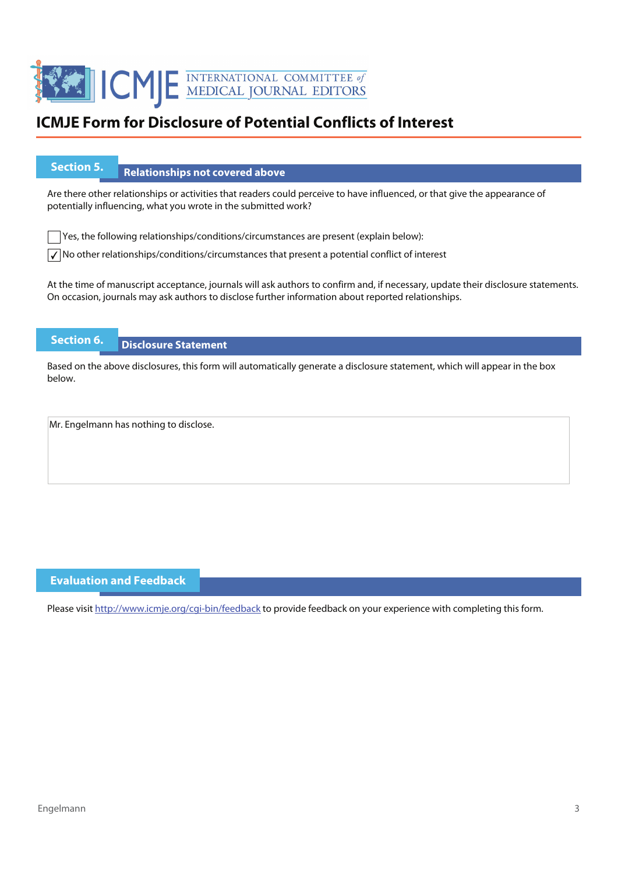

# **Section 5. Relationships not covered above**

Are there other relationships or activities that readers could perceive to have influenced, or that give the appearance of potentially influencing, what you wrote in the submitted work?

 $\Box$  Yes, the following relationships/conditions/circumstances are present (explain below):

 $\sqrt{\phantom{a}}$  No other relationships/conditions/circumstances that present a potential conflict of interest

At the time of manuscript acceptance, journals will ask authors to confirm and, if necessary, update their disclosure statements. On occasion, journals may ask authors to disclose further information about reported relationships.

## **Section 6. Disclosure Statement**

Based on the above disclosures, this form will automatically generate a disclosure statement, which will appear in the box below.

Mr. Engelmann has nothing to disclose.

## **Evaluation and Feedback**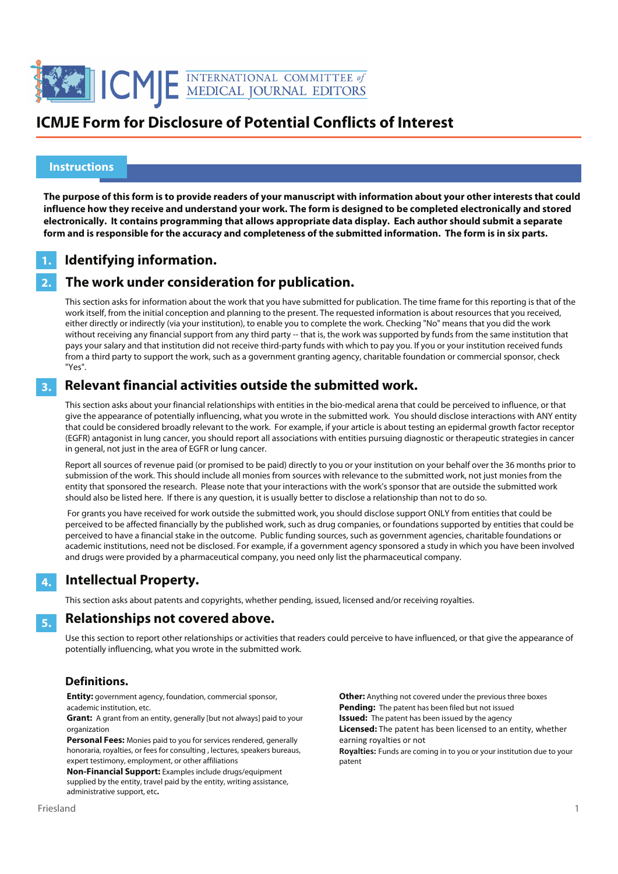

### **Instructions**

 l

> **The purpose of this form is to provide readers of your manuscript with information about your other interests that could influence how they receive and understand your work. The form is designed to be completed electronically and stored electronically. It contains programming that allows appropriate data display. Each author should submit a separate form and is responsible for the accuracy and completeness of the submitted information. The form is in six parts.**

#### **Identifying information. 1.**

#### **The work under consideration for publication. 2.**

This section asks for information about the work that you have submitted for publication. The time frame for this reporting is that of the work itself, from the initial conception and planning to the present. The requested information is about resources that you received, either directly or indirectly (via your institution), to enable you to complete the work. Checking "No" means that you did the work without receiving any financial support from any third party -- that is, the work was supported by funds from the same institution that pays your salary and that institution did not receive third-party funds with which to pay you. If you or your institution received funds from a third party to support the work, such as a government granting agency, charitable foundation or commercial sponsor, check "Yes".

#### **Relevant financial activities outside the submitted work. 3.**

This section asks about your financial relationships with entities in the bio-medical arena that could be perceived to influence, or that give the appearance of potentially influencing, what you wrote in the submitted work. You should disclose interactions with ANY entity that could be considered broadly relevant to the work. For example, if your article is about testing an epidermal growth factor receptor (EGFR) antagonist in lung cancer, you should report all associations with entities pursuing diagnostic or therapeutic strategies in cancer in general, not just in the area of EGFR or lung cancer.

Report all sources of revenue paid (or promised to be paid) directly to you or your institution on your behalf over the 36 months prior to submission of the work. This should include all monies from sources with relevance to the submitted work, not just monies from the entity that sponsored the research. Please note that your interactions with the work's sponsor that are outside the submitted work should also be listed here. If there is any question, it is usually better to disclose a relationship than not to do so.

 For grants you have received for work outside the submitted work, you should disclose support ONLY from entities that could be perceived to be affected financially by the published work, such as drug companies, or foundations supported by entities that could be perceived to have a financial stake in the outcome. Public funding sources, such as government agencies, charitable foundations or academic institutions, need not be disclosed. For example, if a government agency sponsored a study in which you have been involved and drugs were provided by a pharmaceutical company, you need only list the pharmaceutical company.

#### **Intellectual Property. 4.**

This section asks about patents and copyrights, whether pending, issued, licensed and/or receiving royalties.

#### **Relationships not covered above. 5.**

Use this section to report other relationships or activities that readers could perceive to have influenced, or that give the appearance of potentially influencing, what you wrote in the submitted work.

patent

## **Definitions.**

**Entity:** government agency, foundation, commercial sponsor, academic institution, etc.

**Grant:** A grant from an entity, generally [but not always] paid to your organization

**Personal Fees:** Monies paid to you for services rendered, generally honoraria, royalties, or fees for consulting , lectures, speakers bureaus, expert testimony, employment, or other affiliations

**Non-Financial Support:** Examples include drugs/equipment supplied by the entity, travel paid by the entity, writing assistance, administrative support, etc**.**

**Other:** Anything not covered under the previous three boxes **Pending:** The patent has been filed but not issued **Issued:** The patent has been issued by the agency **Licensed:** The patent has been licensed to an entity, whether earning royalties or not **Royalties:** Funds are coming in to you or your institution due to your

Friesland 1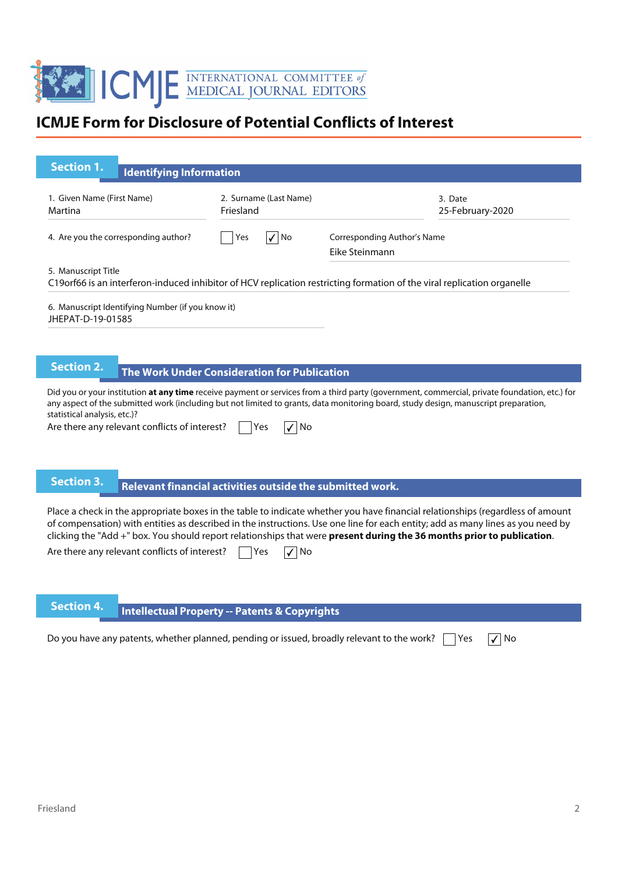

| <b>Section 1.</b>                                                                                                                                                                                                                                                                                                                                                                                                                                              | <b>Identifying Information</b>                    |                                                           |                                                                                                                                     |                                                                                                                                               |  |
|----------------------------------------------------------------------------------------------------------------------------------------------------------------------------------------------------------------------------------------------------------------------------------------------------------------------------------------------------------------------------------------------------------------------------------------------------------------|---------------------------------------------------|-----------------------------------------------------------|-------------------------------------------------------------------------------------------------------------------------------------|-----------------------------------------------------------------------------------------------------------------------------------------------|--|
| 1. Given Name (First Name)<br>Martina                                                                                                                                                                                                                                                                                                                                                                                                                          |                                                   | 2. Surname (Last Name)<br>Friesland                       |                                                                                                                                     | 3. Date<br>25-February-2020                                                                                                                   |  |
| 4. Are you the corresponding author?                                                                                                                                                                                                                                                                                                                                                                                                                           |                                                   | $\sqrt{ N}$<br>Yes                                        | Corresponding Author's Name<br>Eike Steinmann                                                                                       |                                                                                                                                               |  |
| 5. Manuscript Title                                                                                                                                                                                                                                                                                                                                                                                                                                            |                                                   |                                                           | C19orf66 is an interferon-induced inhibitor of HCV replication restricting formation of the viral replication organelle             |                                                                                                                                               |  |
| JHEPAT-D-19-01585                                                                                                                                                                                                                                                                                                                                                                                                                                              | 6. Manuscript Identifying Number (if you know it) |                                                           |                                                                                                                                     |                                                                                                                                               |  |
|                                                                                                                                                                                                                                                                                                                                                                                                                                                                |                                                   |                                                           |                                                                                                                                     |                                                                                                                                               |  |
| <b>Section 2.</b>                                                                                                                                                                                                                                                                                                                                                                                                                                              |                                                   | The Work Under Consideration for Publication              |                                                                                                                                     |                                                                                                                                               |  |
| statistical analysis, etc.)?                                                                                                                                                                                                                                                                                                                                                                                                                                   |                                                   |                                                           | any aspect of the submitted work (including but not limited to grants, data monitoring board, study design, manuscript preparation, | Did you or your institution at any time receive payment or services from a third party (government, commercial, private foundation, etc.) for |  |
|                                                                                                                                                                                                                                                                                                                                                                                                                                                                | Are there any relevant conflicts of interest?     | $\sqrt{ N}$<br>Yes                                        |                                                                                                                                     |                                                                                                                                               |  |
|                                                                                                                                                                                                                                                                                                                                                                                                                                                                |                                                   |                                                           |                                                                                                                                     |                                                                                                                                               |  |
| <b>Section 3.</b>                                                                                                                                                                                                                                                                                                                                                                                                                                              |                                                   | Relevant financial activities outside the submitted work. |                                                                                                                                     |                                                                                                                                               |  |
| Place a check in the appropriate boxes in the table to indicate whether you have financial relationships (regardless of amount<br>of compensation) with entities as described in the instructions. Use one line for each entity; add as many lines as you need by<br>clicking the "Add +" box. You should report relationships that were present during the 36 months prior to publication.<br>Are there any relevant conflicts of interest?<br>No<br>Yes<br>✓ |                                                   |                                                           |                                                                                                                                     |                                                                                                                                               |  |
|                                                                                                                                                                                                                                                                                                                                                                                                                                                                |                                                   |                                                           |                                                                                                                                     |                                                                                                                                               |  |
| <b>Section 4.</b>                                                                                                                                                                                                                                                                                                                                                                                                                                              |                                                   | <b>Intellectual Property -- Patents &amp; Copyrights</b>  |                                                                                                                                     |                                                                                                                                               |  |
| Do you have any patents, whether planned, pending or issued, broadly relevant to the work?<br>√∣No<br>Yes                                                                                                                                                                                                                                                                                                                                                      |                                                   |                                                           |                                                                                                                                     |                                                                                                                                               |  |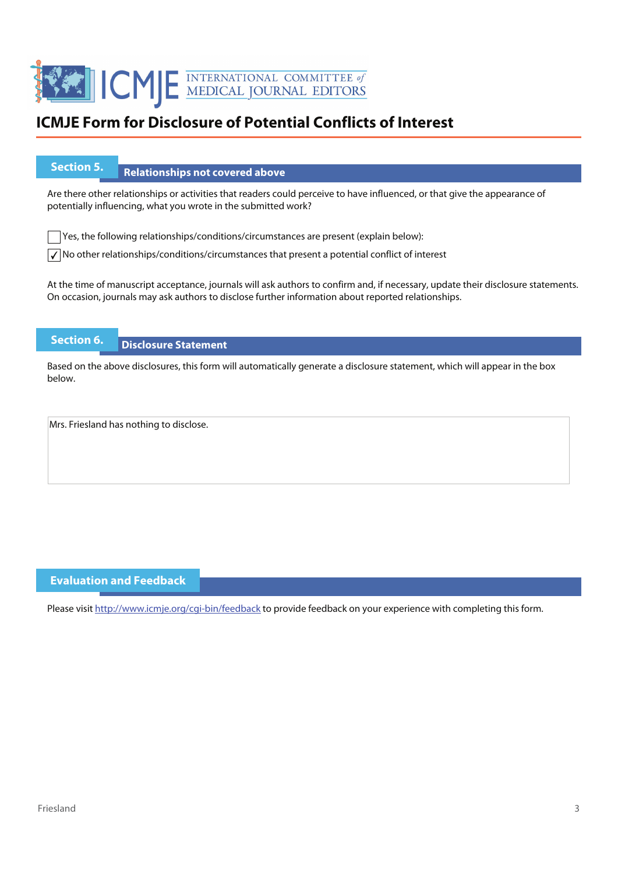

# **Section 5.** Relationships not covered above

Are there other relationships or activities that readers could perceive to have influenced, or that give the appearance of potentially influencing, what you wrote in the submitted work?

 $\Box$  Yes, the following relationships/conditions/circumstances are present (explain below):

 $\sqrt{\phantom{a}}$  No other relationships/conditions/circumstances that present a potential conflict of interest

At the time of manuscript acceptance, journals will ask authors to confirm and, if necessary, update their disclosure statements. On occasion, journals may ask authors to disclose further information about reported relationships.

## **Section 6. Disclosure Statement**

Based on the above disclosures, this form will automatically generate a disclosure statement, which will appear in the box below.

Mrs. Friesland has nothing to disclose.

## **Evaluation and Feedback**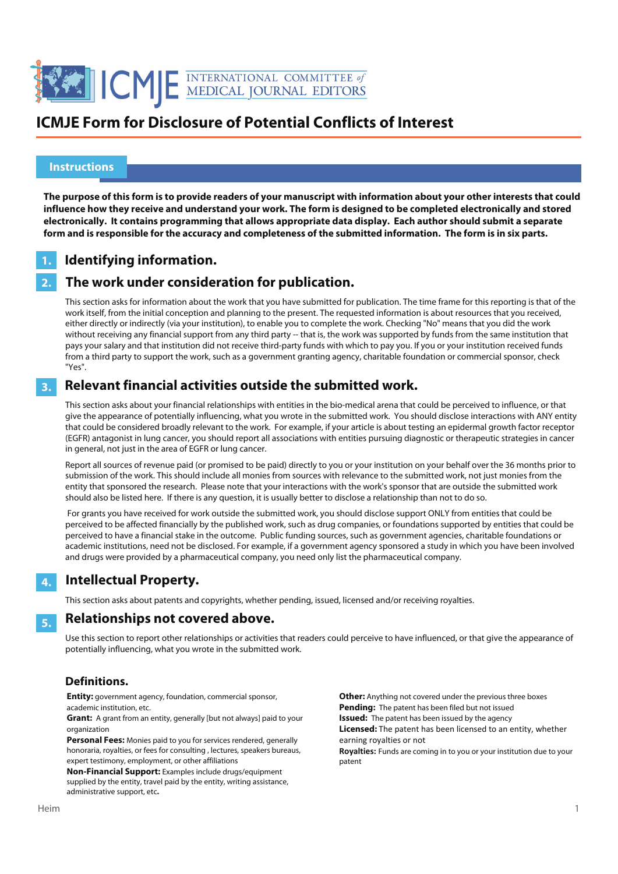

### **Instructions**

 l

> **The purpose of this form is to provide readers of your manuscript with information about your other interests that could influence how they receive and understand your work. The form is designed to be completed electronically and stored electronically. It contains programming that allows appropriate data display. Each author should submit a separate form and is responsible for the accuracy and completeness of the submitted information. The form is in six parts.**

#### **Identifying information. 1.**

#### **The work under consideration for publication. 2.**

This section asks for information about the work that you have submitted for publication. The time frame for this reporting is that of the work itself, from the initial conception and planning to the present. The requested information is about resources that you received, either directly or indirectly (via your institution), to enable you to complete the work. Checking "No" means that you did the work without receiving any financial support from any third party -- that is, the work was supported by funds from the same institution that pays your salary and that institution did not receive third-party funds with which to pay you. If you or your institution received funds from a third party to support the work, such as a government granting agency, charitable foundation or commercial sponsor, check "Yes".

#### **Relevant financial activities outside the submitted work. 3.**

This section asks about your financial relationships with entities in the bio-medical arena that could be perceived to influence, or that give the appearance of potentially influencing, what you wrote in the submitted work. You should disclose interactions with ANY entity that could be considered broadly relevant to the work. For example, if your article is about testing an epidermal growth factor receptor (EGFR) antagonist in lung cancer, you should report all associations with entities pursuing diagnostic or therapeutic strategies in cancer in general, not just in the area of EGFR or lung cancer.

Report all sources of revenue paid (or promised to be paid) directly to you or your institution on your behalf over the 36 months prior to submission of the work. This should include all monies from sources with relevance to the submitted work, not just monies from the entity that sponsored the research. Please note that your interactions with the work's sponsor that are outside the submitted work should also be listed here. If there is any question, it is usually better to disclose a relationship than not to do so.

 For grants you have received for work outside the submitted work, you should disclose support ONLY from entities that could be perceived to be affected financially by the published work, such as drug companies, or foundations supported by entities that could be perceived to have a financial stake in the outcome. Public funding sources, such as government agencies, charitable foundations or academic institutions, need not be disclosed. For example, if a government agency sponsored a study in which you have been involved and drugs were provided by a pharmaceutical company, you need only list the pharmaceutical company.

#### **Intellectual Property. 4.**

This section asks about patents and copyrights, whether pending, issued, licensed and/or receiving royalties.

#### **Relationships not covered above. 5.**

Use this section to report other relationships or activities that readers could perceive to have influenced, or that give the appearance of potentially influencing, what you wrote in the submitted work.

## **Definitions.**

**Entity:** government agency, foundation, commercial sponsor, academic institution, etc.

**Grant:** A grant from an entity, generally [but not always] paid to your organization

**Personal Fees:** Monies paid to you for services rendered, generally honoraria, royalties, or fees for consulting , lectures, speakers bureaus, expert testimony, employment, or other affiliations

**Non-Financial Support:** Examples include drugs/equipment supplied by the entity, travel paid by the entity, writing assistance, administrative support, etc**.**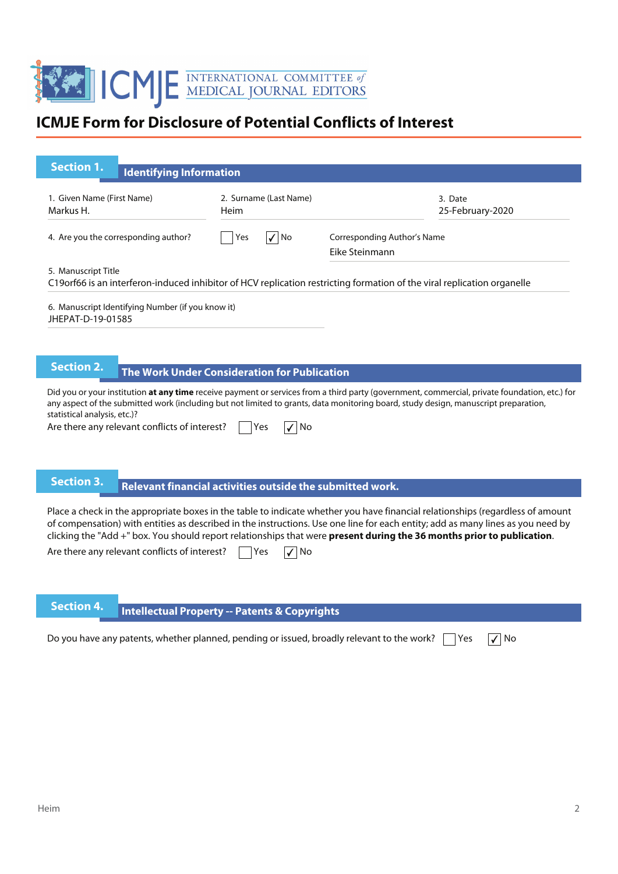

| <b>Section 1.</b>                                                                                                                                                                                                                                                                                                                                                                                                                                              | <b>Identifying Information</b>                    |                                                           |                                                                                                                         |                             |  |
|----------------------------------------------------------------------------------------------------------------------------------------------------------------------------------------------------------------------------------------------------------------------------------------------------------------------------------------------------------------------------------------------------------------------------------------------------------------|---------------------------------------------------|-----------------------------------------------------------|-------------------------------------------------------------------------------------------------------------------------|-----------------------------|--|
| 1. Given Name (First Name)<br>Markus H.                                                                                                                                                                                                                                                                                                                                                                                                                        |                                                   | 2. Surname (Last Name)<br>Heim                            |                                                                                                                         | 3. Date<br>25-February-2020 |  |
| 4. Are you the corresponding author?                                                                                                                                                                                                                                                                                                                                                                                                                           |                                                   | $\sqrt{ NQ}$<br>Yes                                       | Corresponding Author's Name<br>Eike Steinmann                                                                           |                             |  |
| 5. Manuscript Title                                                                                                                                                                                                                                                                                                                                                                                                                                            |                                                   |                                                           | C19orf66 is an interferon-induced inhibitor of HCV replication restricting formation of the viral replication organelle |                             |  |
| JHEPAT-D-19-01585                                                                                                                                                                                                                                                                                                                                                                                                                                              | 6. Manuscript Identifying Number (if you know it) |                                                           |                                                                                                                         |                             |  |
|                                                                                                                                                                                                                                                                                                                                                                                                                                                                |                                                   |                                                           |                                                                                                                         |                             |  |
| <b>Section 2.</b>                                                                                                                                                                                                                                                                                                                                                                                                                                              |                                                   | <b>The Work Under Consideration for Publication</b>       |                                                                                                                         |                             |  |
| Did you or your institution at any time receive payment or services from a third party (government, commercial, private foundation, etc.) for<br>any aspect of the submitted work (including but not limited to grants, data monitoring board, study design, manuscript preparation,<br>statistical analysis, etc.)?<br>Are there any relevant conflicts of interest?<br>$\sqrt{ N}$<br>Yes                                                                    |                                                   |                                                           |                                                                                                                         |                             |  |
|                                                                                                                                                                                                                                                                                                                                                                                                                                                                |                                                   |                                                           |                                                                                                                         |                             |  |
| <b>Section 3.</b>                                                                                                                                                                                                                                                                                                                                                                                                                                              |                                                   | Relevant financial activities outside the submitted work. |                                                                                                                         |                             |  |
| Place a check in the appropriate boxes in the table to indicate whether you have financial relationships (regardless of amount<br>of compensation) with entities as described in the instructions. Use one line for each entity; add as many lines as you need by<br>clicking the "Add +" box. You should report relationships that were present during the 36 months prior to publication.<br>Are there any relevant conflicts of interest?<br>No<br>Yes<br>✓ |                                                   |                                                           |                                                                                                                         |                             |  |
| <b>Section 4.</b>                                                                                                                                                                                                                                                                                                                                                                                                                                              |                                                   |                                                           |                                                                                                                         |                             |  |
|                                                                                                                                                                                                                                                                                                                                                                                                                                                                |                                                   | <b>Intellectual Property -- Patents &amp; Copyrights</b>  |                                                                                                                         |                             |  |
| Do you have any patents, whether planned, pending or issued, broadly relevant to the work?<br>$\sqrt{ NQ}$<br>Yes                                                                                                                                                                                                                                                                                                                                              |                                                   |                                                           |                                                                                                                         |                             |  |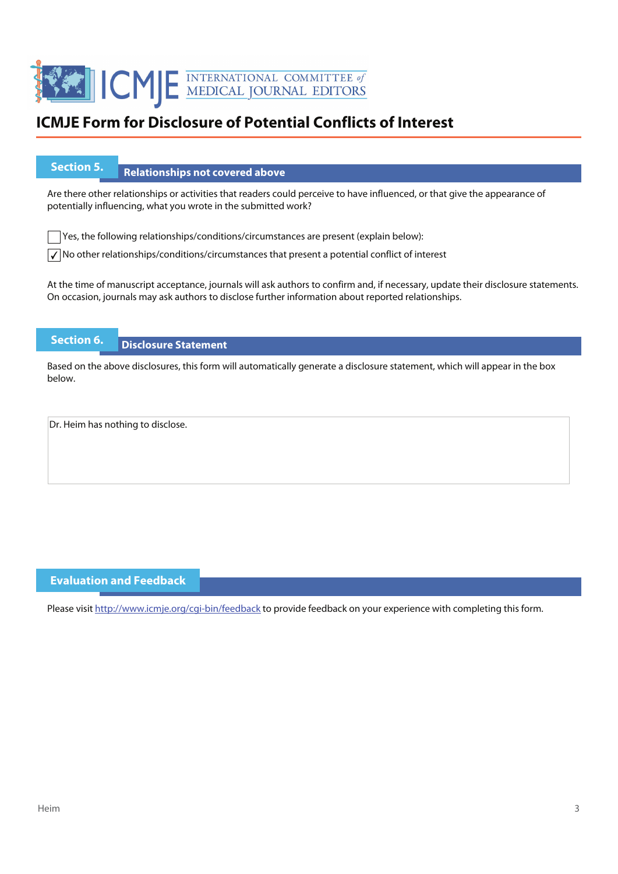

# **Section 5. Relationships not covered above**

Are there other relationships or activities that readers could perceive to have influenced, or that give the appearance of potentially influencing, what you wrote in the submitted work?

Yes, the following relationships/conditions/circumstances are present (explain below):

 $\sqrt{\phantom{a}}$  No other relationships/conditions/circumstances that present a potential conflict of interest

At the time of manuscript acceptance, journals will ask authors to confirm and, if necessary, update their disclosure statements. On occasion, journals may ask authors to disclose further information about reported relationships.

## **Section 6. Disclosure Statement**

Based on the above disclosures, this form will automatically generate a disclosure statement, which will appear in the box below.

Dr. Heim has nothing to disclose.

## **Evaluation and Feedback**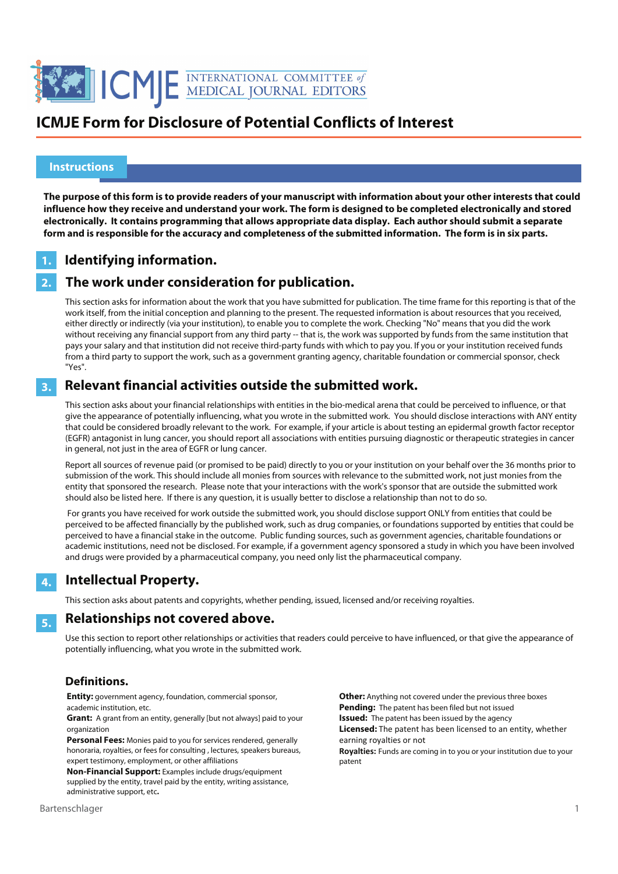

### **Instructions**

 l

> **The purpose of this form is to provide readers of your manuscript with information about your other interests that could influence how they receive and understand your work. The form is designed to be completed electronically and stored electronically. It contains programming that allows appropriate data display. Each author should submit a separate form and is responsible for the accuracy and completeness of the submitted information. The form is in six parts.**

#### **Identifying information. 1.**

#### **The work under consideration for publication. 2.**

This section asks for information about the work that you have submitted for publication. The time frame for this reporting is that of the work itself, from the initial conception and planning to the present. The requested information is about resources that you received, either directly or indirectly (via your institution), to enable you to complete the work. Checking "No" means that you did the work without receiving any financial support from any third party -- that is, the work was supported by funds from the same institution that pays your salary and that institution did not receive third-party funds with which to pay you. If you or your institution received funds from a third party to support the work, such as a government granting agency, charitable foundation or commercial sponsor, check "Yes".

#### **Relevant financial activities outside the submitted work. 3.**

This section asks about your financial relationships with entities in the bio-medical arena that could be perceived to influence, or that give the appearance of potentially influencing, what you wrote in the submitted work. You should disclose interactions with ANY entity that could be considered broadly relevant to the work. For example, if your article is about testing an epidermal growth factor receptor (EGFR) antagonist in lung cancer, you should report all associations with entities pursuing diagnostic or therapeutic strategies in cancer in general, not just in the area of EGFR or lung cancer.

Report all sources of revenue paid (or promised to be paid) directly to you or your institution on your behalf over the 36 months prior to submission of the work. This should include all monies from sources with relevance to the submitted work, not just monies from the entity that sponsored the research. Please note that your interactions with the work's sponsor that are outside the submitted work should also be listed here. If there is any question, it is usually better to disclose a relationship than not to do so.

 For grants you have received for work outside the submitted work, you should disclose support ONLY from entities that could be perceived to be affected financially by the published work, such as drug companies, or foundations supported by entities that could be perceived to have a financial stake in the outcome. Public funding sources, such as government agencies, charitable foundations or academic institutions, need not be disclosed. For example, if a government agency sponsored a study in which you have been involved and drugs were provided by a pharmaceutical company, you need only list the pharmaceutical company.

#### **Intellectual Property. 4.**

This section asks about patents and copyrights, whether pending, issued, licensed and/or receiving royalties.

#### **Relationships not covered above. 5.**

Use this section to report other relationships or activities that readers could perceive to have influenced, or that give the appearance of potentially influencing, what you wrote in the submitted work.

patent

## **Definitions.**

**Entity:** government agency, foundation, commercial sponsor, academic institution, etc.

**Grant:** A grant from an entity, generally [but not always] paid to your organization

**Personal Fees:** Monies paid to you for services rendered, generally honoraria, royalties, or fees for consulting , lectures, speakers bureaus, expert testimony, employment, or other affiliations

**Non-Financial Support:** Examples include drugs/equipment supplied by the entity, travel paid by the entity, writing assistance, administrative support, etc**.**

**Other:** Anything not covered under the previous three boxes **Pending:** The patent has been filed but not issued **Issued:** The patent has been issued by the agency **Licensed:** The patent has been licensed to an entity, whether earning royalties or not **Royalties:** Funds are coming in to you or your institution due to your

Bartenschlager 1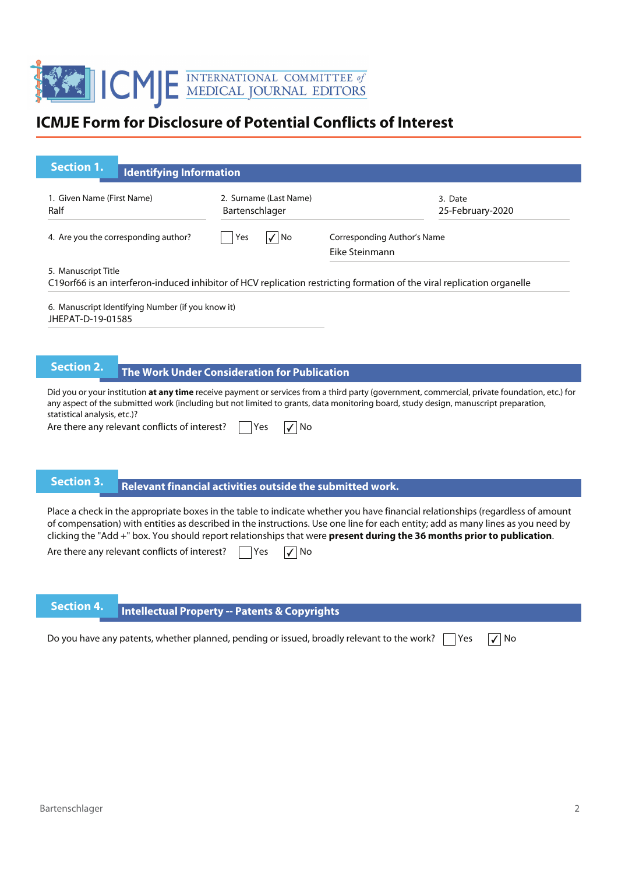

| <b>Section 1.</b>                                                                                                                                                                                                                                                                                                                                                                                                                                                      | <b>Identifying Information</b>                            |                                                                                                                         |  |  |  |
|------------------------------------------------------------------------------------------------------------------------------------------------------------------------------------------------------------------------------------------------------------------------------------------------------------------------------------------------------------------------------------------------------------------------------------------------------------------------|-----------------------------------------------------------|-------------------------------------------------------------------------------------------------------------------------|--|--|--|
| 1. Given Name (First Name)<br>Ralf                                                                                                                                                                                                                                                                                                                                                                                                                                     | 2. Surname (Last Name)<br>Bartenschlager                  | 3. Date<br>25-February-2020                                                                                             |  |  |  |
| 4. Are you the corresponding author?                                                                                                                                                                                                                                                                                                                                                                                                                                   | $\sqrt{ NQ}$<br>Yes                                       | Corresponding Author's Name<br>Eike Steinmann                                                                           |  |  |  |
| 5. Manuscript Title                                                                                                                                                                                                                                                                                                                                                                                                                                                    |                                                           | C19orf66 is an interferon-induced inhibitor of HCV replication restricting formation of the viral replication organelle |  |  |  |
| 6. Manuscript Identifying Number (if you know it)<br>JHEPAT-D-19-01585                                                                                                                                                                                                                                                                                                                                                                                                 |                                                           |                                                                                                                         |  |  |  |
|                                                                                                                                                                                                                                                                                                                                                                                                                                                                        |                                                           |                                                                                                                         |  |  |  |
| <b>Section 2.</b>                                                                                                                                                                                                                                                                                                                                                                                                                                                      | <b>The Work Under Consideration for Publication</b>       |                                                                                                                         |  |  |  |
| Did you or your institution at any time receive payment or services from a third party (government, commercial, private foundation, etc.) for<br>any aspect of the submitted work (including but not limited to grants, data monitoring board, study design, manuscript preparation,<br>statistical analysis, etc.)?<br>Are there any relevant conflicts of interest?<br>$\sqrt{ }$ No<br>Yes                                                                          |                                                           |                                                                                                                         |  |  |  |
|                                                                                                                                                                                                                                                                                                                                                                                                                                                                        |                                                           |                                                                                                                         |  |  |  |
| <b>Section 3.</b>                                                                                                                                                                                                                                                                                                                                                                                                                                                      | Relevant financial activities outside the submitted work. |                                                                                                                         |  |  |  |
| Place a check in the appropriate boxes in the table to indicate whether you have financial relationships (regardless of amount<br>of compensation) with entities as described in the instructions. Use one line for each entity; add as many lines as you need by<br>clicking the "Add +" box. You should report relationships that were present during the 36 months prior to publication.<br>Are there any relevant conflicts of interest?<br>No<br>Yes<br>$\sqrt{}$ |                                                           |                                                                                                                         |  |  |  |
|                                                                                                                                                                                                                                                                                                                                                                                                                                                                        |                                                           |                                                                                                                         |  |  |  |
| <b>Section 4.</b>                                                                                                                                                                                                                                                                                                                                                                                                                                                      | <b>Intellectual Property -- Patents &amp; Copyrights</b>  |                                                                                                                         |  |  |  |
| Do you have any patents, whether planned, pending or issued, broadly relevant to the work?<br>√∣No<br>Yes                                                                                                                                                                                                                                                                                                                                                              |                                                           |                                                                                                                         |  |  |  |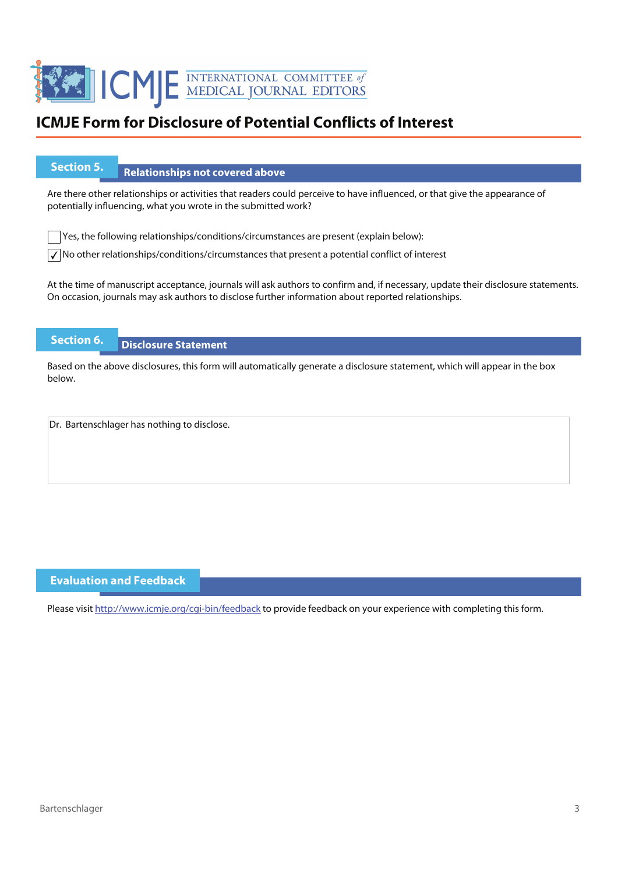

# **Section 5.** Relationships not covered above

Are there other relationships or activities that readers could perceive to have influenced, or that give the appearance of potentially influencing, what you wrote in the submitted work?

 $\Box$  Yes, the following relationships/conditions/circumstances are present (explain below):

 $\sqrt{\phantom{a}}$  No other relationships/conditions/circumstances that present a potential conflict of interest

At the time of manuscript acceptance, journals will ask authors to confirm and, if necessary, update their disclosure statements. On occasion, journals may ask authors to disclose further information about reported relationships.

## **Section 6. Disclosure Statement**

Based on the above disclosures, this form will automatically generate a disclosure statement, which will appear in the box below.

Dr. Bartenschlager has nothing to disclose.

## **Evaluation and Feedback**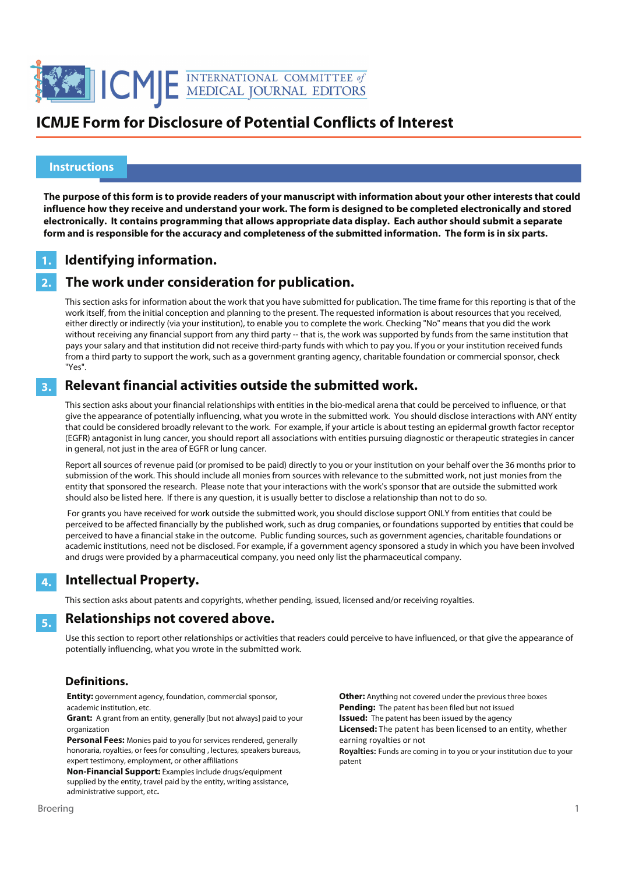

### **Instructions**

 l

> **The purpose of this form is to provide readers of your manuscript with information about your other interests that could influence how they receive and understand your work. The form is designed to be completed electronically and stored electronically. It contains programming that allows appropriate data display. Each author should submit a separate form and is responsible for the accuracy and completeness of the submitted information. The form is in six parts.**

#### **Identifying information. 1.**

#### **The work under consideration for publication. 2.**

This section asks for information about the work that you have submitted for publication. The time frame for this reporting is that of the work itself, from the initial conception and planning to the present. The requested information is about resources that you received, either directly or indirectly (via your institution), to enable you to complete the work. Checking "No" means that you did the work without receiving any financial support from any third party -- that is, the work was supported by funds from the same institution that pays your salary and that institution did not receive third-party funds with which to pay you. If you or your institution received funds from a third party to support the work, such as a government granting agency, charitable foundation or commercial sponsor, check "Yes".

#### **Relevant financial activities outside the submitted work. 3.**

This section asks about your financial relationships with entities in the bio-medical arena that could be perceived to influence, or that give the appearance of potentially influencing, what you wrote in the submitted work. You should disclose interactions with ANY entity that could be considered broadly relevant to the work. For example, if your article is about testing an epidermal growth factor receptor (EGFR) antagonist in lung cancer, you should report all associations with entities pursuing diagnostic or therapeutic strategies in cancer in general, not just in the area of EGFR or lung cancer.

Report all sources of revenue paid (or promised to be paid) directly to you or your institution on your behalf over the 36 months prior to submission of the work. This should include all monies from sources with relevance to the submitted work, not just monies from the entity that sponsored the research. Please note that your interactions with the work's sponsor that are outside the submitted work should also be listed here. If there is any question, it is usually better to disclose a relationship than not to do so.

 For grants you have received for work outside the submitted work, you should disclose support ONLY from entities that could be perceived to be affected financially by the published work, such as drug companies, or foundations supported by entities that could be perceived to have a financial stake in the outcome. Public funding sources, such as government agencies, charitable foundations or academic institutions, need not be disclosed. For example, if a government agency sponsored a study in which you have been involved and drugs were provided by a pharmaceutical company, you need only list the pharmaceutical company.

#### **Intellectual Property. 4.**

This section asks about patents and copyrights, whether pending, issued, licensed and/or receiving royalties.

#### **Relationships not covered above. 5.**

Use this section to report other relationships or activities that readers could perceive to have influenced, or that give the appearance of potentially influencing, what you wrote in the submitted work.

## **Definitions.**

**Entity:** government agency, foundation, commercial sponsor, academic institution, etc.

**Grant:** A grant from an entity, generally [but not always] paid to your organization

**Personal Fees:** Monies paid to you for services rendered, generally honoraria, royalties, or fees for consulting , lectures, speakers bureaus, expert testimony, employment, or other affiliations

**Non-Financial Support:** Examples include drugs/equipment supplied by the entity, travel paid by the entity, writing assistance, administrative support, etc**.**

**Other:** Anything not covered under the previous three boxes **Pending:** The patent has been filed but not issued **Issued:** The patent has been issued by the agency **Licensed:** The patent has been licensed to an entity, whether earning royalties or not **Royalties:** Funds are coming in to you or your institution due to your patent

Broering the contract of the contract of the contract of the contract of the contract of the contract of the contract of the contract of the contract of the contract of the contract of the contract of the contract of the c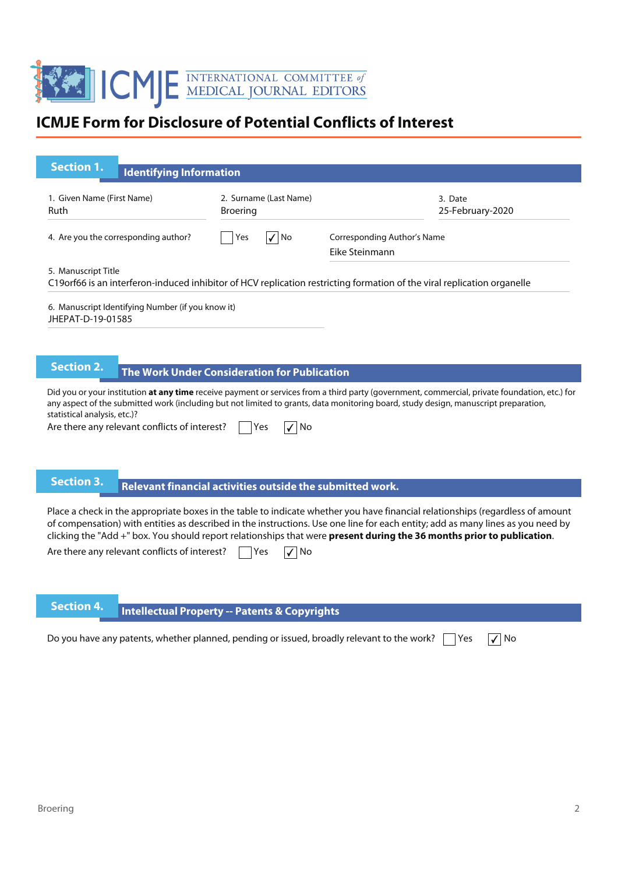

| <b>Section 1.</b>                                                                                                                                                                                                                                                                                                                                                                                                                                           | <b>Identifying Information</b>                            |                                                                                                                         |  |  |  |
|-------------------------------------------------------------------------------------------------------------------------------------------------------------------------------------------------------------------------------------------------------------------------------------------------------------------------------------------------------------------------------------------------------------------------------------------------------------|-----------------------------------------------------------|-------------------------------------------------------------------------------------------------------------------------|--|--|--|
| 1. Given Name (First Name)<br>Ruth                                                                                                                                                                                                                                                                                                                                                                                                                          | 2. Surname (Last Name)<br><b>Broering</b>                 | 3. Date<br>25-February-2020                                                                                             |  |  |  |
| 4. Are you the corresponding author?                                                                                                                                                                                                                                                                                                                                                                                                                        | $\sqrt{N}$<br>Yes                                         | Corresponding Author's Name<br>Eike Steinmann                                                                           |  |  |  |
| 5. Manuscript Title                                                                                                                                                                                                                                                                                                                                                                                                                                         |                                                           | C19orf66 is an interferon-induced inhibitor of HCV replication restricting formation of the viral replication organelle |  |  |  |
| 6. Manuscript Identifying Number (if you know it)<br>JHEPAT-D-19-01585                                                                                                                                                                                                                                                                                                                                                                                      |                                                           |                                                                                                                         |  |  |  |
|                                                                                                                                                                                                                                                                                                                                                                                                                                                             |                                                           |                                                                                                                         |  |  |  |
| <b>Section 2.</b>                                                                                                                                                                                                                                                                                                                                                                                                                                           | The Work Under Consideration for Publication              |                                                                                                                         |  |  |  |
| Did you or your institution at any time receive payment or services from a third party (government, commercial, private foundation, etc.) for<br>any aspect of the submitted work (including but not limited to grants, data monitoring board, study design, manuscript preparation,<br>statistical analysis, etc.)?<br>Are there any relevant conflicts of interest?<br>$\sqrt{ N}$<br>Yes                                                                 |                                                           |                                                                                                                         |  |  |  |
| <b>Section 3.</b>                                                                                                                                                                                                                                                                                                                                                                                                                                           |                                                           |                                                                                                                         |  |  |  |
|                                                                                                                                                                                                                                                                                                                                                                                                                                                             | Relevant financial activities outside the submitted work. |                                                                                                                         |  |  |  |
| Place a check in the appropriate boxes in the table to indicate whether you have financial relationships (regardless of amount<br>of compensation) with entities as described in the instructions. Use one line for each entity; add as many lines as you need by<br>clicking the "Add +" box. You should report relationships that were present during the 36 months prior to publication.<br>Are there any relevant conflicts of interest?<br>√∣No<br>Yes |                                                           |                                                                                                                         |  |  |  |
|                                                                                                                                                                                                                                                                                                                                                                                                                                                             |                                                           |                                                                                                                         |  |  |  |
| <b>Section 4.</b>                                                                                                                                                                                                                                                                                                                                                                                                                                           | <b>Intellectual Property -- Patents &amp; Copyrights</b>  |                                                                                                                         |  |  |  |
| Do you have any patents, whether planned, pending or issued, broadly relevant to the work?<br>$\checkmark$ No<br>Yes                                                                                                                                                                                                                                                                                                                                        |                                                           |                                                                                                                         |  |  |  |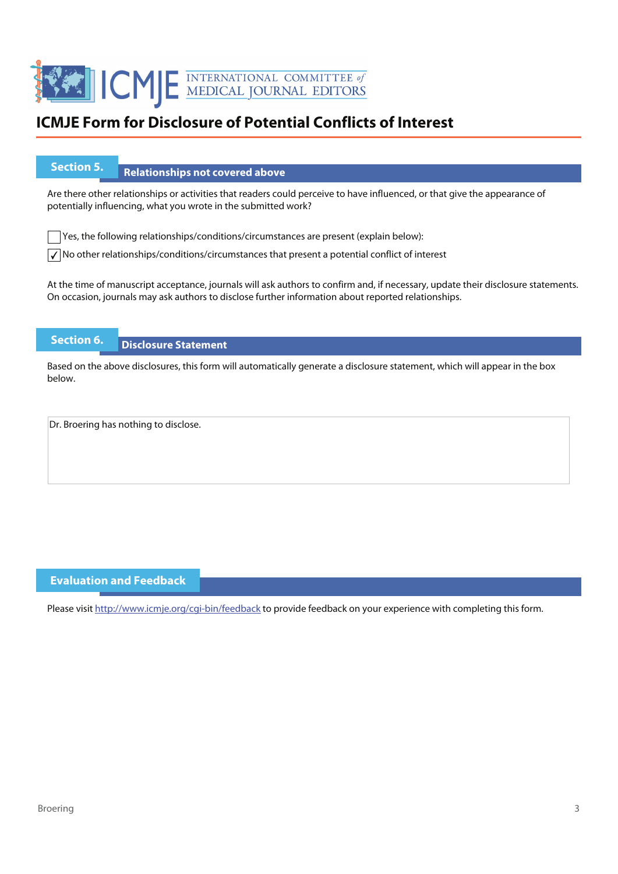

# **Section 5. Relationships not covered above**

Are there other relationships or activities that readers could perceive to have influenced, or that give the appearance of potentially influencing, what you wrote in the submitted work?

 $\Box$  Yes, the following relationships/conditions/circumstances are present (explain below):

 $\sqrt{\phantom{a}}$  No other relationships/conditions/circumstances that present a potential conflict of interest

At the time of manuscript acceptance, journals will ask authors to confirm and, if necessary, update their disclosure statements. On occasion, journals may ask authors to disclose further information about reported relationships.

## **Section 6. Disclosure Statement**

Based on the above disclosures, this form will automatically generate a disclosure statement, which will appear in the box below.

Dr. Broering has nothing to disclose.

## **Evaluation and Feedback**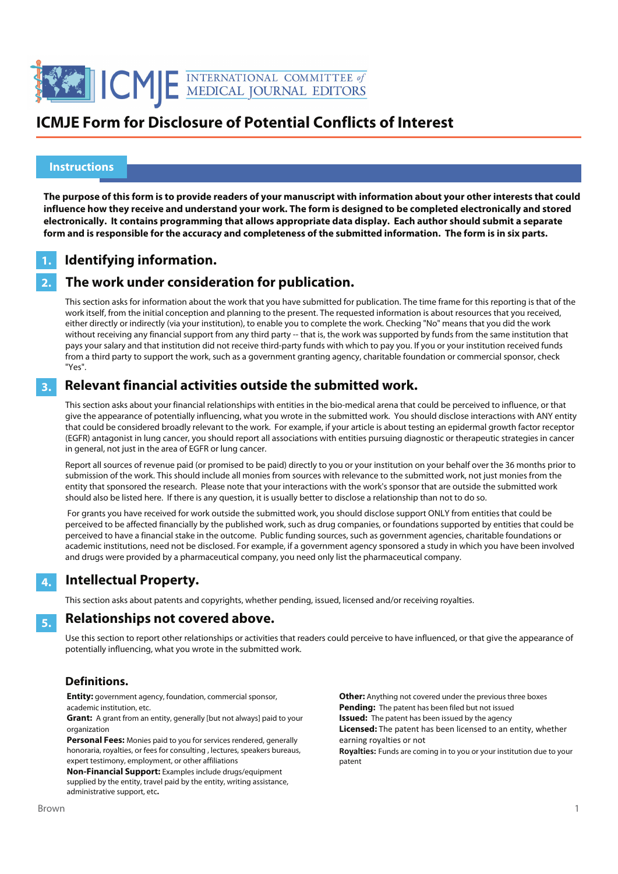

### **Instructions**

 l

> **The purpose of this form is to provide readers of your manuscript with information about your other interests that could influence how they receive and understand your work. The form is designed to be completed electronically and stored electronically. It contains programming that allows appropriate data display. Each author should submit a separate form and is responsible for the accuracy and completeness of the submitted information. The form is in six parts.**

#### **Identifying information. 1.**

#### **The work under consideration for publication. 2.**

This section asks for information about the work that you have submitted for publication. The time frame for this reporting is that of the work itself, from the initial conception and planning to the present. The requested information is about resources that you received, either directly or indirectly (via your institution), to enable you to complete the work. Checking "No" means that you did the work without receiving any financial support from any third party -- that is, the work was supported by funds from the same institution that pays your salary and that institution did not receive third-party funds with which to pay you. If you or your institution received funds from a third party to support the work, such as a government granting agency, charitable foundation or commercial sponsor, check "Yes".

#### **Relevant financial activities outside the submitted work. 3.**

This section asks about your financial relationships with entities in the bio-medical arena that could be perceived to influence, or that give the appearance of potentially influencing, what you wrote in the submitted work. You should disclose interactions with ANY entity that could be considered broadly relevant to the work. For example, if your article is about testing an epidermal growth factor receptor (EGFR) antagonist in lung cancer, you should report all associations with entities pursuing diagnostic or therapeutic strategies in cancer in general, not just in the area of EGFR or lung cancer.

Report all sources of revenue paid (or promised to be paid) directly to you or your institution on your behalf over the 36 months prior to submission of the work. This should include all monies from sources with relevance to the submitted work, not just monies from the entity that sponsored the research. Please note that your interactions with the work's sponsor that are outside the submitted work should also be listed here. If there is any question, it is usually better to disclose a relationship than not to do so.

 For grants you have received for work outside the submitted work, you should disclose support ONLY from entities that could be perceived to be affected financially by the published work, such as drug companies, or foundations supported by entities that could be perceived to have a financial stake in the outcome. Public funding sources, such as government agencies, charitable foundations or academic institutions, need not be disclosed. For example, if a government agency sponsored a study in which you have been involved and drugs were provided by a pharmaceutical company, you need only list the pharmaceutical company.

#### **Intellectual Property. 4.**

This section asks about patents and copyrights, whether pending, issued, licensed and/or receiving royalties.

#### **Relationships not covered above. 5.**

Use this section to report other relationships or activities that readers could perceive to have influenced, or that give the appearance of potentially influencing, what you wrote in the submitted work.

## **Definitions.**

**Entity:** government agency, foundation, commercial sponsor, academic institution, etc.

**Grant:** A grant from an entity, generally [but not always] paid to your organization

**Personal Fees:** Monies paid to you for services rendered, generally honoraria, royalties, or fees for consulting , lectures, speakers bureaus, expert testimony, employment, or other affiliations

**Non-Financial Support:** Examples include drugs/equipment supplied by the entity, travel paid by the entity, writing assistance, administrative support, etc**.**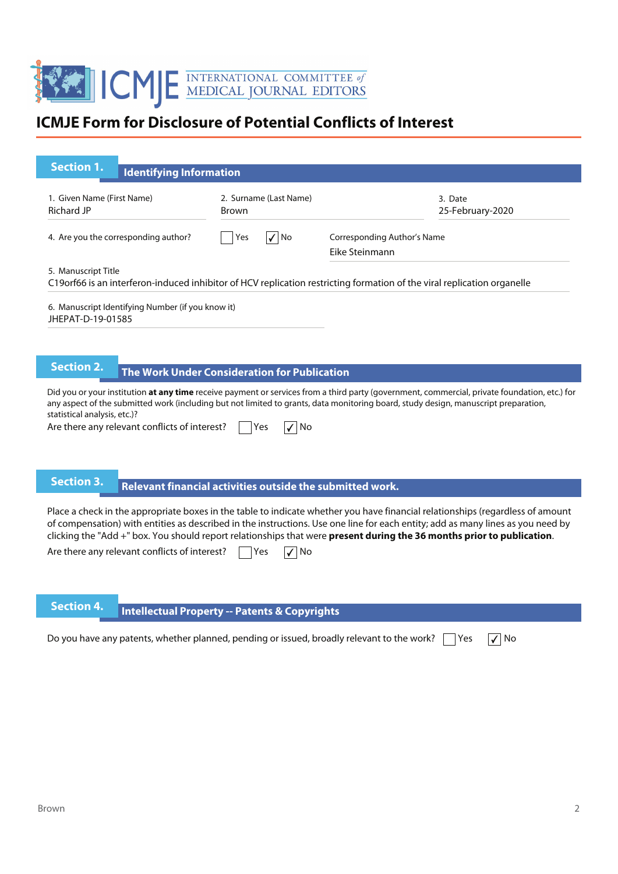

| <b>Section 1.</b><br><b>Identifying Information</b>                                                                                                                                                                                                                                                                                                                                                                                                       |                                                           |                                                                                                                           |  |  |
|-----------------------------------------------------------------------------------------------------------------------------------------------------------------------------------------------------------------------------------------------------------------------------------------------------------------------------------------------------------------------------------------------------------------------------------------------------------|-----------------------------------------------------------|---------------------------------------------------------------------------------------------------------------------------|--|--|
| 1. Given Name (First Name)<br><b>Richard JP</b>                                                                                                                                                                                                                                                                                                                                                                                                           | 2. Surname (Last Name)<br>Brown                           | 3. Date<br>25-February-2020                                                                                               |  |  |
| 4. Are you the corresponding author?                                                                                                                                                                                                                                                                                                                                                                                                                      | $\sqrt{ N}$<br>Yes                                        | Corresponding Author's Name<br>Eike Steinmann                                                                             |  |  |
| 5. Manuscript Title                                                                                                                                                                                                                                                                                                                                                                                                                                       |                                                           | C19 or f66 is an interferon-induced inhibitor of HCV replication restricting formation of the viral replication organelle |  |  |
| 6. Manuscript Identifying Number (if you know it)<br>JHEPAT-D-19-01585                                                                                                                                                                                                                                                                                                                                                                                    |                                                           |                                                                                                                           |  |  |
|                                                                                                                                                                                                                                                                                                                                                                                                                                                           |                                                           |                                                                                                                           |  |  |
| <b>Section 2.</b>                                                                                                                                                                                                                                                                                                                                                                                                                                         | The Work Under Consideration for Publication              |                                                                                                                           |  |  |
| Did you or your institution at any time receive payment or services from a third party (government, commercial, private foundation, etc.) for<br>any aspect of the submitted work (including but not limited to grants, data monitoring board, study design, manuscript preparation,<br>statistical analysis, etc.)?<br>Are there any relevant conflicts of interest?<br>$\sqrt{ N}$<br>Yes                                                               |                                                           |                                                                                                                           |  |  |
|                                                                                                                                                                                                                                                                                                                                                                                                                                                           |                                                           |                                                                                                                           |  |  |
| <b>Section 3.</b>                                                                                                                                                                                                                                                                                                                                                                                                                                         | Relevant financial activities outside the submitted work. |                                                                                                                           |  |  |
| Place a check in the appropriate boxes in the table to indicate whether you have financial relationships (regardless of amount<br>of compensation) with entities as described in the instructions. Use one line for each entity; add as many lines as you need by<br>clicking the "Add +" box. You should report relationships that were present during the 36 months prior to publication.<br>Are there any relevant conflicts of interest?<br>No<br>Yes |                                                           |                                                                                                                           |  |  |
|                                                                                                                                                                                                                                                                                                                                                                                                                                                           |                                                           |                                                                                                                           |  |  |
| <b>Section 4.</b>                                                                                                                                                                                                                                                                                                                                                                                                                                         | <b>Intellectual Property -- Patents &amp; Copyrights</b>  |                                                                                                                           |  |  |
| Do you have any patents, whether planned, pending or issued, broadly relevant to the work?<br>$\sqrt{ NQ}$<br>Yes                                                                                                                                                                                                                                                                                                                                         |                                                           |                                                                                                                           |  |  |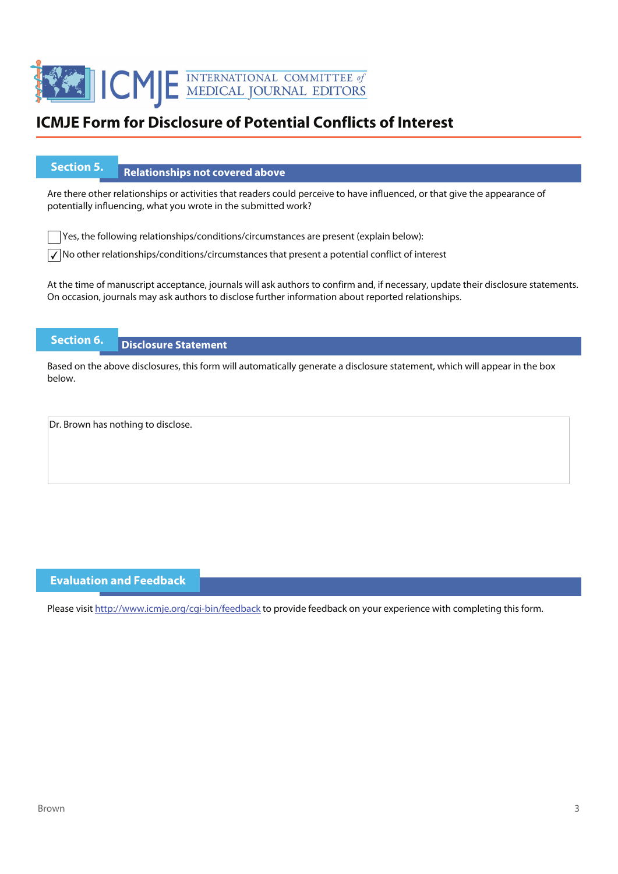

# **Section 5.** Relationships not covered above

Are there other relationships or activities that readers could perceive to have influenced, or that give the appearance of potentially influencing, what you wrote in the submitted work?

 $\Box$  Yes, the following relationships/conditions/circumstances are present (explain below):

 $\sqrt{\phantom{a}}$  No other relationships/conditions/circumstances that present a potential conflict of interest

At the time of manuscript acceptance, journals will ask authors to confirm and, if necessary, update their disclosure statements. On occasion, journals may ask authors to disclose further information about reported relationships.

## **Section 6. Disclosure Statement**

Based on the above disclosures, this form will automatically generate a disclosure statement, which will appear in the box below.

Dr. Brown has nothing to disclose.

## **Evaluation and Feedback**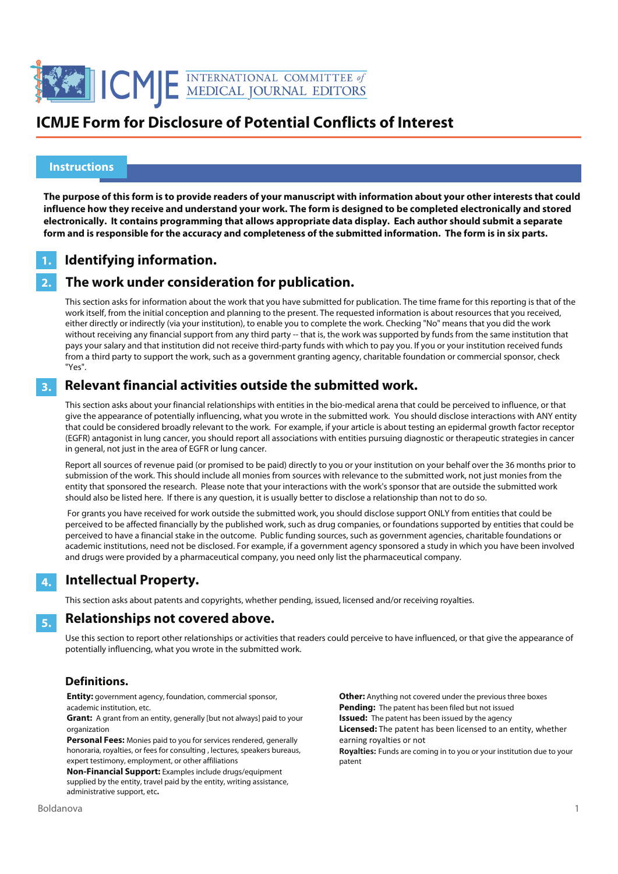

### **Instructions**

 l

> **The purpose of this form is to provide readers of your manuscript with information about your other interests that could influence how they receive and understand your work. The form is designed to be completed electronically and stored electronically. It contains programming that allows appropriate data display. Each author should submit a separate form and is responsible for the accuracy and completeness of the submitted information. The form is in six parts.**

#### **Identifying information. 1.**

#### **The work under consideration for publication. 2.**

This section asks for information about the work that you have submitted for publication. The time frame for this reporting is that of the work itself, from the initial conception and planning to the present. The requested information is about resources that you received, either directly or indirectly (via your institution), to enable you to complete the work. Checking "No" means that you did the work without receiving any financial support from any third party -- that is, the work was supported by funds from the same institution that pays your salary and that institution did not receive third-party funds with which to pay you. If you or your institution received funds from a third party to support the work, such as a government granting agency, charitable foundation or commercial sponsor, check "Yes".

#### **Relevant financial activities outside the submitted work. 3.**

This section asks about your financial relationships with entities in the bio-medical arena that could be perceived to influence, or that give the appearance of potentially influencing, what you wrote in the submitted work. You should disclose interactions with ANY entity that could be considered broadly relevant to the work. For example, if your article is about testing an epidermal growth factor receptor (EGFR) antagonist in lung cancer, you should report all associations with entities pursuing diagnostic or therapeutic strategies in cancer in general, not just in the area of EGFR or lung cancer.

Report all sources of revenue paid (or promised to be paid) directly to you or your institution on your behalf over the 36 months prior to submission of the work. This should include all monies from sources with relevance to the submitted work, not just monies from the entity that sponsored the research. Please note that your interactions with the work's sponsor that are outside the submitted work should also be listed here. If there is any question, it is usually better to disclose a relationship than not to do so.

 For grants you have received for work outside the submitted work, you should disclose support ONLY from entities that could be perceived to be affected financially by the published work, such as drug companies, or foundations supported by entities that could be perceived to have a financial stake in the outcome. Public funding sources, such as government agencies, charitable foundations or academic institutions, need not be disclosed. For example, if a government agency sponsored a study in which you have been involved and drugs were provided by a pharmaceutical company, you need only list the pharmaceutical company.

#### **Intellectual Property. 4.**

This section asks about patents and copyrights, whether pending, issued, licensed and/or receiving royalties.

#### **Relationships not covered above. 5.**

Use this section to report other relationships or activities that readers could perceive to have influenced, or that give the appearance of potentially influencing, what you wrote in the submitted work.

## **Definitions.**

**Entity:** government agency, foundation, commercial sponsor, academic institution, etc.

**Grant:** A grant from an entity, generally [but not always] paid to your organization

**Personal Fees:** Monies paid to you for services rendered, generally honoraria, royalties, or fees for consulting , lectures, speakers bureaus, expert testimony, employment, or other affiliations

**Non-Financial Support:** Examples include drugs/equipment supplied by the entity, travel paid by the entity, writing assistance, administrative support, etc**.**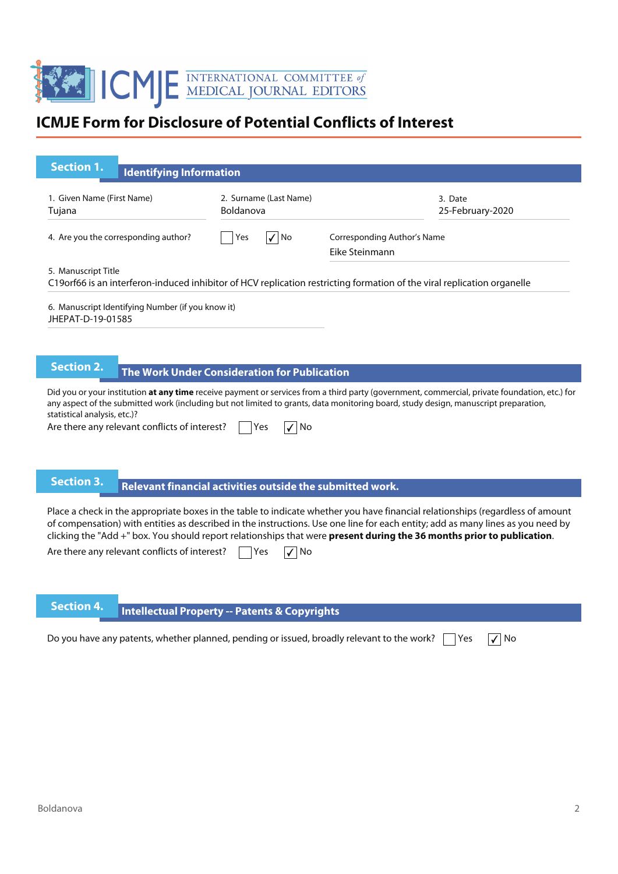

| <b>Section 1.</b>                                                                                                                                                                                                                                                                                                                                                                                                                                               | <b>Identifying Information</b>                    |                                                          |                                                                                                                           |  |
|-----------------------------------------------------------------------------------------------------------------------------------------------------------------------------------------------------------------------------------------------------------------------------------------------------------------------------------------------------------------------------------------------------------------------------------------------------------------|---------------------------------------------------|----------------------------------------------------------|---------------------------------------------------------------------------------------------------------------------------|--|
| 1. Given Name (First Name)<br>Tujana                                                                                                                                                                                                                                                                                                                                                                                                                            |                                                   | 2. Surname (Last Name)<br>Boldanova                      | 3. Date<br>25-February-2020                                                                                               |  |
|                                                                                                                                                                                                                                                                                                                                                                                                                                                                 | 4. Are you the corresponding author?              | $\sqrt{ N}$<br>Yes                                       | Corresponding Author's Name<br>Eike Steinmann                                                                             |  |
| 5. Manuscript Title                                                                                                                                                                                                                                                                                                                                                                                                                                             |                                                   |                                                          | C19 or f66 is an interferon-induced inhibitor of HCV replication restricting formation of the viral replication organelle |  |
| JHEPAT-D-19-01585                                                                                                                                                                                                                                                                                                                                                                                                                                               | 6. Manuscript Identifying Number (if you know it) |                                                          |                                                                                                                           |  |
|                                                                                                                                                                                                                                                                                                                                                                                                                                                                 |                                                   |                                                          |                                                                                                                           |  |
| <b>Section 2.</b>                                                                                                                                                                                                                                                                                                                                                                                                                                               |                                                   | The Work Under Consideration for Publication             |                                                                                                                           |  |
| Did you or your institution at any time receive payment or services from a third party (government, commercial, private foundation, etc.) for<br>any aspect of the submitted work (including but not limited to grants, data monitoring board, study design, manuscript preparation,<br>statistical analysis, etc.)?<br>Are there any relevant conflicts of interest?<br>$\sqrt{ N}$<br>Yes                                                                     |                                                   |                                                          |                                                                                                                           |  |
|                                                                                                                                                                                                                                                                                                                                                                                                                                                                 |                                                   |                                                          |                                                                                                                           |  |
| <b>Section 3.</b><br>Relevant financial activities outside the submitted work.                                                                                                                                                                                                                                                                                                                                                                                  |                                                   |                                                          |                                                                                                                           |  |
| Place a check in the appropriate boxes in the table to indicate whether you have financial relationships (regardless of amount<br>of compensation) with entities as described in the instructions. Use one line for each entity; add as many lines as you need by<br>clicking the "Add +" box. You should report relationships that were present during the 36 months prior to publication.<br>Are there any relevant conflicts of interest?<br>No<br>Yes<br>✓∣ |                                                   |                                                          |                                                                                                                           |  |
|                                                                                                                                                                                                                                                                                                                                                                                                                                                                 |                                                   |                                                          |                                                                                                                           |  |
| <b>Section 4.</b>                                                                                                                                                                                                                                                                                                                                                                                                                                               |                                                   | <b>Intellectual Property -- Patents &amp; Copyrights</b> |                                                                                                                           |  |
| Do you have any patents, whether planned, pending or issued, broadly relevant to the work?<br>$\sqrt{ }$ No<br>Yes                                                                                                                                                                                                                                                                                                                                              |                                                   |                                                          |                                                                                                                           |  |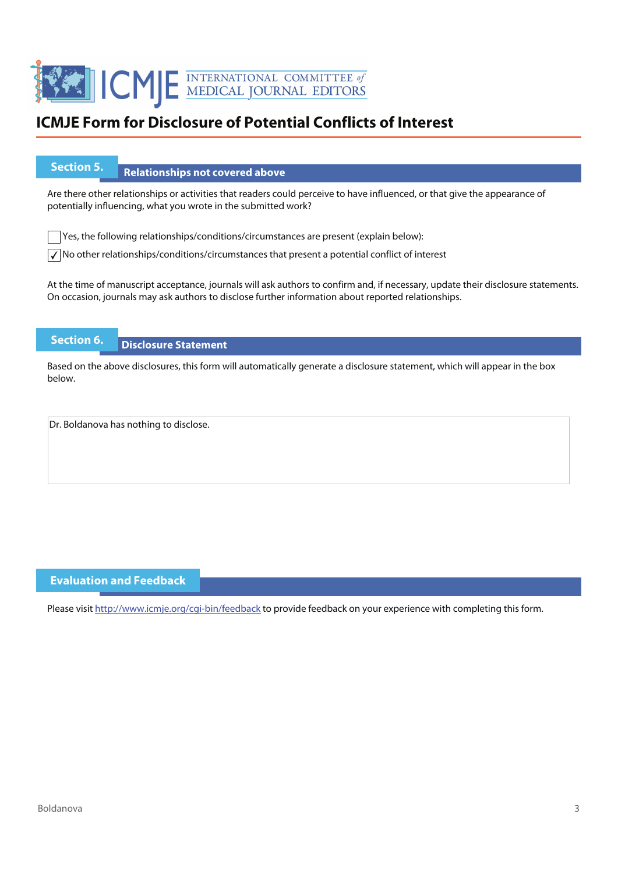

# **Section 5.** Relationships not covered above

Are there other relationships or activities that readers could perceive to have influenced, or that give the appearance of potentially influencing, what you wrote in the submitted work?

 $\Box$  Yes, the following relationships/conditions/circumstances are present (explain below):

 $\sqrt{\phantom{a}}$  No other relationships/conditions/circumstances that present a potential conflict of interest

At the time of manuscript acceptance, journals will ask authors to confirm and, if necessary, update their disclosure statements. On occasion, journals may ask authors to disclose further information about reported relationships.

## **Section 6. Disclosure Statement**

Based on the above disclosures, this form will automatically generate a disclosure statement, which will appear in the box below.

Dr. Boldanova has nothing to disclose.

## **Evaluation and Feedback**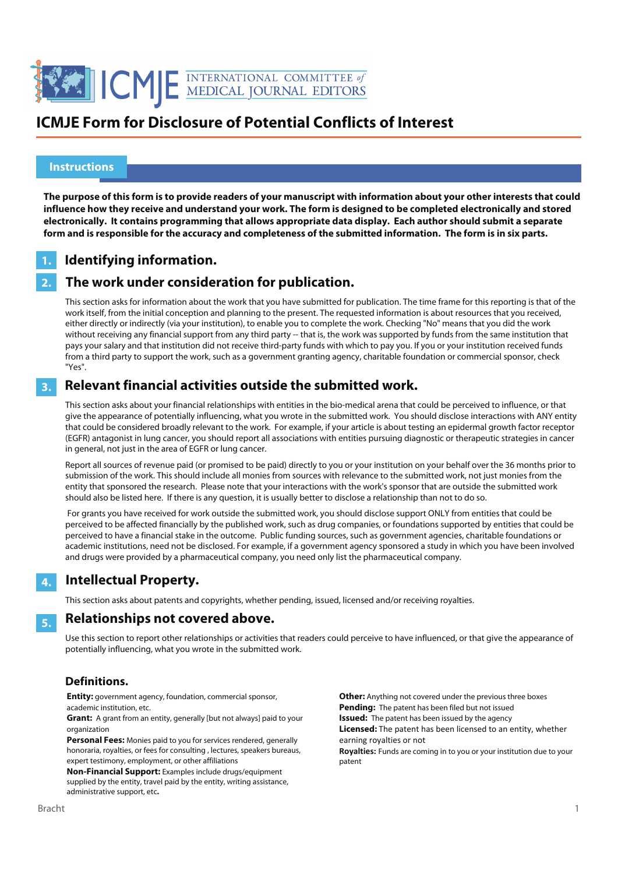

### **Instructions**

 l

> **The purpose of this form is to provide readers of your manuscript with information about your other interests that could influence how they receive and understand your work. The form is designed to be completed electronically and stored electronically. It contains programming that allows appropriate data display. Each author should submit a separate form and is responsible for the accuracy and completeness of the submitted information. The form is in six parts.**

#### **Identifying information. 1.**

#### **The work under consideration for publication. 2.**

This section asks for information about the work that you have submitted for publication. The time frame for this reporting is that of the work itself, from the initial conception and planning to the present. The requested information is about resources that you received, either directly or indirectly (via your institution), to enable you to complete the work. Checking "No" means that you did the work without receiving any financial support from any third party -- that is, the work was supported by funds from the same institution that pays your salary and that institution did not receive third-party funds with which to pay you. If you or your institution received funds from a third party to support the work, such as a government granting agency, charitable foundation or commercial sponsor, check "Yes".

#### **Relevant financial activities outside the submitted work. 3.**

This section asks about your financial relationships with entities in the bio-medical arena that could be perceived to influence, or that give the appearance of potentially influencing, what you wrote in the submitted work. You should disclose interactions with ANY entity that could be considered broadly relevant to the work. For example, if your article is about testing an epidermal growth factor receptor (EGFR) antagonist in lung cancer, you should report all associations with entities pursuing diagnostic or therapeutic strategies in cancer in general, not just in the area of EGFR or lung cancer.

Report all sources of revenue paid (or promised to be paid) directly to you or your institution on your behalf over the 36 months prior to submission of the work. This should include all monies from sources with relevance to the submitted work, not just monies from the entity that sponsored the research. Please note that your interactions with the work's sponsor that are outside the submitted work should also be listed here. If there is any question, it is usually better to disclose a relationship than not to do so.

 For grants you have received for work outside the submitted work, you should disclose support ONLY from entities that could be perceived to be affected financially by the published work, such as drug companies, or foundations supported by entities that could be perceived to have a financial stake in the outcome. Public funding sources, such as government agencies, charitable foundations or academic institutions, need not be disclosed. For example, if a government agency sponsored a study in which you have been involved and drugs were provided by a pharmaceutical company, you need only list the pharmaceutical company.

#### **Intellectual Property. 4.**

This section asks about patents and copyrights, whether pending, issued, licensed and/or receiving royalties.

#### **Relationships not covered above. 5.**

Use this section to report other relationships or activities that readers could perceive to have influenced, or that give the appearance of potentially influencing, what you wrote in the submitted work.

## **Definitions.**

**Entity:** government agency, foundation, commercial sponsor, academic institution, etc.

**Grant:** A grant from an entity, generally [but not always] paid to your organization

**Personal Fees:** Monies paid to you for services rendered, generally honoraria, royalties, or fees for consulting , lectures, speakers bureaus, expert testimony, employment, or other affiliations

**Non-Financial Support:** Examples include drugs/equipment supplied by the entity, travel paid by the entity, writing assistance, administrative support, etc**.**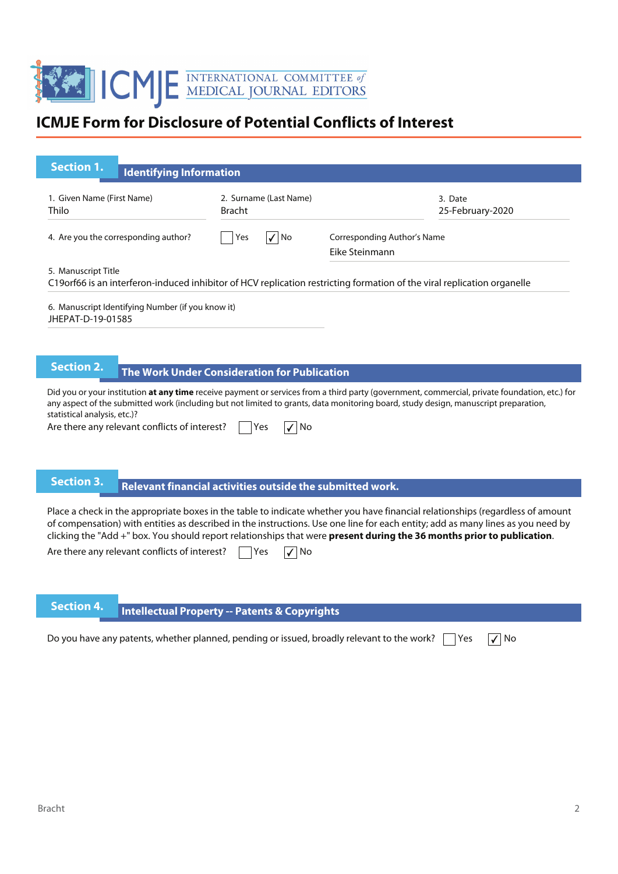

| <b>Section 1.</b>                                                                                                                                                                                                                                                                                                                                                                                                                                                      | <b>Identifying Information</b>                                                                                                                 |                                                           |                                               |                             |  |
|------------------------------------------------------------------------------------------------------------------------------------------------------------------------------------------------------------------------------------------------------------------------------------------------------------------------------------------------------------------------------------------------------------------------------------------------------------------------|------------------------------------------------------------------------------------------------------------------------------------------------|-----------------------------------------------------------|-----------------------------------------------|-----------------------------|--|
| 1. Given Name (First Name)<br>Thilo                                                                                                                                                                                                                                                                                                                                                                                                                                    |                                                                                                                                                | 2. Surname (Last Name)<br><b>Bracht</b>                   |                                               | 3. Date<br>25-February-2020 |  |
|                                                                                                                                                                                                                                                                                                                                                                                                                                                                        | 4. Are you the corresponding author?                                                                                                           | $\sqrt{N}$<br>Yes                                         | Corresponding Author's Name<br>Eike Steinmann |                             |  |
|                                                                                                                                                                                                                                                                                                                                                                                                                                                                        | 5. Manuscript Title<br>C19orf66 is an interferon-induced inhibitor of HCV replication restricting formation of the viral replication organelle |                                                           |                                               |                             |  |
| JHEPAT-D-19-01585                                                                                                                                                                                                                                                                                                                                                                                                                                                      | 6. Manuscript Identifying Number (if you know it)                                                                                              |                                                           |                                               |                             |  |
|                                                                                                                                                                                                                                                                                                                                                                                                                                                                        |                                                                                                                                                |                                                           |                                               |                             |  |
| <b>Section 2.</b>                                                                                                                                                                                                                                                                                                                                                                                                                                                      |                                                                                                                                                | <b>The Work Under Consideration for Publication</b>       |                                               |                             |  |
| Did you or your institution at any time receive payment or services from a third party (government, commercial, private foundation, etc.) for<br>any aspect of the submitted work (including but not limited to grants, data monitoring board, study design, manuscript preparation,<br>statistical analysis, etc.)?<br>Are there any relevant conflicts of interest?<br>$\sqrt{ }$ No<br>Yes                                                                          |                                                                                                                                                |                                                           |                                               |                             |  |
|                                                                                                                                                                                                                                                                                                                                                                                                                                                                        |                                                                                                                                                |                                                           |                                               |                             |  |
| <b>Section 3.</b>                                                                                                                                                                                                                                                                                                                                                                                                                                                      |                                                                                                                                                | Relevant financial activities outside the submitted work. |                                               |                             |  |
| Place a check in the appropriate boxes in the table to indicate whether you have financial relationships (regardless of amount<br>of compensation) with entities as described in the instructions. Use one line for each entity; add as many lines as you need by<br>clicking the "Add +" box. You should report relationships that were present during the 36 months prior to publication.<br>Are there any relevant conflicts of interest?<br>No<br>Yes<br>$\sqrt{}$ |                                                                                                                                                |                                                           |                                               |                             |  |
| <b>Section 4.</b>                                                                                                                                                                                                                                                                                                                                                                                                                                                      |                                                                                                                                                | <b>Intellectual Property -- Patents &amp; Copyrights</b>  |                                               |                             |  |
|                                                                                                                                                                                                                                                                                                                                                                                                                                                                        |                                                                                                                                                |                                                           |                                               |                             |  |
| Do you have any patents, whether planned, pending or issued, broadly relevant to the work?<br>Yes<br>√∣No                                                                                                                                                                                                                                                                                                                                                              |                                                                                                                                                |                                                           |                                               |                             |  |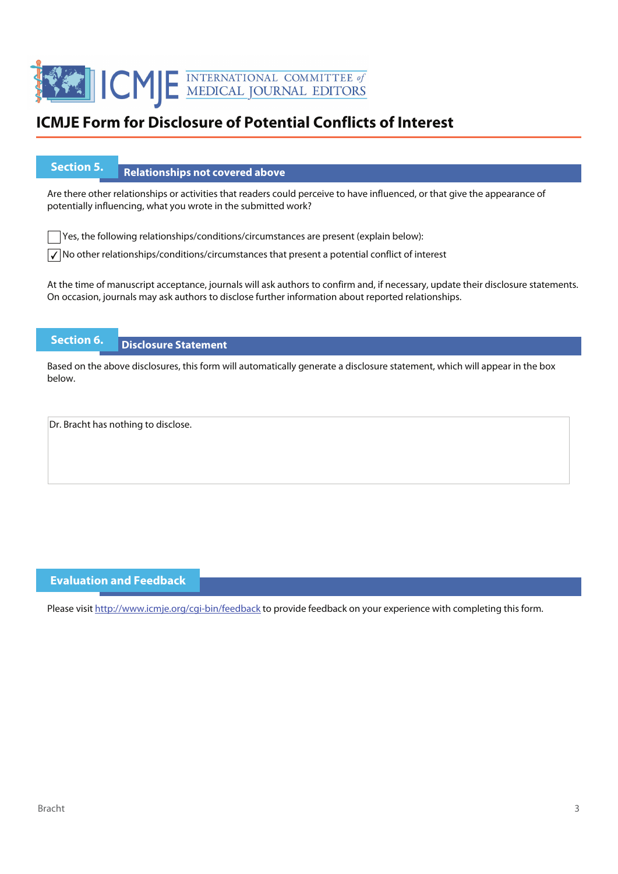

# **Section 5.** Relationships not covered above

Are there other relationships or activities that readers could perceive to have influenced, or that give the appearance of potentially influencing, what you wrote in the submitted work?

Yes, the following relationships/conditions/circumstances are present (explain below):

 $\sqrt{\phantom{a}}$  No other relationships/conditions/circumstances that present a potential conflict of interest

At the time of manuscript acceptance, journals will ask authors to confirm and, if necessary, update their disclosure statements. On occasion, journals may ask authors to disclose further information about reported relationships.

## **Section 6. Disclosure Statement**

Based on the above disclosures, this form will automatically generate a disclosure statement, which will appear in the box below.

Dr. Bracht has nothing to disclose.

## **Evaluation and Feedback**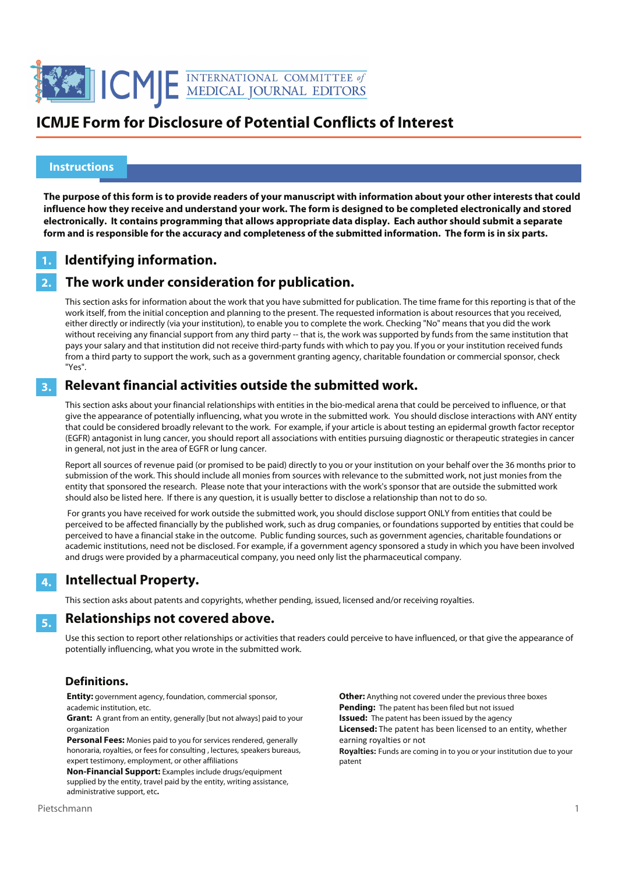

### **Instructions**

 l

> **The purpose of this form is to provide readers of your manuscript with information about your other interests that could influence how they receive and understand your work. The form is designed to be completed electronically and stored electronically. It contains programming that allows appropriate data display. Each author should submit a separate form and is responsible for the accuracy and completeness of the submitted information. The form is in six parts.**

#### **Identifying information. 1.**

#### **The work under consideration for publication. 2.**

This section asks for information about the work that you have submitted for publication. The time frame for this reporting is that of the work itself, from the initial conception and planning to the present. The requested information is about resources that you received, either directly or indirectly (via your institution), to enable you to complete the work. Checking "No" means that you did the work without receiving any financial support from any third party -- that is, the work was supported by funds from the same institution that pays your salary and that institution did not receive third-party funds with which to pay you. If you or your institution received funds from a third party to support the work, such as a government granting agency, charitable foundation or commercial sponsor, check "Yes".

#### **Relevant financial activities outside the submitted work. 3.**

This section asks about your financial relationships with entities in the bio-medical arena that could be perceived to influence, or that give the appearance of potentially influencing, what you wrote in the submitted work. You should disclose interactions with ANY entity that could be considered broadly relevant to the work. For example, if your article is about testing an epidermal growth factor receptor (EGFR) antagonist in lung cancer, you should report all associations with entities pursuing diagnostic or therapeutic strategies in cancer in general, not just in the area of EGFR or lung cancer.

Report all sources of revenue paid (or promised to be paid) directly to you or your institution on your behalf over the 36 months prior to submission of the work. This should include all monies from sources with relevance to the submitted work, not just monies from the entity that sponsored the research. Please note that your interactions with the work's sponsor that are outside the submitted work should also be listed here. If there is any question, it is usually better to disclose a relationship than not to do so.

 For grants you have received for work outside the submitted work, you should disclose support ONLY from entities that could be perceived to be affected financially by the published work, such as drug companies, or foundations supported by entities that could be perceived to have a financial stake in the outcome. Public funding sources, such as government agencies, charitable foundations or academic institutions, need not be disclosed. For example, if a government agency sponsored a study in which you have been involved and drugs were provided by a pharmaceutical company, you need only list the pharmaceutical company.

#### **Intellectual Property. 4.**

This section asks about patents and copyrights, whether pending, issued, licensed and/or receiving royalties.

#### **Relationships not covered above. 5.**

Use this section to report other relationships or activities that readers could perceive to have influenced, or that give the appearance of potentially influencing, what you wrote in the submitted work.

## **Definitions.**

**Entity:** government agency, foundation, commercial sponsor, academic institution, etc.

**Grant:** A grant from an entity, generally [but not always] paid to your organization

**Personal Fees:** Monies paid to you for services rendered, generally honoraria, royalties, or fees for consulting , lectures, speakers bureaus, expert testimony, employment, or other affiliations

**Non-Financial Support:** Examples include drugs/equipment supplied by the entity, travel paid by the entity, writing assistance, administrative support, etc**.**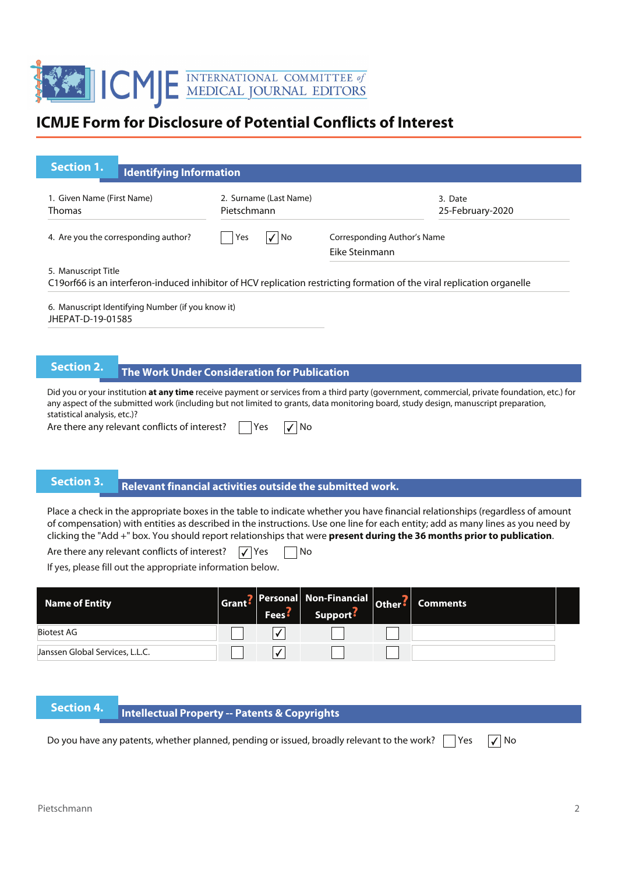

| <b>Section 1.</b>                                                                                                                                                                                                                                                                                                                                                                                                                                                                                                       | <b>Identifying Information</b>                    |                                                           |                                               |                                                                                                                         |
|-------------------------------------------------------------------------------------------------------------------------------------------------------------------------------------------------------------------------------------------------------------------------------------------------------------------------------------------------------------------------------------------------------------------------------------------------------------------------------------------------------------------------|---------------------------------------------------|-----------------------------------------------------------|-----------------------------------------------|-------------------------------------------------------------------------------------------------------------------------|
| 1. Given Name (First Name)<br>Thomas                                                                                                                                                                                                                                                                                                                                                                                                                                                                                    |                                                   | 2. Surname (Last Name)<br>Pietschmann                     |                                               | 3. Date<br>25-February-2020                                                                                             |
|                                                                                                                                                                                                                                                                                                                                                                                                                                                                                                                         | 4. Are you the corresponding author?              | $\sqrt{ N}$<br>Yes                                        | Corresponding Author's Name<br>Eike Steinmann |                                                                                                                         |
| 5. Manuscript Title                                                                                                                                                                                                                                                                                                                                                                                                                                                                                                     |                                                   |                                                           |                                               | C19orf66 is an interferon-induced inhibitor of HCV replication restricting formation of the viral replication organelle |
| JHEPAT-D-19-01585                                                                                                                                                                                                                                                                                                                                                                                                                                                                                                       | 6. Manuscript Identifying Number (if you know it) |                                                           |                                               |                                                                                                                         |
| <b>Section 2.</b>                                                                                                                                                                                                                                                                                                                                                                                                                                                                                                       |                                                   | <b>The Work Under Consideration for Publication</b>       |                                               |                                                                                                                         |
| Did you or your institution at any time receive payment or services from a third party (government, commercial, private foundation, etc.) for<br>any aspect of the submitted work (including but not limited to grants, data monitoring board, study design, manuscript preparation,<br>statistical analysis, etc.)?<br>Are there any relevant conflicts of interest?<br>$\sqrt{ }$ No<br>Yes                                                                                                                           |                                                   |                                                           |                                               |                                                                                                                         |
| <b>Section 3.</b>                                                                                                                                                                                                                                                                                                                                                                                                                                                                                                       |                                                   | Relevant financial activities outside the submitted work. |                                               |                                                                                                                         |
| Place a check in the appropriate boxes in the table to indicate whether you have financial relationships (regardless of amount<br>of compensation) with entities as described in the instructions. Use one line for each entity; add as many lines as you need by<br>clicking the "Add +" box. You should report relationships that were present during the 36 months prior to publication.<br>Are there any relevant conflicts of interest?<br>No<br>Yes<br>If yes, please fill out the appropriate information below. |                                                   |                                                           |                                               |                                                                                                                         |
| <b>Name of Entity</b>                                                                                                                                                                                                                                                                                                                                                                                                                                                                                                   |                                                   | Personal<br>Grant?<br>Fees!                               | <b>Non-Financial</b><br>Other:<br>Support:    | <b>Comments</b>                                                                                                         |
| <b>Biotest AG</b>                                                                                                                                                                                                                                                                                                                                                                                                                                                                                                       |                                                   | $ \checkmark $                                            |                                               |                                                                                                                         |
| Janssen Global Services, L.L.C.                                                                                                                                                                                                                                                                                                                                                                                                                                                                                         |                                                   | $ \checkmark $                                            |                                               |                                                                                                                         |
|                                                                                                                                                                                                                                                                                                                                                                                                                                                                                                                         |                                                   |                                                           |                                               |                                                                                                                         |
| <b>Section 4.</b>                                                                                                                                                                                                                                                                                                                                                                                                                                                                                                       |                                                   | <b>Intellectual Property -- Patents &amp; Copyrights</b>  |                                               |                                                                                                                         |

Do you have any patents, whether planned, pending or issued, broadly relevant to the work?  $\Box$  Yes  $\Box$  No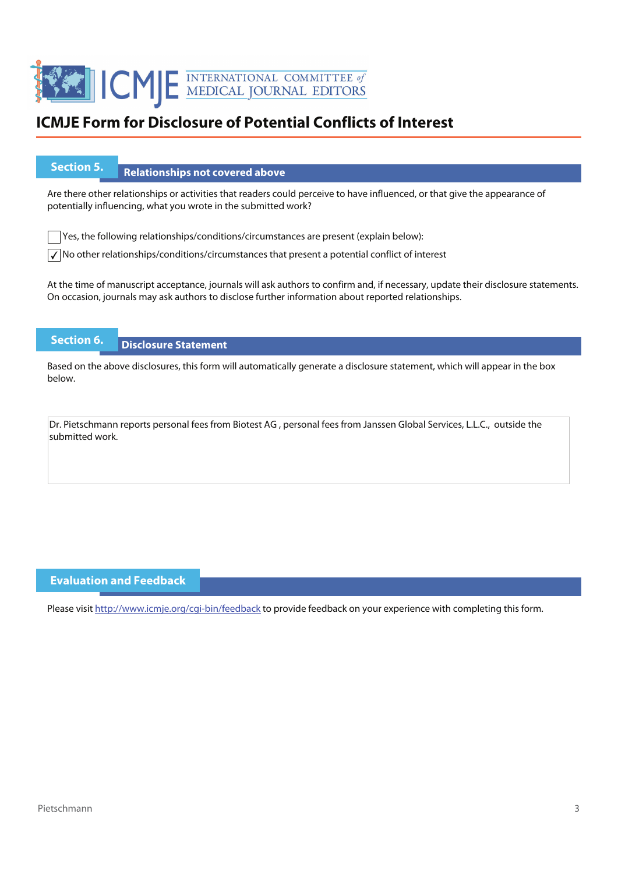

# **Section 5.** Relationships not covered above

Are there other relationships or activities that readers could perceive to have influenced, or that give the appearance of potentially influencing, what you wrote in the submitted work?

 $\Box$  Yes, the following relationships/conditions/circumstances are present (explain below):

 $\sqrt{\phantom{a}}$  No other relationships/conditions/circumstances that present a potential conflict of interest

At the time of manuscript acceptance, journals will ask authors to confirm and, if necessary, update their disclosure statements. On occasion, journals may ask authors to disclose further information about reported relationships.

## **Section 6. Disclosure Statement**

Based on the above disclosures, this form will automatically generate a disclosure statement, which will appear in the box below.

Dr. Pietschmann reports personal fees from Biotest AG , personal fees from Janssen Global Services, L.L.C., outside the submitted work.

## **Evaluation and Feedback**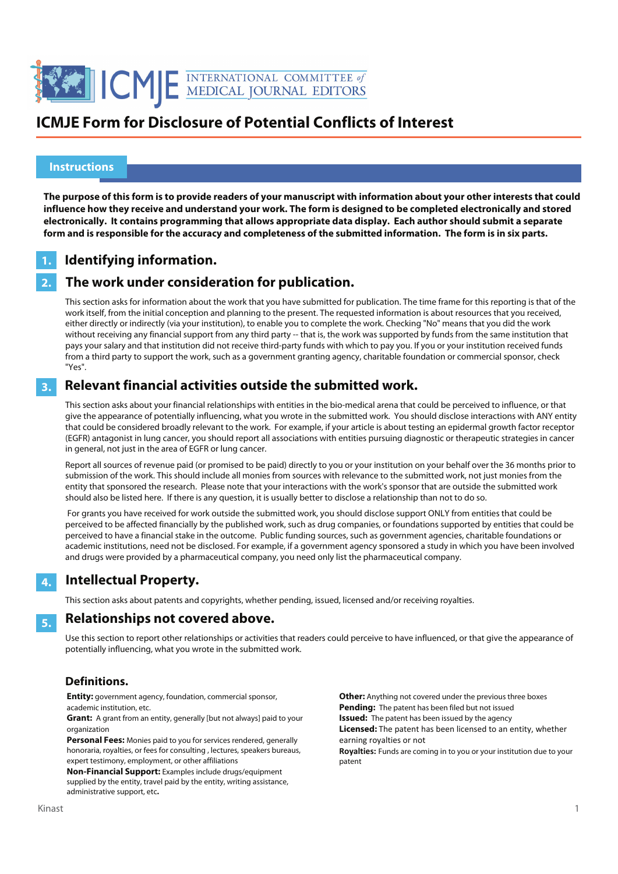

### **Instructions**

 l

> **The purpose of this form is to provide readers of your manuscript with information about your other interests that could influence how they receive and understand your work. The form is designed to be completed electronically and stored electronically. It contains programming that allows appropriate data display. Each author should submit a separate form and is responsible for the accuracy and completeness of the submitted information. The form is in six parts.**

#### **Identifying information. 1.**

#### **The work under consideration for publication. 2.**

This section asks for information about the work that you have submitted for publication. The time frame for this reporting is that of the work itself, from the initial conception and planning to the present. The requested information is about resources that you received, either directly or indirectly (via your institution), to enable you to complete the work. Checking "No" means that you did the work without receiving any financial support from any third party -- that is, the work was supported by funds from the same institution that pays your salary and that institution did not receive third-party funds with which to pay you. If you or your institution received funds from a third party to support the work, such as a government granting agency, charitable foundation or commercial sponsor, check "Yes".

#### **Relevant financial activities outside the submitted work. 3.**

This section asks about your financial relationships with entities in the bio-medical arena that could be perceived to influence, or that give the appearance of potentially influencing, what you wrote in the submitted work. You should disclose interactions with ANY entity that could be considered broadly relevant to the work. For example, if your article is about testing an epidermal growth factor receptor (EGFR) antagonist in lung cancer, you should report all associations with entities pursuing diagnostic or therapeutic strategies in cancer in general, not just in the area of EGFR or lung cancer.

Report all sources of revenue paid (or promised to be paid) directly to you or your institution on your behalf over the 36 months prior to submission of the work. This should include all monies from sources with relevance to the submitted work, not just monies from the entity that sponsored the research. Please note that your interactions with the work's sponsor that are outside the submitted work should also be listed here. If there is any question, it is usually better to disclose a relationship than not to do so.

 For grants you have received for work outside the submitted work, you should disclose support ONLY from entities that could be perceived to be affected financially by the published work, such as drug companies, or foundations supported by entities that could be perceived to have a financial stake in the outcome. Public funding sources, such as government agencies, charitable foundations or academic institutions, need not be disclosed. For example, if a government agency sponsored a study in which you have been involved and drugs were provided by a pharmaceutical company, you need only list the pharmaceutical company.

#### **Intellectual Property. 4.**

This section asks about patents and copyrights, whether pending, issued, licensed and/or receiving royalties.

#### **Relationships not covered above. 5.**

Use this section to report other relationships or activities that readers could perceive to have influenced, or that give the appearance of potentially influencing, what you wrote in the submitted work.

## **Definitions.**

**Entity:** government agency, foundation, commercial sponsor, academic institution, etc.

**Grant:** A grant from an entity, generally [but not always] paid to your organization

**Personal Fees:** Monies paid to you for services rendered, generally honoraria, royalties, or fees for consulting , lectures, speakers bureaus, expert testimony, employment, or other affiliations

**Non-Financial Support:** Examples include drugs/equipment supplied by the entity, travel paid by the entity, writing assistance, administrative support, etc**.**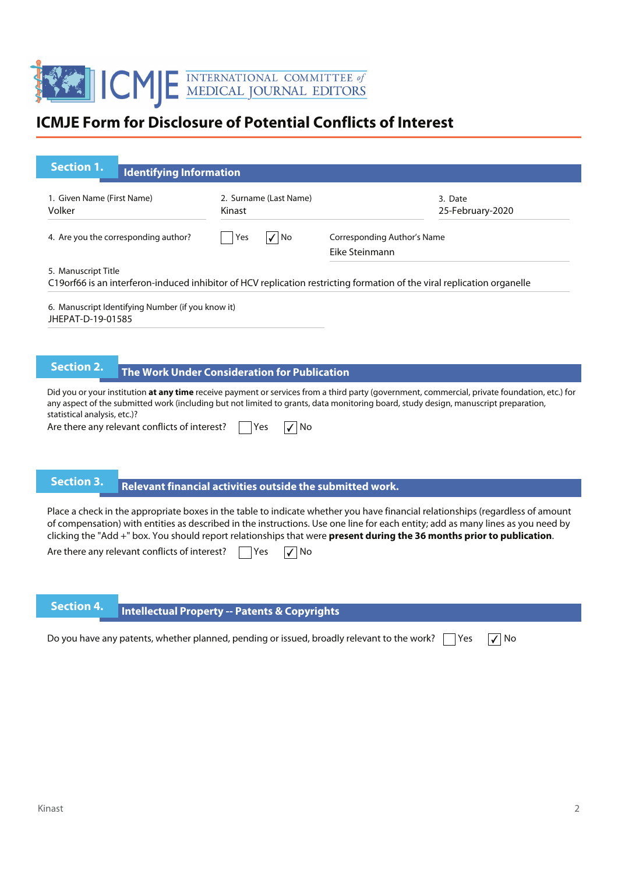

| <b>Section 1.</b>                                                                                                                                                                                                                                                                                                                                                                                                                                              | <b>Identifying Information</b>                    |                                                          |                                                                                                                         |  |
|----------------------------------------------------------------------------------------------------------------------------------------------------------------------------------------------------------------------------------------------------------------------------------------------------------------------------------------------------------------------------------------------------------------------------------------------------------------|---------------------------------------------------|----------------------------------------------------------|-------------------------------------------------------------------------------------------------------------------------|--|
| 1. Given Name (First Name)<br>Volker                                                                                                                                                                                                                                                                                                                                                                                                                           |                                                   | 2. Surname (Last Name)<br>Kinast                         | 3. Date<br>25-February-2020                                                                                             |  |
|                                                                                                                                                                                                                                                                                                                                                                                                                                                                | 4. Are you the corresponding author?              | $\sqrt{ NQ}$<br>Yes                                      | Corresponding Author's Name<br>Eike Steinmann                                                                           |  |
| 5. Manuscript Title                                                                                                                                                                                                                                                                                                                                                                                                                                            |                                                   |                                                          | C19orf66 is an interferon-induced inhibitor of HCV replication restricting formation of the viral replication organelle |  |
| JHEPAT-D-19-01585                                                                                                                                                                                                                                                                                                                                                                                                                                              | 6. Manuscript Identifying Number (if you know it) |                                                          |                                                                                                                         |  |
|                                                                                                                                                                                                                                                                                                                                                                                                                                                                |                                                   |                                                          |                                                                                                                         |  |
| <b>Section 2.</b>                                                                                                                                                                                                                                                                                                                                                                                                                                              |                                                   | <b>The Work Under Consideration for Publication</b>      |                                                                                                                         |  |
| Did you or your institution at any time receive payment or services from a third party (government, commercial, private foundation, etc.) for<br>any aspect of the submitted work (including but not limited to grants, data monitoring board, study design, manuscript preparation,<br>statistical analysis, etc.)?<br>Are there any relevant conflicts of interest?<br>$\sqrt{ N}$<br>Yes                                                                    |                                                   |                                                          |                                                                                                                         |  |
|                                                                                                                                                                                                                                                                                                                                                                                                                                                                |                                                   |                                                          |                                                                                                                         |  |
| <b>Section 3.</b><br>Relevant financial activities outside the submitted work.                                                                                                                                                                                                                                                                                                                                                                                 |                                                   |                                                          |                                                                                                                         |  |
| Place a check in the appropriate boxes in the table to indicate whether you have financial relationships (regardless of amount<br>of compensation) with entities as described in the instructions. Use one line for each entity; add as many lines as you need by<br>clicking the "Add +" box. You should report relationships that were present during the 36 months prior to publication.<br>Are there any relevant conflicts of interest?<br>No<br>Yes<br>✓ |                                                   |                                                          |                                                                                                                         |  |
| <b>Section 4.</b>                                                                                                                                                                                                                                                                                                                                                                                                                                              |                                                   |                                                          |                                                                                                                         |  |
|                                                                                                                                                                                                                                                                                                                                                                                                                                                                |                                                   | <b>Intellectual Property -- Patents &amp; Copyrights</b> |                                                                                                                         |  |
| Do you have any patents, whether planned, pending or issued, broadly relevant to the work?<br>$\sqrt{ NQ}$<br>Yes                                                                                                                                                                                                                                                                                                                                              |                                                   |                                                          |                                                                                                                         |  |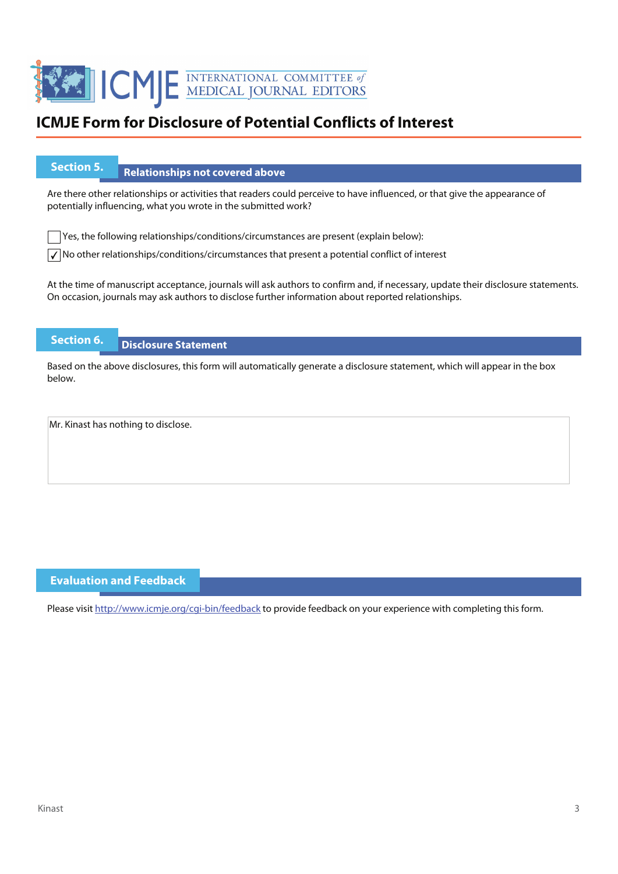

# **Section 5.** Relationships not covered above

Are there other relationships or activities that readers could perceive to have influenced, or that give the appearance of potentially influencing, what you wrote in the submitted work?

Yes, the following relationships/conditions/circumstances are present (explain below):

 $\sqrt{\phantom{a}}$  No other relationships/conditions/circumstances that present a potential conflict of interest

At the time of manuscript acceptance, journals will ask authors to confirm and, if necessary, update their disclosure statements. On occasion, journals may ask authors to disclose further information about reported relationships.

## **Section 6. Disclosure Statement**

Based on the above disclosures, this form will automatically generate a disclosure statement, which will appear in the box below.

Mr. Kinast has nothing to disclose.

## **Evaluation and Feedback**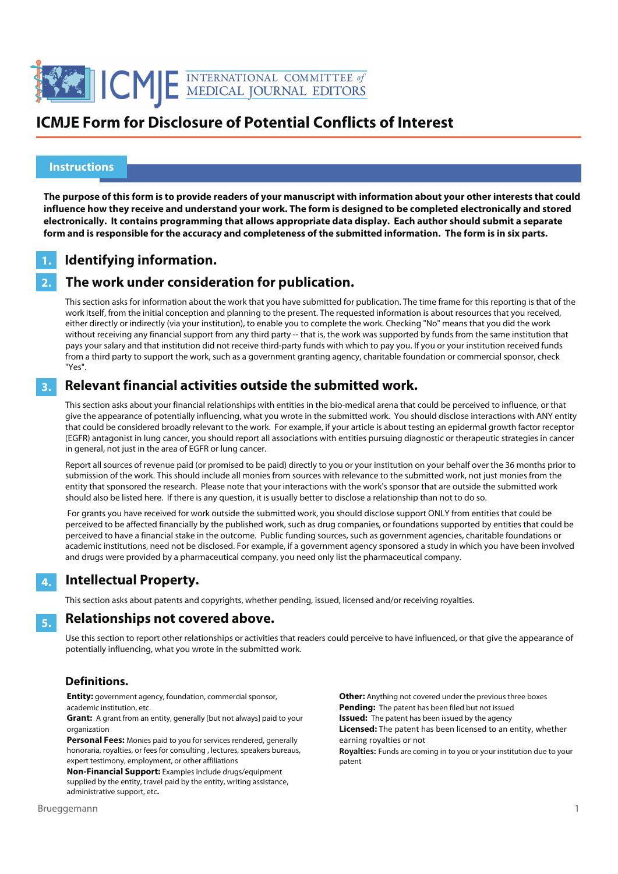

### **Instructions**

 l

> **The purpose of this form is to provide readers of your manuscript with information about your other interests that could influence how they receive and understand your work. The form is designed to be completed electronically and stored electronically. It contains programming that allows appropriate data display. Each author should submit a separate form and is responsible for the accuracy and completeness of the submitted information. The form is in six parts.**

#### **Identifying information. 1.**

#### **The work under consideration for publication. 2.**

This section asks for information about the work that you have submitted for publication. The time frame for this reporting is that of the work itself, from the initial conception and planning to the present. The requested information is about resources that you received, either directly or indirectly (via your institution), to enable you to complete the work. Checking "No" means that you did the work without receiving any financial support from any third party -- that is, the work was supported by funds from the same institution that pays your salary and that institution did not receive third-party funds with which to pay you. If you or your institution received funds from a third party to support the work, such as a government granting agency, charitable foundation or commercial sponsor, check "Yes".

#### **Relevant financial activities outside the submitted work. 3.**

This section asks about your financial relationships with entities in the bio-medical arena that could be perceived to influence, or that give the appearance of potentially influencing, what you wrote in the submitted work. You should disclose interactions with ANY entity that could be considered broadly relevant to the work. For example, if your article is about testing an epidermal growth factor receptor (EGFR) antagonist in lung cancer, you should report all associations with entities pursuing diagnostic or therapeutic strategies in cancer in general, not just in the area of EGFR or lung cancer.

Report all sources of revenue paid (or promised to be paid) directly to you or your institution on your behalf over the 36 months prior to submission of the work. This should include all monies from sources with relevance to the submitted work, not just monies from the entity that sponsored the research. Please note that your interactions with the work's sponsor that are outside the submitted work should also be listed here. If there is any question, it is usually better to disclose a relationship than not to do so.

 For grants you have received for work outside the submitted work, you should disclose support ONLY from entities that could be perceived to be affected financially by the published work, such as drug companies, or foundations supported by entities that could be perceived to have a financial stake in the outcome. Public funding sources, such as government agencies, charitable foundations or academic institutions, need not be disclosed. For example, if a government agency sponsored a study in which you have been involved and drugs were provided by a pharmaceutical company, you need only list the pharmaceutical company.

#### **Intellectual Property. 4.**

This section asks about patents and copyrights, whether pending, issued, licensed and/or receiving royalties.

#### **Relationships not covered above. 5.**

Use this section to report other relationships or activities that readers could perceive to have influenced, or that give the appearance of potentially influencing, what you wrote in the submitted work.

## **Definitions.**

**Entity:** government agency, foundation, commercial sponsor, academic institution, etc.

**Grant:** A grant from an entity, generally [but not always] paid to your organization

**Personal Fees:** Monies paid to you for services rendered, generally honoraria, royalties, or fees for consulting , lectures, speakers bureaus, expert testimony, employment, or other affiliations

**Non-Financial Support:** Examples include drugs/equipment supplied by the entity, travel paid by the entity, writing assistance, administrative support, etc**.**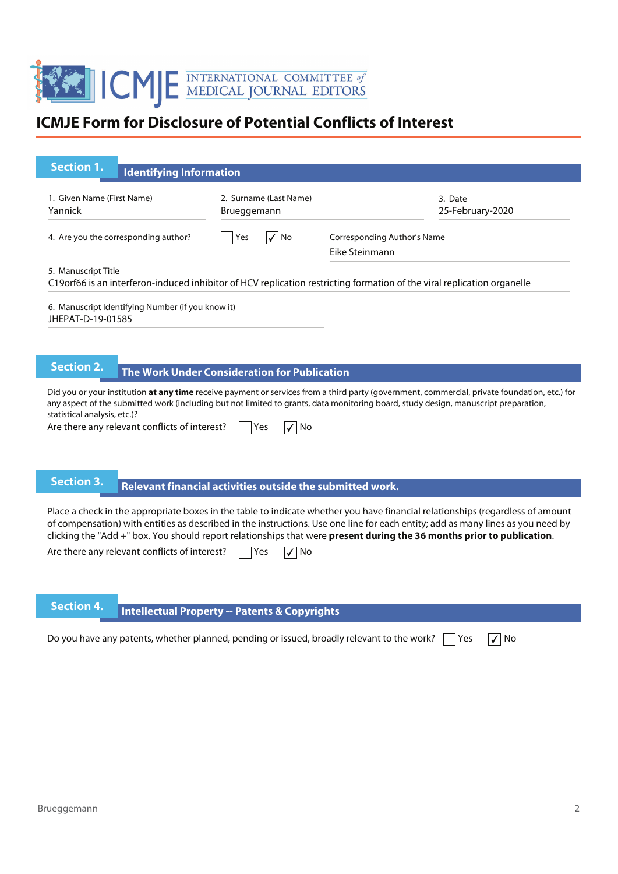

| <b>Section 1.</b>                                                                                                                                                                                                                                                                                                                                                                                                                                                   | <b>Identifying Information</b>                           |                                       |                                                                                                                         |  |
|---------------------------------------------------------------------------------------------------------------------------------------------------------------------------------------------------------------------------------------------------------------------------------------------------------------------------------------------------------------------------------------------------------------------------------------------------------------------|----------------------------------------------------------|---------------------------------------|-------------------------------------------------------------------------------------------------------------------------|--|
| 1. Given Name (First Name)<br>Yannick                                                                                                                                                                                                                                                                                                                                                                                                                               |                                                          | 2. Surname (Last Name)<br>Brueggemann | 3. Date<br>25-February-2020                                                                                             |  |
|                                                                                                                                                                                                                                                                                                                                                                                                                                                                     | 4. Are you the corresponding author?                     | $\sqrt{}$ No<br>Yes                   | Corresponding Author's Name<br>Eike Steinmann                                                                           |  |
| 5. Manuscript Title                                                                                                                                                                                                                                                                                                                                                                                                                                                 |                                                          |                                       | C19orf66 is an interferon-induced inhibitor of HCV replication restricting formation of the viral replication organelle |  |
| JHEPAT-D-19-01585                                                                                                                                                                                                                                                                                                                                                                                                                                                   | 6. Manuscript Identifying Number (if you know it)        |                                       |                                                                                                                         |  |
|                                                                                                                                                                                                                                                                                                                                                                                                                                                                     |                                                          |                                       |                                                                                                                         |  |
| <b>Section 2.</b>                                                                                                                                                                                                                                                                                                                                                                                                                                                   | The Work Under Consideration for Publication             |                                       |                                                                                                                         |  |
| Did you or your institution at any time receive payment or services from a third party (government, commercial, private foundation, etc.) for<br>any aspect of the submitted work (including but not limited to grants, data monitoring board, study design, manuscript preparation,<br>statistical analysis, etc.)?<br>Are there any relevant conflicts of interest?<br>$\sqrt{}$ No<br><b>Yes</b>                                                                 |                                                          |                                       |                                                                                                                         |  |
|                                                                                                                                                                                                                                                                                                                                                                                                                                                                     |                                                          |                                       |                                                                                                                         |  |
| <b>Section 3.</b><br>Relevant financial activities outside the submitted work.                                                                                                                                                                                                                                                                                                                                                                                      |                                                          |                                       |                                                                                                                         |  |
| Place a check in the appropriate boxes in the table to indicate whether you have financial relationships (regardless of amount<br>of compensation) with entities as described in the instructions. Use one line for each entity; add as many lines as you need by<br>clicking the "Add +" box. You should report relationships that were present during the 36 months prior to publication.<br>Are there any relevant conflicts of interest?<br>$\sqrt{ NQ}$<br>Yes |                                                          |                                       |                                                                                                                         |  |
| <b>Section 4.</b>                                                                                                                                                                                                                                                                                                                                                                                                                                                   | <b>Intellectual Property -- Patents &amp; Copyrights</b> |                                       |                                                                                                                         |  |
| Do you have any patents, whether planned, pending or issued, broadly relevant to the work?<br>$\sqrt{ N_{0}}$<br><b>Yes</b>                                                                                                                                                                                                                                                                                                                                         |                                                          |                                       |                                                                                                                         |  |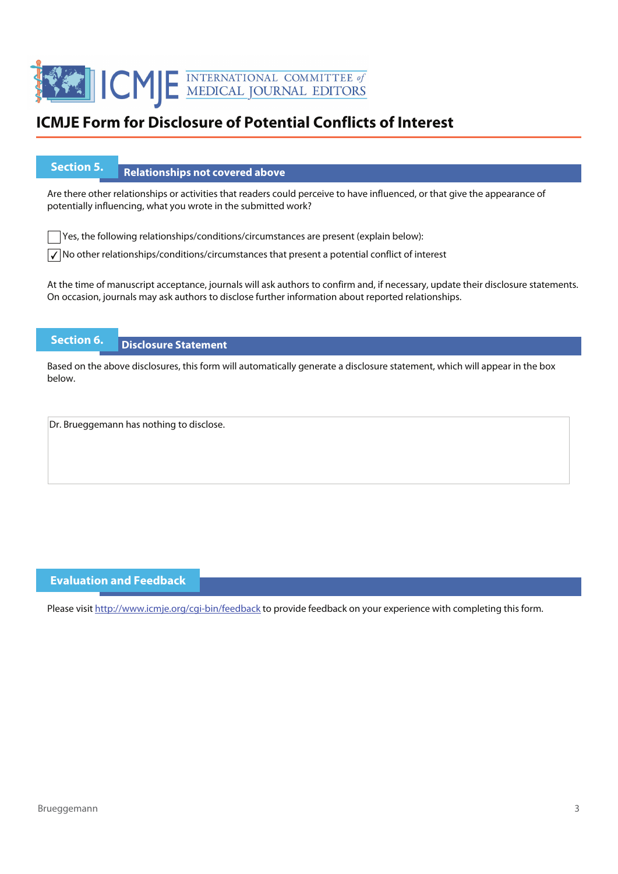

# **Section 5.** Relationships not covered above

Are there other relationships or activities that readers could perceive to have influenced, or that give the appearance of potentially influencing, what you wrote in the submitted work?

 $\Box$  Yes, the following relationships/conditions/circumstances are present (explain below):

 $\sqrt{\phantom{a}}$  No other relationships/conditions/circumstances that present a potential conflict of interest

At the time of manuscript acceptance, journals will ask authors to confirm and, if necessary, update their disclosure statements. On occasion, journals may ask authors to disclose further information about reported relationships.

## **Section 6. Disclosure Statement**

Based on the above disclosures, this form will automatically generate a disclosure statement, which will appear in the box below.

Dr. Brueggemann has nothing to disclose.

## **Evaluation and Feedback**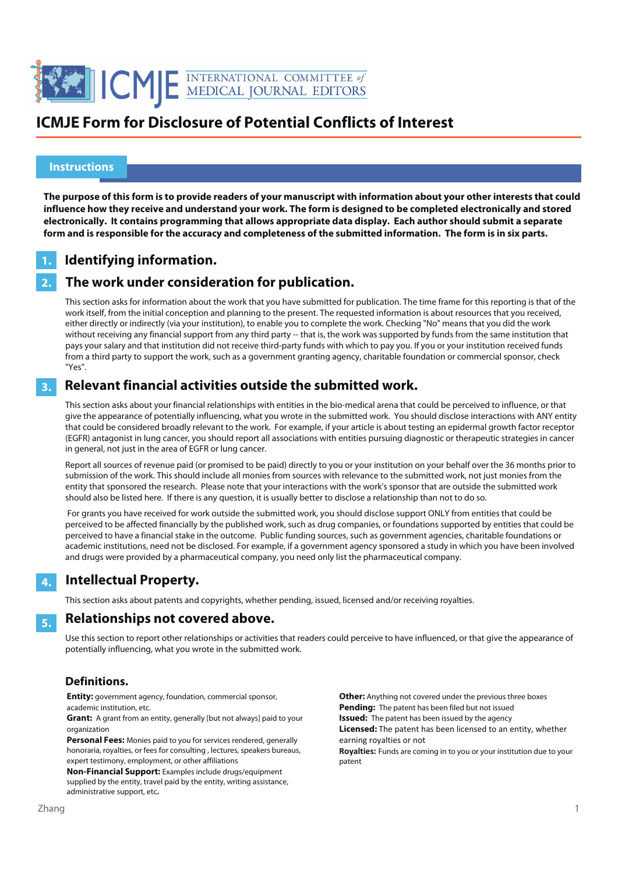

### **Instructions**

 l

> **The purpose of this form is to provide readers of your manuscript with information about your other interests that could influence how they receive and understand your work. The form is designed to be completed electronically and stored electronically. It contains programming that allows appropriate data display. Each author should submit a separate form and is responsible for the accuracy and completeness of the submitted information. The form is in six parts.**

#### **Identifying information. 1.**

#### **The work under consideration for publication. 2.**

This section asks for information about the work that you have submitted for publication. The time frame for this reporting is that of the work itself, from the initial conception and planning to the present. The requested information is about resources that you received, either directly or indirectly (via your institution), to enable you to complete the work. Checking "No" means that you did the work without receiving any financial support from any third party -- that is, the work was supported by funds from the same institution that pays your salary and that institution did not receive third-party funds with which to pay you. If you or your institution received funds from a third party to support the work, such as a government granting agency, charitable foundation or commercial sponsor, check "Yes".

#### **Relevant financial activities outside the submitted work. 3.**

This section asks about your financial relationships with entities in the bio-medical arena that could be perceived to influence, or that give the appearance of potentially influencing, what you wrote in the submitted work. You should disclose interactions with ANY entity that could be considered broadly relevant to the work. For example, if your article is about testing an epidermal growth factor receptor (EGFR) antagonist in lung cancer, you should report all associations with entities pursuing diagnostic or therapeutic strategies in cancer in general, not just in the area of EGFR or lung cancer.

Report all sources of revenue paid (or promised to be paid) directly to you or your institution on your behalf over the 36 months prior to submission of the work. This should include all monies from sources with relevance to the submitted work, not just monies from the entity that sponsored the research. Please note that your interactions with the work's sponsor that are outside the submitted work should also be listed here. If there is any question, it is usually better to disclose a relationship than not to do so.

 For grants you have received for work outside the submitted work, you should disclose support ONLY from entities that could be perceived to be affected financially by the published work, such as drug companies, or foundations supported by entities that could be perceived to have a financial stake in the outcome. Public funding sources, such as government agencies, charitable foundations or academic institutions, need not be disclosed. For example, if a government agency sponsored a study in which you have been involved and drugs were provided by a pharmaceutical company, you need only list the pharmaceutical company.

#### **Intellectual Property. 4.**

This section asks about patents and copyrights, whether pending, issued, licensed and/or receiving royalties.

#### **Relationships not covered above. 5.**

Use this section to report other relationships or activities that readers could perceive to have influenced, or that give the appearance of potentially influencing, what you wrote in the submitted work.

## **Definitions.**

**Entity:** government agency, foundation, commercial sponsor, academic institution, etc.

**Grant:** A grant from an entity, generally [but not always] paid to your organization

**Personal Fees:** Monies paid to you for services rendered, generally honoraria, royalties, or fees for consulting , lectures, speakers bureaus, expert testimony, employment, or other affiliations

**Non-Financial Support:** Examples include drugs/equipment supplied by the entity, travel paid by the entity, writing assistance, administrative support, etc**.**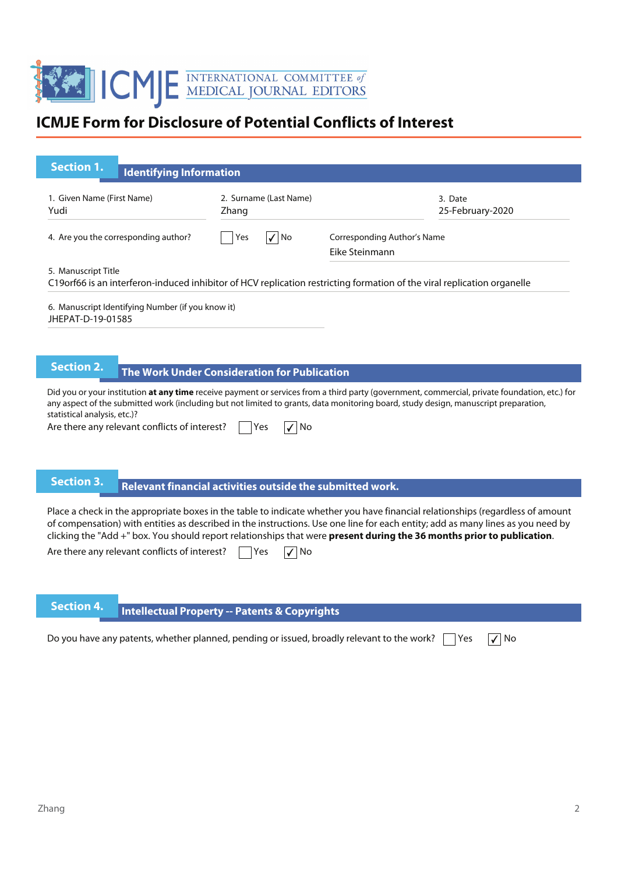

| <b>Section 1.</b><br><b>Identifying Information</b>                                                                                                                                                                                                                                                                                                                                                                                                       |                                                          |                                                                                                                           |  |  |
|-----------------------------------------------------------------------------------------------------------------------------------------------------------------------------------------------------------------------------------------------------------------------------------------------------------------------------------------------------------------------------------------------------------------------------------------------------------|----------------------------------------------------------|---------------------------------------------------------------------------------------------------------------------------|--|--|
| 1. Given Name (First Name)<br>Yudi                                                                                                                                                                                                                                                                                                                                                                                                                        | 2. Surname (Last Name)<br>Zhang                          | 3. Date<br>25-February-2020                                                                                               |  |  |
| 4. Are you the corresponding author?                                                                                                                                                                                                                                                                                                                                                                                                                      | $\sqrt{ N}$<br>Yes                                       | Corresponding Author's Name<br>Eike Steinmann                                                                             |  |  |
| 5. Manuscript Title                                                                                                                                                                                                                                                                                                                                                                                                                                       |                                                          | C19 or f66 is an interferon-induced inhibitor of HCV replication restricting formation of the viral replication organelle |  |  |
| 6. Manuscript Identifying Number (if you know it)<br>JHEPAT-D-19-01585                                                                                                                                                                                                                                                                                                                                                                                    |                                                          |                                                                                                                           |  |  |
|                                                                                                                                                                                                                                                                                                                                                                                                                                                           |                                                          |                                                                                                                           |  |  |
| <b>Section 2.</b>                                                                                                                                                                                                                                                                                                                                                                                                                                         | The Work Under Consideration for Publication             |                                                                                                                           |  |  |
| Did you or your institution at any time receive payment or services from a third party (government, commercial, private foundation, etc.) for<br>any aspect of the submitted work (including but not limited to grants, data monitoring board, study design, manuscript preparation,<br>statistical analysis, etc.)?<br>Are there any relevant conflicts of interest?<br>$\sqrt{ N}$<br>Yes                                                               |                                                          |                                                                                                                           |  |  |
|                                                                                                                                                                                                                                                                                                                                                                                                                                                           |                                                          |                                                                                                                           |  |  |
| <b>Section 3.</b><br>Relevant financial activities outside the submitted work.                                                                                                                                                                                                                                                                                                                                                                            |                                                          |                                                                                                                           |  |  |
| Place a check in the appropriate boxes in the table to indicate whether you have financial relationships (regardless of amount<br>of compensation) with entities as described in the instructions. Use one line for each entity; add as many lines as you need by<br>clicking the "Add +" box. You should report relationships that were present during the 36 months prior to publication.<br>Are there any relevant conflicts of interest?<br>No<br>Yes |                                                          |                                                                                                                           |  |  |
| <b>Section 4.</b>                                                                                                                                                                                                                                                                                                                                                                                                                                         |                                                          |                                                                                                                           |  |  |
|                                                                                                                                                                                                                                                                                                                                                                                                                                                           | <b>Intellectual Property -- Patents &amp; Copyrights</b> |                                                                                                                           |  |  |
| Do you have any patents, whether planned, pending or issued, broadly relevant to the work?                                                                                                                                                                                                                                                                                                                                                                |                                                          | $\sqrt{ NQ}$<br>Yes                                                                                                       |  |  |